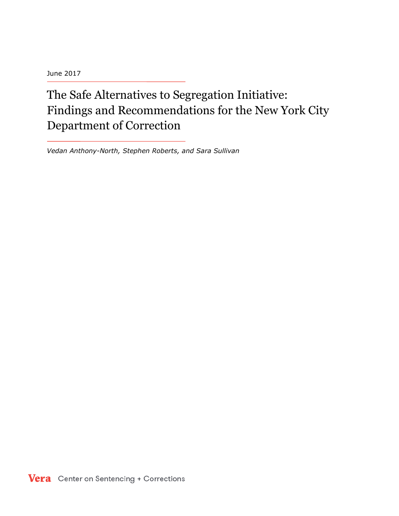June 2017

# The Safe Alternatives to Segregation Initiative: Findings and Recommendations for the New York City Department of Correction

*Vedan Anthony-North, Stephen Roberts, and Sara Sullivan*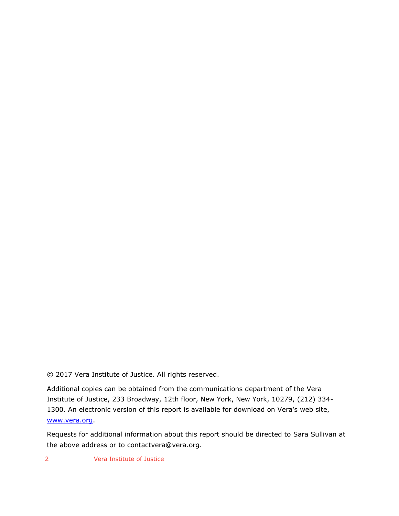© 2017 Vera Institute of Justice. All rights reserved.

Additional copies can be obtained from the communications department of the Vera Institute of Justice, 233 Broadway, 12th floor, New York, New York, 10279, (212) 334- 1300. An electronic version of this report is available for download on Vera's web site, [www.vera.org.](http://www.vera.org/)

Requests for additional information about this report should be directed to Sara Sullivan at the above address or to contactvera@vera.org.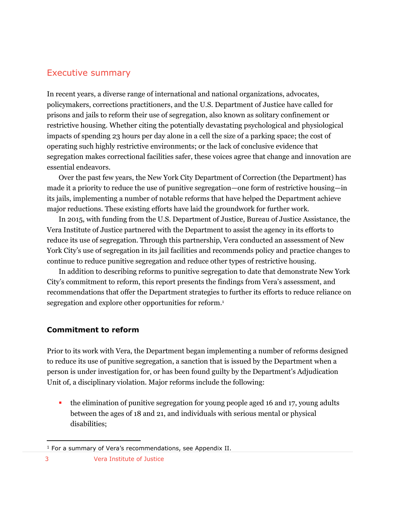#### Executive summary

In recent years, a diverse range of international and national organizations, advocates, policymakers, corrections practitioners, and the U.S. Department of Justice have called for prisons and jails to reform their use of segregation, also known as solitary confinement or restrictive housing. Whether citing the potentially devastating psychological and physiological impacts of spending 23 hours per day alone in a cell the size of a parking space; the cost of operating such highly restrictive environments; or the lack of conclusive evidence that segregation makes correctional facilities safer, these voices agree that change and innovation are essential endeavors.

Over the past few years, the New York City Department of Correction (the Department) has made it a priority to reduce the use of punitive segregation—one form of restrictive housing—in its jails, implementing a number of notable reforms that have helped the Department achieve major reductions. These existing efforts have laid the groundwork for further work.

In 2015, with funding from the U.S. Department of Justice, Bureau of Justice Assistance, the Vera Institute of Justice partnered with the Department to assist the agency in its efforts to reduce its use of segregation. Through this partnership, Vera conducted an assessment of New York City's use of segregation in its jail facilities and recommends policy and practice changes to continue to reduce punitive segregation and reduce other types of restrictive housing.

In addition to describing reforms to punitive segregation to date that demonstrate New York City's commitment to reform, this report presents the findings from Vera's assessment, and recommendations that offer the Department strategies to further its efforts to reduce reliance on segregation and explore other opportunities for reform. 1

#### **Commitment to reform**

Prior to its work with Vera, the Department began implementing a number of reforms designed to reduce its use of punitive segregation, a sanction that is issued by the Department when a person is under investigation for, or has been found guilty by the Department's Adjudication Unit of, a disciplinary violation. Major reforms include the following:

 the elimination of punitive segregation for young people aged 16 and 17, young adults between the ages of 18 and 21, and individuals with serious mental or physical disabilities;

<sup>&</sup>lt;sup>1</sup> For a summary of Vera's recommendations, see Appendix II.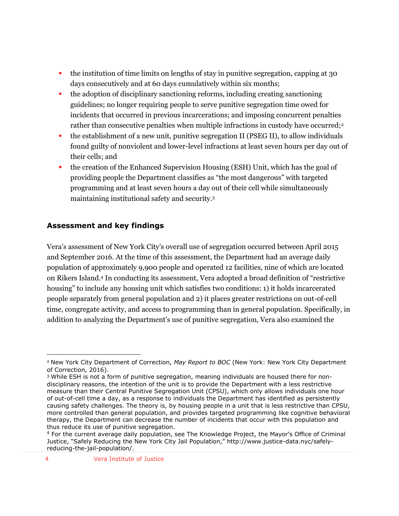- the institution of time limits on lengths of stay in punitive segregation, capping at 30 days consecutively and at 60 days cumulatively within six months;
- the adoption of disciplinary sanctioning reforms, including creating sanctioning guidelines; no longer requiring people to serve punitive segregation time owed for incidents that occurred in previous incarcerations; and imposing concurrent penalties rather than consecutive penalties when multiple infractions in custody have occurred;<sup>2</sup>
- the establishment of a new unit, punitive segregation II (PSEG II), to allow individuals found guilty of nonviolent and lower-level infractions at least seven hours per day out of their cells; and
- the creation of the Enhanced Supervision Housing (ESH) Unit, which has the goal of providing people the Department classifies as "the most dangerous" with targeted programming and at least seven hours a day out of their cell while simultaneously maintaining institutional safety and security.<sup>3</sup>

#### **Assessment and key findings**

Vera's assessment of New York City's overall use of segregation occurred between April 2015 and September 2016. At the time of this assessment, the Department had an average daily population of approximately 9,900 people and operated 12 facilities, nine of which are located on Rikers Island.<sup>4</sup> In conducting its assessment, Vera adopted a broad definition of "restrictive housing" to include any housing unit which satisfies two conditions: 1) it holds incarcerated people separately from general population and 2) it places greater restrictions on out-of-cell time, congregate activity, and access to programming than in general population. Specifically, in addition to analyzing the Department's use of punitive segregation, Vera also examined the

<sup>2</sup> New York City Department of Correction, *May Report to BOC* (New York: New York City Department of Correction, 2016).

<sup>3</sup> While ESH is not a form of punitive segregation, meaning individuals are housed there for nondisciplinary reasons, the intention of the unit is to provide the Department with a less restrictive measure than their Central Punitive Segregation Unit (CPSU), which only allows individuals one hour of out-of-cell time a day, as a response to individuals the Department has identified as persistently causing safety challenges. The theory is, by housing people in a unit that is less restrictive than CPSU, more controlled than general population, and provides targeted programming like cognitive behavioral therapy, the Department can decrease the number of incidents that occur with this population and thus reduce its use of punitive segregation.

<sup>4</sup> For the current average daily population, see The Knowledge Project, the Mayor's Office of Criminal Justice, "Safely Reducing the New York City Jail Population," http://www.justice-data.nyc/safelyreducing-the-jail-population/.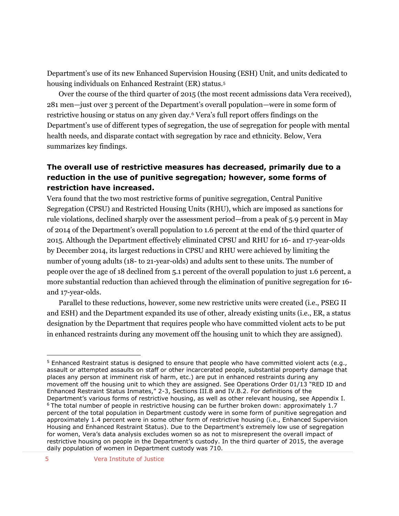Department's use of its new Enhanced Supervision Housing (ESH) Unit, and units dedicated to housing individuals on Enhanced Restraint (ER) status.<sup>5</sup>

Over the course of the third quarter of 2015 (the most recent admissions data Vera received), 281 men—just over 3 percent of the Department's overall population—were in some form of restrictive housing or status on any given day.<sup>6</sup> Vera's full report offers findings on the Department's use of different types of segregation, the use of segregation for people with mental health needs, and disparate contact with segregation by race and ethnicity. Below, Vera summarizes key findings.

#### **The overall use of restrictive measures has decreased, primarily due to a reduction in the use of punitive segregation; however, some forms of restriction have increased.**

Vera found that the two most restrictive forms of punitive segregation, Central Punitive Segregation (CPSU) and Restricted Housing Units (RHU), which are imposed as sanctions for rule violations, declined sharply over the assessment period—from a peak of 5.9 percent in May of 2014 of the Department's overall population to 1.6 percent at the end of the third quarter of 2015. Although the Department effectively eliminated CPSU and RHU for 16- and 17-year-olds by December 2014, its largest reductions in CPSU and RHU were achieved by limiting the number of young adults (18- to 21-year-olds) and adults sent to these units. The number of people over the age of 18 declined from 5.1 percent of the overall population to just 1.6 percent, a more substantial reduction than achieved through the elimination of punitive segregation for 16 and 17-year-olds.

Parallel to these reductions, however, some new restrictive units were created (i.e., PSEG II and ESH) and the Department expanded its use of other, already existing units (i.e., ER, a status designation by the Department that requires people who have committed violent acts to be put in enhanced restraints during any movement off the housing unit to which they are assigned).

<sup>&</sup>lt;sup>5</sup> Enhanced Restraint status is designed to ensure that people who have committed violent acts (e.g., assault or attempted assaults on staff or other incarcerated people, substantial property damage that places any person at imminent risk of harm, etc.) are put in enhanced restraints during any movement off the housing unit to which they are assigned. See Operations Order 01/13 "RED ID and Enhanced Restraint Status Inmates," 2-3, Sections III.B and IV.B.2. For definitions of the Department's various forms of restrictive housing, as well as other relevant housing, see Appendix I. <sup>6</sup> The total number of people in restrictive housing can be further broken down: approximately 1.7 percent of the total population in Department custody were in some form of punitive segregation and approximately 1.4 percent were in some other form of restrictive housing (i.e., Enhanced Supervision Housing and Enhanced Restraint Status). Due to the Department's extremely low use of segregation for women, Vera's data analysis excludes women so as not to misrepresent the overall impact of restrictive housing on people in the Department's custody. In the third quarter of 2015, the average daily population of women in Department custody was 710.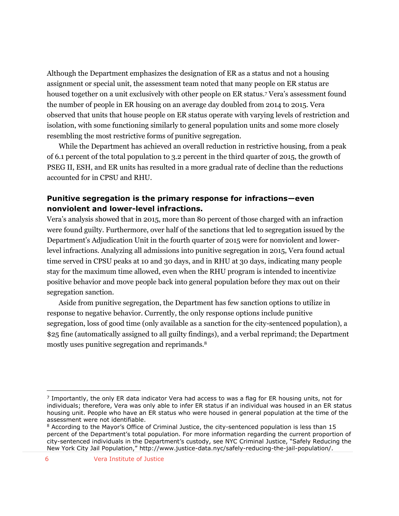Although the Department emphasizes the designation of ER as a status and not a housing assignment or special unit, the assessment team noted that many people on ER status are housed together on a unit exclusively with other people on ER status.<sup>7</sup> Vera's assessment found the number of people in ER housing on an average day doubled from 2014 to 2015. Vera observed that units that house people on ER status operate with varying levels of restriction and isolation, with some functioning similarly to general population units and some more closely resembling the most restrictive forms of punitive segregation.

While the Department has achieved an overall reduction in restrictive housing, from a peak of 6.1 percent of the total population to 3.2 percent in the third quarter of 2015, the growth of PSEG II, ESH, and ER units has resulted in a more gradual rate of decline than the reductions accounted for in CPSU and RHU.

#### **Punitive segregation is the primary response for infractions—even nonviolent and lower-level infractions.**

Vera's analysis showed that in 2015, more than 80 percent of those charged with an infraction were found guilty. Furthermore, over half of the sanctions that led to segregation issued by the Department's Adjudication Unit in the fourth quarter of 2015 were for nonviolent and lowerlevel infractions. Analyzing all admissions into punitive segregation in 2015, Vera found actual time served in CPSU peaks at 10 and 30 days, and in RHU at 30 days, indicating many people stay for the maximum time allowed, even when the RHU program is intended to incentivize positive behavior and move people back into general population before they max out on their segregation sanction.

Aside from punitive segregation, the Department has few sanction options to utilize in response to negative behavior. Currently, the only response options include punitive segregation, loss of good time (only available as a sanction for the city-sentenced population), a \$25 fine (automatically assigned to all guilty findings), and a verbal reprimand; the Department mostly uses punitive segregation and reprimands.<sup>8</sup>

<sup>&</sup>lt;sup>7</sup> Importantly, the only ER data indicator Vera had access to was a flag for ER housing units, not for individuals; therefore, Vera was only able to infer ER status if an individual was housed in an ER status housing unit. People who have an ER status who were housed in general population at the time of the assessment were not identifiable.

<sup>&</sup>lt;sup>8</sup> According to the Mayor's Office of Criminal Justice, the city-sentenced population is less than 15 percent of the Department's total population. For more information regarding the current proportion of city-sentenced individuals in the Department's custody, see NYC Criminal Justice, "Safely Reducing the New York City Jail Population," http://www.justice-data.nyc/safely-reducing-the-jail-population/.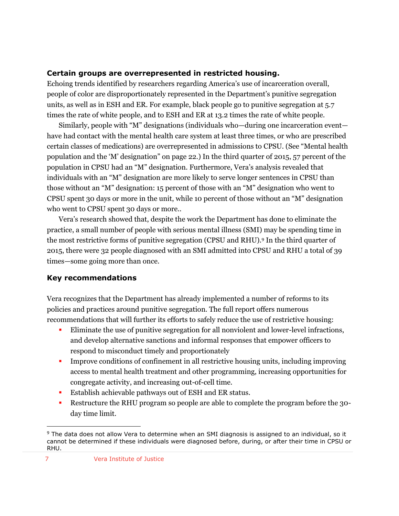#### **Certain groups are overrepresented in restricted housing.**

Echoing trends identified by researchers regarding America's use of incarceration overall, people of color are disproportionately represented in the Department's punitive segregation units, as well as in ESH and ER. For example, black people go to punitive segregation at 5.7 times the rate of white people, and to ESH and ER at 13.2 times the rate of white people.

Similarly, people with "M" designations (individuals who—during one incarceration event have had contact with the mental health care system at least three times, or who are prescribed certain classes of medications) are overrepresented in admissions to CPSU. (See "Mental health population and the 'M' designation" on page 22.) In the third quarter of 2015, 57 percent of the population in CPSU had an "M" designation. Furthermore, Vera's analysis revealed that individuals with an "M" designation are more likely to serve longer sentences in CPSU than those without an "M" designation: 15 percent of those with an "M" designation who went to CPSU spent 30 days or more in the unit, while 10 percent of those without an "M" designation who went to CPSU spent 30 days or more..

Vera's research showed that, despite the work the Department has done to eliminate the practice, a small number of people with serious mental illness (SMI) may be spending time in the most restrictive forms of punitive segregation (CPSU and RHU).<sup>9</sup> In the third quarter of 2015, there were 32 people diagnosed with an SMI admitted into CPSU and RHU a total of 39 times—some going more than once.

#### **Key recommendations**

Vera recognizes that the Department has already implemented a number of reforms to its policies and practices around punitive segregation. The full report offers numerous recommendations that will further its efforts to safely reduce the use of restrictive housing:

- Eliminate the use of punitive segregation for all nonviolent and lower-level infractions, and develop alternative sanctions and informal responses that empower officers to respond to misconduct timely and proportionately
- **IMPROVE CONDUCTS** Improve conditions of confinement in all restrictive housing units, including improving access to mental health treatment and other programming, increasing opportunities for congregate activity, and increasing out-of-cell time.
- **Establish achievable pathways out of ESH and ER status.**
- Restructure the RHU program so people are able to complete the program before the 30 day time limit.

<sup>9</sup> The data does not allow Vera to determine when an SMI diagnosis is assigned to an individual, so it cannot be determined if these individuals were diagnosed before, during, or after their time in CPSU or RHU.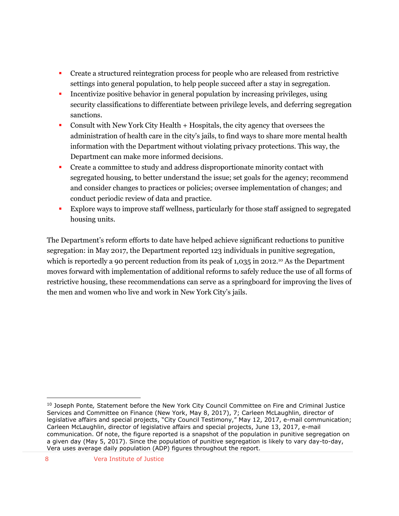- Create a structured reintegration process for people who are released from restrictive settings into general population, to help people succeed after a stay in segregation.
- Incentivize positive behavior in general population by increasing privileges, using security classifications to differentiate between privilege levels, and deferring segregation sanctions.
- Consult with New York City Health + Hospitals, the city agency that oversees the administration of health care in the city's jails, to find ways to share more mental health information with the Department without violating privacy protections. This way, the Department can make more informed decisions.
- Create a committee to study and address disproportionate minority contact with segregated housing, to better understand the issue; set goals for the agency; recommend and consider changes to practices or policies; oversee implementation of changes; and conduct periodic review of data and practice.
- Explore ways to improve staff wellness, particularly for those staff assigned to segregated housing units.

The Department's reform efforts to date have helped achieve significant reductions to punitive segregation: in May 2017, the Department reported 123 individuals in punitive segregation, which is reportedly a 90 percent reduction from its peak of 1,035 in 2012.<sup>10</sup> As the Department moves forward with implementation of additional reforms to safely reduce the use of all forms of restrictive housing, these recommendations can serve as a springboard for improving the lives of the men and women who live and work in New York City's jails.

<sup>10</sup> Joseph Ponte*,* Statement before the New York City Council Committee on Fire and Criminal Justice Services and Committee on Finance (New York, May 8, 2017), 7; Carleen McLaughlin, director of legislative affairs and special projects, "City Council Testimony," May 12, 2017, e-mail communication; Carleen McLaughlin, director of legislative affairs and special projects, June 13, 2017, e-mail communication. Of note, the figure reported is a snapshot of the population in punitive segregation on a given day (May 5, 2017). Since the population of punitive segregation is likely to vary day-to-day, Vera uses average daily population (ADP) figures throughout the report.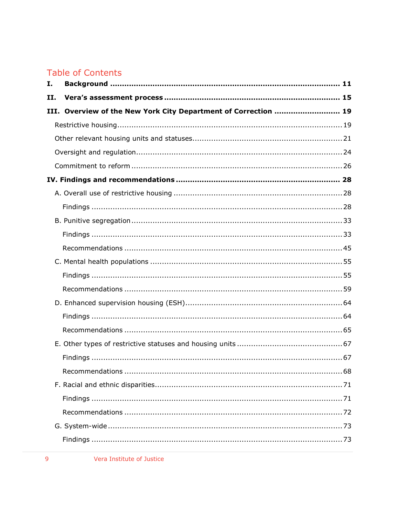# **Table of Contents**

| Ι. |                                                                 |  |  |  |  |
|----|-----------------------------------------------------------------|--|--|--|--|
| п. |                                                                 |  |  |  |  |
|    | III. Overview of the New York City Department of Correction  19 |  |  |  |  |
|    |                                                                 |  |  |  |  |
|    |                                                                 |  |  |  |  |
|    |                                                                 |  |  |  |  |
|    |                                                                 |  |  |  |  |
|    |                                                                 |  |  |  |  |
|    |                                                                 |  |  |  |  |
|    |                                                                 |  |  |  |  |
|    |                                                                 |  |  |  |  |
|    |                                                                 |  |  |  |  |
|    |                                                                 |  |  |  |  |
|    |                                                                 |  |  |  |  |
|    |                                                                 |  |  |  |  |
|    |                                                                 |  |  |  |  |
|    |                                                                 |  |  |  |  |
|    |                                                                 |  |  |  |  |
|    |                                                                 |  |  |  |  |
|    |                                                                 |  |  |  |  |
|    |                                                                 |  |  |  |  |
|    | .68                                                             |  |  |  |  |
|    |                                                                 |  |  |  |  |
|    |                                                                 |  |  |  |  |
|    |                                                                 |  |  |  |  |
|    |                                                                 |  |  |  |  |
|    |                                                                 |  |  |  |  |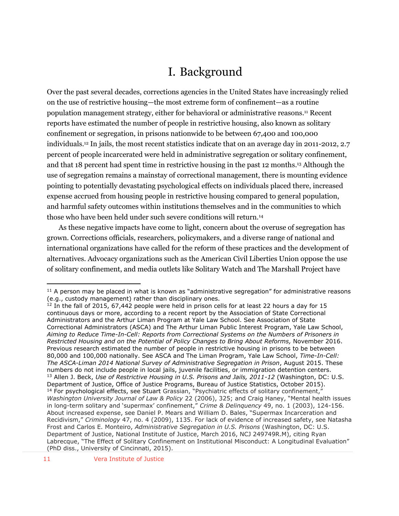# I. Background

<span id="page-10-0"></span>Over the past several decades, corrections agencies in the United States have increasingly relied on the use of restrictive housing—the most extreme form of confinement—as a routine population management strategy, either for behavioral or administrative reasons. <sup>11</sup> Recent reports have estimated the number of people in restrictive housing, also known as solitary confinement or segregation, in prisons nationwide to be between 67,400 and 100,000 individuals.<sup>12</sup> In jails, the most recent statistics indicate that on an average day in 2011-2012, 2.7 percent of people incarcerated were held in administrative segregation or solitary confinement, and that 18 percent had spent time in restrictive housing in the past 12 months. <sup>13</sup> Although the use of segregation remains a mainstay of correctional management, there is mounting evidence pointing to potentially devastating psychological effects on individuals placed there, increased expense accrued from housing people in restrictive housing compared to general population, and harmful safety outcomes within institutions themselves and in the communities to which those who have been held under such severe conditions will return.<sup>14</sup>

As these negative impacts have come to light, concern about the overuse of segregation has grown. Corrections officials, researchers, policymakers, and a diverse range of national and international organizations have called for the reform of these practices and the development of alternatives. Advocacy organizations such as the American Civil Liberties Union oppose the use of solitary confinement, and media outlets like Solitary Watch and The Marshall Project have

 $11$  A person may be placed in what is known as "administrative segregation" for administrative reasons (e.g., custody management) rather than disciplinary ones.

<sup>&</sup>lt;sup>12</sup> In the fall of 2015, 67,442 people were held in prison cells for at least 22 hours a day for 15 continuous days or more, according to a recent report by the Association of State Correctional Administrators and the Arthur Liman Program at Yale Law School. See Association of State Correctional Administrators (ASCA) and The Arthur Liman Public Interest Program, Yale Law School, *Aiming to Reduce Time-In-Cell: Reports from Correctional Systems on the Numbers of Prisoners in Restricted Housing and on the Potential of Policy Changes to Bring About Reforms,* November 2016. Previous research estimated the number of people in restrictive housing in prisons to be between 80,000 and 100,000 nationally. See ASCA and The Liman Program, Yale Law School, *Time-In-Cell: The ASCA-Liman 2014 National Survey of Administrative Segregation in Prison*, August 2015. These numbers do not include people in local jails, juvenile facilities, or immigration detention centers. <sup>13</sup> Allen J. Beck, *Use of Restrictive Housing in U.S. Prisons and Jails, 2011-12* (Washington, DC: U.S. Department of Justice, Office of Justice Programs, Bureau of Justice Statistics, October 2015). <sup>14</sup> For psychological effects, see Stuart Grassian, "Psychiatric effects of solitary confinement," *Washington University Journal of Law & Policy* 22 (2006), 325; and Craig Haney, "Mental health issues in long-term solitary and 'supermax' confinement," *Crime & Delinquency* 49, no. 1 (2003), 124-156. About increased expense, see Daniel P. Mears and William D. Bales, "Supermax Incarceration and Recidivism," *Criminology* 47, no. 4 (2009), 1135. For lack of evidence of increased safety, see Natasha Frost and Carlos E. Monteiro, *Administrative Segregation in U.S. Prisons* (Washington, DC: U.S. Department of Justice, National Institute of Justice, March 2016, NCJ 249749R.M), citing Ryan Labrecque, "The Effect of Solitary Confinement on Institutional Misconduct: A Longitudinal Evaluation" (PhD diss., University of Cincinnati, 2015).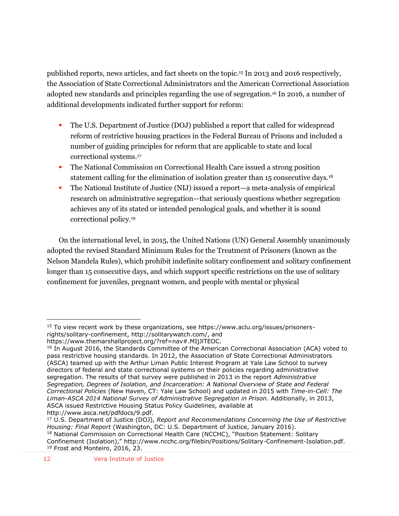published reports, news articles, and fact sheets on the topic.<sup>15</sup> In 2013 and 2016 respectively, the Association of State Correctional Administrators and the American Correctional Association adopted new standards and principles regarding the use of segregation.<sup>16</sup> In 2016, a number of additional developments indicated further support for reform:

- The U.S. Department of Justice (DOJ) published a report that called for widespread reform of restrictive housing practices in the Federal Bureau of Prisons and included a number of guiding principles for reform that are applicable to state and local correctional systems.<sup>17</sup>
- The National Commission on Correctional Health Care issued a strong position statement calling for the elimination of isolation greater than 15 consecutive days.<sup>18</sup>
- The National Institute of Justice (NIJ) issued a report—a meta-analysis of empirical research on administrative segregation—that seriously questions whether segregation achieves any of its stated or intended penological goals, and whether it is sound correctional policy.<sup>19</sup>

On the international level, in 2015, the United Nations (UN) General Assembly unanimously adopted the revised Standard Minimum Rules for the Treatment of Prisoners (known as the Nelson Mandela Rules), which prohibit indefinite solitary confinement and solitary confinement longer than 15 consecutive days, and which support specific restrictions on the use of solitary confinement for juveniles, pregnant women, and people with mental or physical

<sup>15</sup> To view recent work by these organizations, see https://www.aclu.org/issues/prisonersrights/solitary-confinement, http://solitarywatch.com/, and

https://www.themarshallproject.org/?ref=nav#.MIjJlTEOC.

<sup>&</sup>lt;sup>16</sup> In August 2016, the Standards Committee of the American Correctional Association (ACA) voted to pass restrictive housing standards. In 2012, the Association of State Correctional Administrators (ASCA) teamed up with the Arthur Liman Public Interest Program at Yale Law School to survey directors of federal and state correctional systems on their policies regarding administrative segregation. The results of that survey were published in 2013 in the report *Administrative Segregation, Degrees of Isolation, and Incarceration: A National Overview of State and Federal Correctional Policies* (New Haven, CT: Yale Law School) and updated in 2015 with *Time-in-Cell: The Liman-ASCA 2014 National Survey of Administrative Segregation in Prison*. Additionally, in 2013, ASCA issued Restrictive Housing Status Policy Guidelines, available at http://www.asca.net/pdfdocs/9.pdf.

<sup>17</sup> U.S. Department of Justice (DOJ), *Report and Recommendations Concerning the Use of Restrictive Housing: Final Report* (Washington, DC: U.S. Department of Justice, January 2016). <sup>18</sup> National Commission on Correctional Health Care (NCCHC), "Position Statement: Solitary Confinement (Isolation)," http://www.ncchc.org/filebin/Positions/Solitary-Confinement-Isolation.pdf. <sup>19</sup> Frost and Monteiro, 2016, 23.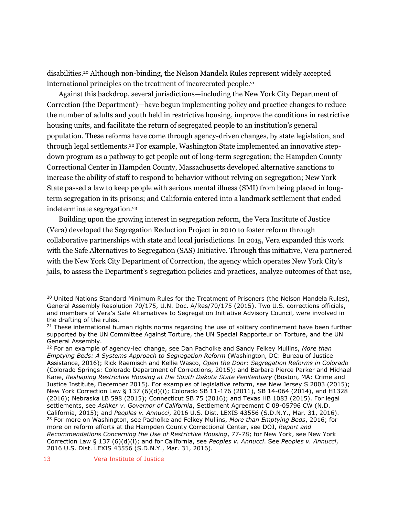disabilities.<sup>20</sup> Although non-binding, the Nelson Mandela Rules represent widely accepted international principles on the treatment of incarcerated people.<sup>21</sup>

Against this backdrop, several jurisdictions—including the New York City Department of Correction (the Department)—have begun implementing policy and practice changes to reduce the number of adults and youth held in restrictive housing, improve the conditions in restrictive housing units, and facilitate the return of segregated people to an institution's general population. These reforms have come through agency-driven changes, by state legislation, and through legal settlements.<sup>22</sup> For example, Washington State implemented an innovative stepdown program as a pathway to get people out of long-term segregation; the Hampden County Correctional Center in Hampden County, Massachusetts developed alternative sanctions to increase the ability of staff to respond to behavior without relying on segregation; New York State passed a law to keep people with serious mental illness (SMI) from being placed in longterm segregation in its prisons; and California entered into a landmark settlement that ended indeterminate segregation.<sup>23</sup>

Building upon the growing interest in segregation reform, the Vera Institute of Justice (Vera) developed the Segregation Reduction Project in 2010 to foster reform through collaborative partnerships with state and local jurisdictions. In 2015, Vera expanded this work with the Safe Alternatives to Segregation (SAS) Initiative. Through this initiative, Vera partnered with the New York City Department of Correction, the agency which operates New York City's jails, to assess the Department's segregation policies and practices, analyze outcomes of that use,

<sup>&</sup>lt;sup>20</sup> United Nations Standard Minimum Rules for the Treatment of Prisoners (the Nelson Mandela Rules), General Assembly Resolution 70/175, U.N. Doc. A/Res/70/175 (2015). Two U.S. corrections officials, and members of Vera's Safe Alternatives to Segregation Initiative Advisory Council, were involved in the drafting of the rules.

<sup>&</sup>lt;sup>21</sup> These international human rights norms regarding the use of solitary confinement have been further supported by the UN Committee Against Torture, the UN Special Rapporteur on Torture, and the UN General Assembly.

<sup>22</sup> For an example of agency-led change, see Dan Pacholke and Sandy Felkey Mullins, *More than Emptying Beds: A Systems Approach to Segregation Reform* (Washington, DC: Bureau of Justice Assistance, 2016); Rick Raemisch and Kellie Wasco, *Open the Door: Segregation Reforms in Colorado* (Colorado Springs: Colorado Department of Corrections, 2015); and Barbara Pierce Parker and Michael Kane, *Reshaping Restrictive Housing at the South Dakota State Penitentiary* (Boston, MA: Crime and Justice Institute, December 2015). For examples of legislative reform, see New Jersey S 2003 (2015); New York Correction Law § 137 (6)(d)(i); Colorado SB 11-176 (2011), SB 14-064 (2014), and H1328 (2016); Nebraska LB 598 (2015); Connecticut SB 75 (2016); and Texas HB 1083 (2015). For legal settlements, see *Ashker v. Governor of California*, Settlement Agreement C 09-05796 CW (N.D. California, 2015); and *Peoples v. Annucci*, 2016 U.S. Dist. LEXIS 43556 (S.D.N.Y., Mar. 31, 2016). <sup>23</sup> For more on Washington, see Pacholke and Felkey Mullins, *More than Emptying Beds*, 2016; for more on reform efforts at the Hampden County Correctional Center, see DOJ, *Report and Recommendations Concerning the Use of Restrictive Housing*, 77-78; for New York, see New York Correction Law § 137 (6)(d)(i); and for California, see *Peoples v. Annucci*. See *Peoples v. Annucci*, 2016 U.S. Dist. LEXIS 43556 (S.D.N.Y., Mar. 31, 2016).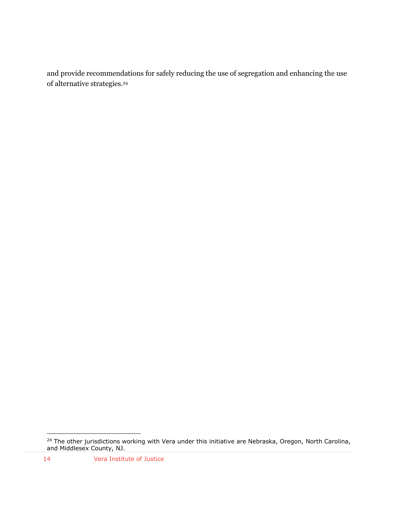and provide recommendations for safely reducing the use of segregation and enhancing the use of alternative strategies. 24

 $\overline{a}$ <sup>24</sup> The other jurisdictions working with Vera under this initiative are Nebraska, Oregon, North Carolina, and Middlesex County, NJ.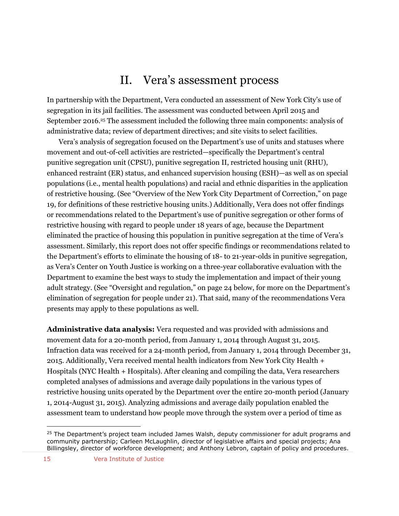# II. Vera's assessment process

<span id="page-14-0"></span>In partnership with the Department, Vera conducted an assessment of New York City's use of segregation in its jail facilities. The assessment was conducted between April 2015 and September 2016.<sup>25</sup> The assessment included the following three main components: analysis of administrative data; review of department directives; and site visits to select facilities.

Vera's analysis of segregation focused on the Department's use of units and statuses where movement and out-of-cell activities are restricted—specifically the Department's central punitive segregation unit (CPSU), punitive segregation II, restricted housing unit (RHU), enhanced restraint (ER) status, and enhanced supervision housing (ESH)—as well as on special populations (i.e., mental health populations) and racial and ethnic disparities in the application of restrictive housing. (See "Overview of the New York City Department of Correction," on page 19, for definitions of these restrictive housing units.) Additionally, Vera does not offer findings or recommendations related to the Department's use of punitive segregation or other forms of restrictive housing with regard to people under 18 years of age, because the Department eliminated the practice of housing this population in punitive segregation at the time of Vera's assessment. Similarly, this report does not offer specific findings or recommendations related to the Department's efforts to eliminate the housing of 18- to 21-year-olds in punitive segregation, as Vera's Center on Youth Justice is working on a three-year collaborative evaluation with the Department to examine the best ways to study the implementation and impact of their young adult strategy. (See "Oversight and regulation," on page 24 below, for more on the Department's elimination of segregation for people under 21). That said, many of the recommendations Vera presents may apply to these populations as well.

**Administrative data analysis:** Vera requested and was provided with admissions and movement data for a 20-month period, from January 1, 2014 through August 31, 2015. Infraction data was received for a 24-month period, from January 1, 2014 through December 31, 2015. Additionally, Vera received mental health indicators from New York City Health + Hospitals (NYC Health + Hospitals). After cleaning and compiling the data, Vera researchers completed analyses of admissions and average daily populations in the various types of restrictive housing units operated by the Department over the entire 20-month period (January 1, 2014-August 31, 2015). Analyzing admissions and average daily population enabled the assessment team to understand how people move through the system over a period of time as

<sup>&</sup>lt;sup>25</sup> The Department's project team included James Walsh, deputy commissioner for adult programs and community partnership; Carleen McLaughlin, director of legislative affairs and special projects; Ana Billingsley, director of workforce development; and Anthony Lebron, captain of policy and procedures.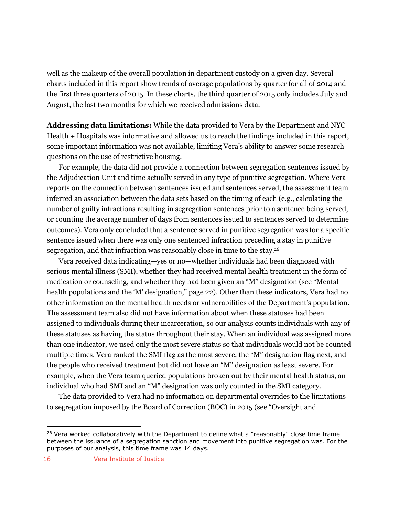well as the makeup of the overall population in department custody on a given day. Several charts included in this report show trends of average populations by quarter for all of 2014 and the first three quarters of 2015. In these charts, the third quarter of 2015 only includes July and August, the last two months for which we received admissions data.

**Addressing data limitations:** While the data provided to Vera by the Department and NYC Health + Hospitals was informative and allowed us to reach the findings included in this report, some important information was not available, limiting Vera's ability to answer some research questions on the use of restrictive housing.

For example, the data did not provide a connection between segregation sentences issued by the Adjudication Unit and time actually served in any type of punitive segregation. Where Vera reports on the connection between sentences issued and sentences served, the assessment team inferred an association between the data sets based on the timing of each (e.g., calculating the number of guilty infractions resulting in segregation sentences prior to a sentence being served, or counting the average number of days from sentences issued to sentences served to determine outcomes). Vera only concluded that a sentence served in punitive segregation was for a specific sentence issued when there was only one sentenced infraction preceding a stay in punitive segregation, and that infraction was reasonably close in time to the stay.<sup>26</sup>

Vera received data indicating—yes or no—whether individuals had been diagnosed with serious mental illness (SMI), whether they had received mental health treatment in the form of medication or counseling, and whether they had been given an "M" designation (see "Mental health populations and the 'M' designation," page 22). Other than these indicators, Vera had no other information on the mental health needs or vulnerabilities of the Department's population. The assessment team also did not have information about when these statuses had been assigned to individuals during their incarceration, so our analysis counts individuals with any of these statuses as having the status throughout their stay. When an individual was assigned more than one indicator, we used only the most severe status so that individuals would not be counted multiple times. Vera ranked the SMI flag as the most severe, the "M" designation flag next, and the people who received treatment but did not have an "M" designation as least severe. For example, when the Vera team queried populations broken out by their mental health status, an individual who had SMI and an "M" designation was only counted in the SMI category.

The data provided to Vera had no information on departmental overrides to the limitations to segregation imposed by the Board of Correction (BOC) in 2015 (see "Oversight and

 $26$  Vera worked collaboratively with the Department to define what a "reasonably" close time frame between the issuance of a segregation sanction and movement into punitive segregation was. For the purposes of our analysis, this time frame was 14 days.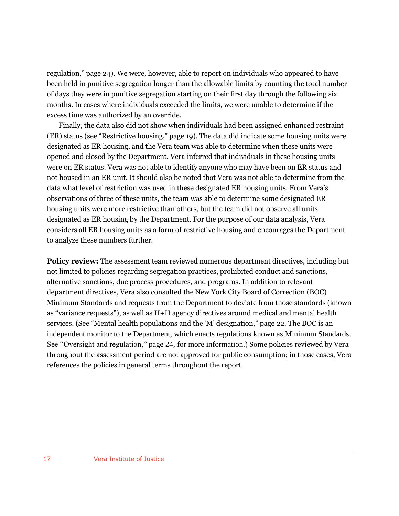regulation," page 24). We were, however, able to report on individuals who appeared to have been held in punitive segregation longer than the allowable limits by counting the total number of days they were in punitive segregation starting on their first day through the following six months. In cases where individuals exceeded the limits, we were unable to determine if the excess time was authorized by an override.

Finally, the data also did not show when individuals had been assigned enhanced restraint (ER) status (see "Restrictive housing," page 19). The data did indicate some housing units were designated as ER housing, and the Vera team was able to determine when these units were opened and closed by the Department. Vera inferred that individuals in these housing units were on ER status. Vera was not able to identify anyone who may have been on ER status and not housed in an ER unit. It should also be noted that Vera was not able to determine from the data what level of restriction was used in these designated ER housing units. From Vera's observations of three of these units, the team was able to determine some designated ER housing units were more restrictive than others, but the team did not observe all units designated as ER housing by the Department. For the purpose of our data analysis, Vera considers all ER housing units as a form of restrictive housing and encourages the Department to analyze these numbers further.

**Policy review:** The assessment team reviewed numerous department directives, including but not limited to policies regarding segregation practices, prohibited conduct and sanctions, alternative sanctions, due process procedures, and programs. In addition to relevant department directives, Vera also consulted the New York City Board of Correction (BOC) Minimum Standards and requests from the Department to deviate from those standards (known as "variance requests"), as well as H+H agency directives around medical and mental health services. (See "Mental health populations and the 'M' designation," page 22. The BOC is an independent monitor to the Department, which enacts regulations known as Minimum Standards. See "Oversight and regulation," page 24, for more information.) Some policies reviewed by Vera throughout the assessment period are not approved for public consumption; in those cases, Vera references the policies in general terms throughout the report.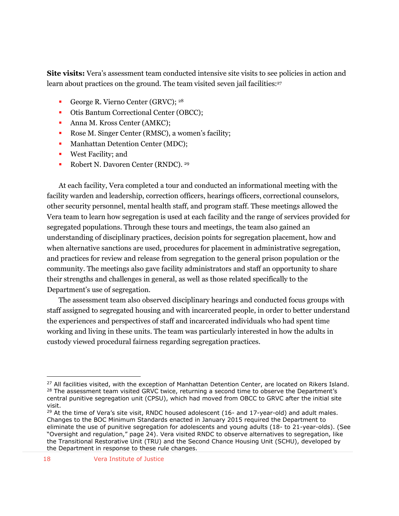**Site visits:** Vera's assessment team conducted intensive site visits to see policies in action and learn about practices on the ground. The team visited seven jail facilities: 27

- George R. Vierno Center (GRVC); <sup>28</sup>
- Otis Bantum Correctional Center (OBCC);
- Anna M. Kross Center (AMKC);
- Rose M. Singer Center (RMSC), a women's facility;
- Manhattan Detention Center (MDC);
- West Facility; and
- **Robert N. Davoren Center (RNDC).** 29

At each facility, Vera completed a tour and conducted an informational meeting with the facility warden and leadership, correction officers, hearings officers, correctional counselors, other security personnel, mental health staff, and program staff. These meetings allowed the Vera team to learn how segregation is used at each facility and the range of services provided for segregated populations. Through these tours and meetings, the team also gained an understanding of disciplinary practices, decision points for segregation placement, how and when alternative sanctions are used, procedures for placement in administrative segregation, and practices for review and release from segregation to the general prison population or the community. The meetings also gave facility administrators and staff an opportunity to share their strengths and challenges in general, as well as those related specifically to the Department's use of segregation.

The assessment team also observed disciplinary hearings and conducted focus groups with staff assigned to segregated housing and with incarcerated people, in order to better understand the experiences and perspectives of staff and incarcerated individuals who had spent time working and living in these units. The team was particularly interested in how the adults in custody viewed procedural fairness regarding segregation practices.

<sup>&</sup>lt;sup>27</sup> All facilities visited, with the exception of Manhattan Detention Center, are located on Rikers Island. <sup>28</sup> The assessment team visited GRVC twice, returning a second time to observe the Department's central punitive segregation unit (CPSU), which had moved from OBCC to GRVC after the initial site visit.

 $29$  At the time of Vera's site visit, RNDC housed adolescent (16- and 17-year-old) and adult males. Changes to the BOC Minimum Standards enacted in January 2015 required the Department to eliminate the use of punitive segregation for adolescents and young adults (18- to 21-year-olds). (See "Oversight and regulation," page 24). Vera visited RNDC to observe alternatives to segregation, like the Transitional Restorative Unit (TRU) and the Second Chance Housing Unit (SCHU), developed by the Department in response to these rule changes.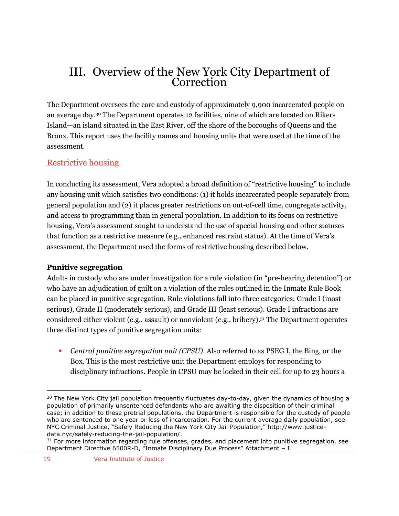# <span id="page-18-0"></span>III. Overview of the New York City Department of Correction

The Department oversees the care and custody of approximately 9,900 incarcerated people on an average day.<sup>30</sup> The Department operates 12 facilities, nine of which are located on Rikers Island—an island situated in the East River, off the shore of the boroughs of Queens and the Bronx. This report uses the facility names and housing units that were used at the time of the assessment.

## <span id="page-18-1"></span>Restrictive housing

In conducting its assessment, Vera adopted a broad definition of "restrictive housing" to include any housing unit which satisfies two conditions: (1) it holds incarcerated people separately from general population and (2) it places greater restrictions on out-of-cell time, congregate activity, and access to programming than in general population. In addition to its focus on restrictive housing, Vera's assessment sought to understand the use of special housing and other statuses that function as a restrictive measure (e.g., enhanced restraint status). At the time of Vera's assessment, the Department used the forms of restrictive housing described below.

#### **Punitive segregation**

Adults in custody who are under investigation for a rule violation (in "pre-hearing detention") or who have an adjudication of guilt on a violation of the rules outlined in the Inmate Rule Book can be placed in punitive segregation. Rule violations fall into three categories: Grade I (most serious), Grade II (moderately serious), and Grade III (least serious). Grade I infractions are considered either violent (e.g., assault) or nonviolent (e.g., bribery). <sup>31</sup> The Department operates three distinct types of punitive segregation units:

 *Central punitive segregation unit (CPSU)*. Also referred to as PSEG I, the Bing, or the Box. This is the most restrictive unit the Department employs for responding to disciplinary infractions. People in CPSU may be locked in their cell for up to 23 hours a

 $30$  The New York City jail population frequently fluctuates day-to-day, given the dynamics of housing a population of primarily unsentenced defendants who are awaiting the disposition of their criminal case; in addition to these pretrial populations, the Department is responsible for the custody of people who are sentenced to one year or less of incarceration. For the current average daily population, see NYC Criminal Justice, "Safely Reducing the New York City Jail Population," http://www.justicedata.nyc/safely-reducing-the-jail-population/.

<sup>&</sup>lt;sup>31</sup> For more information regarding rule offenses, grades, and placement into punitive segregation, see Department Directive 6500R-D, "Inmate Disciplinary Due Process" Attachment – I.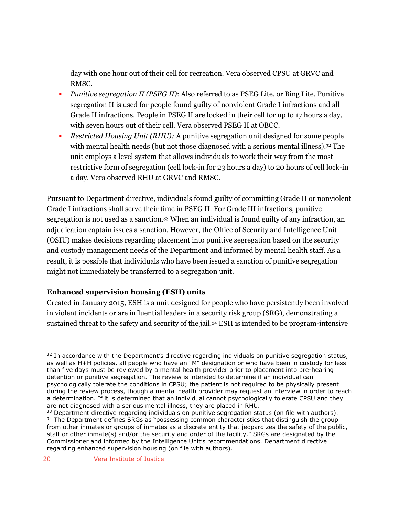day with one hour out of their cell for recreation. Vera observed CPSU at GRVC and RMSC.

- *Punitive segregation II (PSEG II)*: Also referred to as PSEG Lite, or Bing Lite. Punitive segregation II is used for people found guilty of nonviolent Grade I infractions and all Grade II infractions. People in PSEG II are locked in their cell for up to 17 hours a day, with seven hours out of their cell. Vera observed PSEG II at OBCC.
- *Restricted Housing Unit (RHU):* A punitive segregation unit designed for some people with mental health needs (but not those diagnosed with a serious mental illness).<sup>32</sup> The unit employs a level system that allows individuals to work their way from the most restrictive form of segregation (cell lock-in for 23 hours a day) to 20 hours of cell lock-in a day. Vera observed RHU at GRVC and RMSC.

Pursuant to Department directive, individuals found guilty of committing Grade II or nonviolent Grade I infractions shall serve their time in PSEG II. For Grade III infractions, punitive segregation is not used as a sanction. <sup>33</sup> When an individual is found guilty of any infraction, an adjudication captain issues a sanction. However, the Office of Security and Intelligence Unit (OSIU) makes decisions regarding placement into punitive segregation based on the security and custody management needs of the Department and informed by mental health staff. As a result, it is possible that individuals who have been issued a sanction of punitive segregation might not immediately be transferred to a segregation unit.

#### **Enhanced supervision housing (ESH) units**

Created in January 2015, ESH is a unit designed for people who have persistently been involved in violent incidents or are influential leaders in a security risk group (SRG), demonstrating a sustained threat to the safety and security of the jail.<sup>34</sup> ESH is intended to be program-intensive

 $\overline{a}$  $32$  In accordance with the Department's directive regarding individuals on punitive segregation status, as well as H+H policies, all people who have an "M" designation or who have been in custody for less than five days must be reviewed by a mental health provider prior to placement into pre-hearing detention or punitive segregation. The review is intended to determine if an individual can psychologically tolerate the conditions in CPSU; the patient is not required to be physically present during the review process, though a mental health provider may request an interview in order to reach a determination. If it is determined that an individual cannot psychologically tolerate CPSU and they are not diagnosed with a serious mental illness, they are placed in RHU.

 $33$  Department directive regarding individuals on punitive segregation status (on file with authors). <sup>34</sup> The Department defines SRGs as "possessing common characteristics that distinguish the group from other inmates or groups of inmates as a discrete entity that jeopardizes the safety of the public, staff or other inmate(s) and/or the security and order of the facility." SRGs are designated by the Commissioner and informed by the Intelligence Unit's recommendations. Department directive regarding enhanced supervision housing (on file with authors).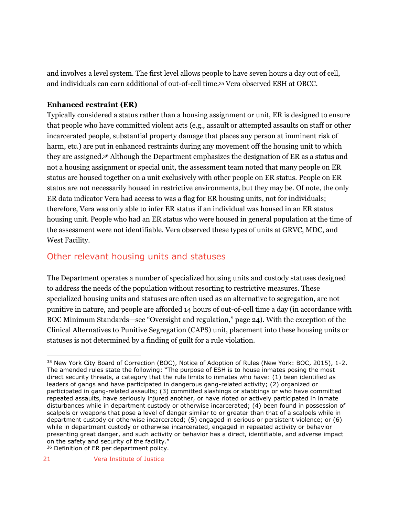and involves a level system. The first level allows people to have seven hours a day out of cell, and individuals can earn additional of out-of-cell time.<sup>35</sup> Vera observed ESH at OBCC.

#### **Enhanced restraint (ER)**

Typically considered a status rather than a housing assignment or unit, ER is designed to ensure that people who have committed violent acts (e.g., assault or attempted assaults on staff or other incarcerated people, substantial property damage that places any person at imminent risk of harm, etc.) are put in enhanced restraints during any movement off the housing unit to which they are assigned. <sup>36</sup> Although the Department emphasizes the designation of ER as a status and not a housing assignment or special unit, the assessment team noted that many people on ER status are housed together on a unit exclusively with other people on ER status. People on ER status are not necessarily housed in restrictive environments, but they may be. Of note, the only ER data indicator Vera had access to was a flag for ER housing units, not for individuals; therefore, Vera was only able to infer ER status if an individual was housed in an ER status housing unit. People who had an ER status who were housed in general population at the time of the assessment were not identifiable. Vera observed these types of units at GRVC, MDC, and West Facility.

## <span id="page-20-0"></span>Other relevant housing units and statuses

The Department operates a number of specialized housing units and custody statuses designed to address the needs of the population without resorting to restrictive measures. These specialized housing units and statuses are often used as an alternative to segregation, are not punitive in nature, and people are afforded 14 hours of out-of-cell time a day (in accordance with BOC Minimum Standards—see "Oversight and regulation," page 24). With the exception of the Clinical Alternatives to Punitive Segregation (CAPS) unit, placement into these housing units or statuses is not determined by a finding of guilt for a rule violation.

<sup>36</sup> Definition of ER per department policy.

<sup>&</sup>lt;sup>35</sup> New York City Board of Correction (BOC), Notice of Adoption of Rules (New York: BOC, 2015), 1-2. The amended rules state the following: "The purpose of ESH is to house inmates posing the most direct security threats, a category that the rule limits to inmates who have: (1) been identified as leaders of gangs and have participated in dangerous gang-related activity; (2) organized or participated in gang-related assaults; (3) committed slashings or stabbings or who have committed repeated assaults, have seriously injured another, or have rioted or actively participated in inmate disturbances while in department custody or otherwise incarcerated; (4) been found in possession of scalpels or weapons that pose a level of danger similar to or greater than that of a scalpels while in department custody or otherwise incarcerated; (5) engaged in serious or persistent violence; or (6) while in department custody or otherwise incarcerated, engaged in repeated activity or behavior presenting great danger, and such activity or behavior has a direct, identifiable, and adverse impact on the safety and security of the facility."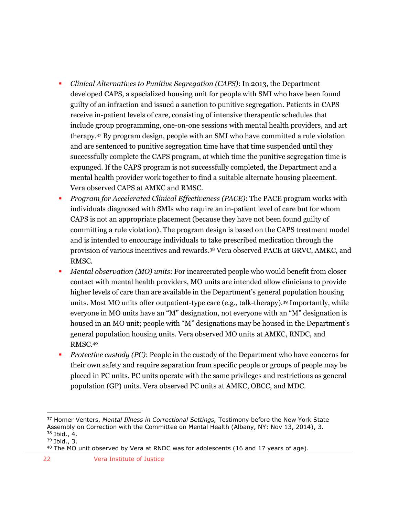- *Clinical Alternatives to Punitive Segregation (CAPS)*: In 2013, the Department developed CAPS, a specialized housing unit for people with SMI who have been found guilty of an infraction and issued a sanction to punitive segregation. Patients in CAPS receive in-patient levels of care, consisting of intensive therapeutic schedules that include group programming, one-on-one sessions with mental health providers, and art therapy.<sup>37</sup> By program design, people with an SMI who have committed a rule violation and are sentenced to punitive segregation time have that time suspended until they successfully complete the CAPS program, at which time the punitive segregation time is expunged. If the CAPS program is not successfully completed, the Department and a mental health provider work together to find a suitable alternate housing placement. Vera observed CAPS at AMKC and RMSC.
- *Program for Accelerated Clinical Effectiveness (PACE)*: The PACE program works with individuals diagnosed with SMIs who require an in-patient level of care but for whom CAPS is not an appropriate placement (because they have not been found guilty of committing a rule violation). The program design is based on the CAPS treatment model and is intended to encourage individuals to take prescribed medication through the provision of various incentives and rewards. <sup>38</sup> Vera observed PACE at GRVC, AMKC, and RMSC.
- *Mental observation (MO) units*: For incarcerated people who would benefit from closer contact with mental health providers, MO units are intended allow clinicians to provide higher levels of care than are available in the Department's general population housing units. Most MO units offer outpatient-type care (e.g., talk-therapy). <sup>39</sup> Importantly, while everyone in MO units have an "M" designation, not everyone with an "M" designation is housed in an MO unit; people with "M" designations may be housed in the Department's general population housing units. Vera observed MO units at AMKC, RNDC, and RMSC.<sup>40</sup>
- **Protective custody (PC): People in the custody of the Department who have concerns for** their own safety and require separation from specific people or groups of people may be placed in PC units. PC units operate with the same privileges and restrictions as general population (GP) units. Vera observed PC units at AMKC, OBCC, and MDC.

22 Vera Institute of Justice

<sup>37</sup> Homer Venters, *Mental Illness in Correctional Settings,* Testimony before the New York State Assembly on Correction with the Committee on Mental Health (Albany, NY: Nov 13, 2014), 3.

<sup>38</sup> Ibid., 4.

<sup>39</sup> Ibid., 3.

<sup>&</sup>lt;sup>40</sup> The MO unit observed by Vera at RNDC was for adolescents (16 and 17 years of age).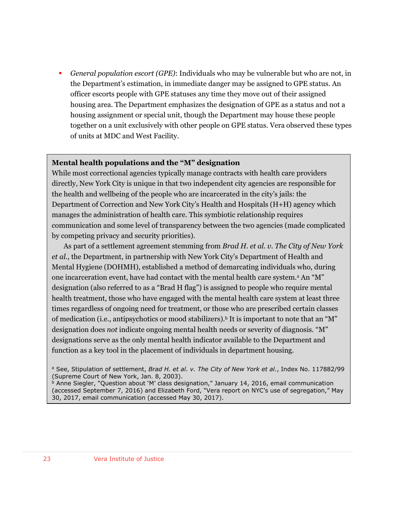*General population escort (GPE)*: Individuals who may be vulnerable but who are not, in the Department's estimation, in immediate danger may be assigned to GPE status. An officer escorts people with GPE statuses any time they move out of their assigned housing area. The Department emphasizes the designation of GPE as a status and not a housing assignment or special unit, though the Department may house these people together on a unit exclusively with other people on GPE status. Vera observed these types of units at MDC and West Facility.

#### **Mental health populations and the "M" designation**

While most correctional agencies typically manage contracts with health care providers directly, New York City is unique in that two independent city agencies are responsible for the health and wellbeing of the people who are incarcerated in the city's jails: the Department of Correction and New York City's Health and Hospitals (H+H) agency which manages the administration of health care. This symbiotic relationship requires communication and some level of transparency between the two agencies (made complicated by competing privacy and security priorities).

As part of a settlement agreement stemming from *Brad H. et al. v. The City of New York et al.*, the Department, in partnership with New York City's Department of Health and Mental Hygiene (DOHMH), established a method of demarcating individuals who, during one incarceration event, have had contact with the mental health care system.<sup>a</sup> An "M" designation (also referred to as a "Brad H flag") is assigned to people who require mental health treatment, those who have engaged with the mental health care system at least three times regardless of ongoing need for treatment, or those who are prescribed certain classes of medication (i.e., antipsychotics or mood stabilizers).<sup>b</sup> It is important to note that an "M" designation does *not* indicate ongoing mental health needs or severity of diagnosis. "M" designations serve as the only mental health indicator available to the Department and function as a key tool in the placement of individuals in department housing.

<sup>a</sup> See, Stipulation of settlement, *Brad H. et al. v. The City of New York et al.*, Index No. 117882/99 (Supreme Court of New York, Jan. 8, 2003).

**b Anne Siegler, "Question about 'M' class designation," January 14, 2016, email communication** (accessed September 7, 2016) and Elizabeth Ford, "Vera report on NYC's use of segregation," May 30, 2017, email communication (accessed May 30, 2017).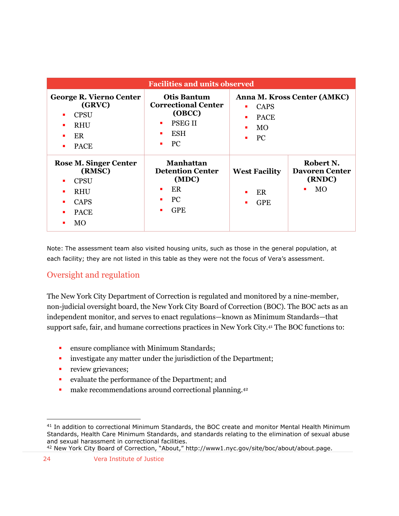| <b>Facilities and units observed</b>                                                                    |                                                                                                                                     |                                                                   |                                                         |  |  |  |
|---------------------------------------------------------------------------------------------------------|-------------------------------------------------------------------------------------------------------------------------------------|-------------------------------------------------------------------|---------------------------------------------------------|--|--|--|
| <b>George R. Vierno Center</b><br>(GRVC)<br><b>CPSU</b><br><b>RHU</b><br>ER<br><b>PACE</b>              | <b>Otis Bantum</b><br><b>Correctional Center</b><br>(OBCC)<br><b>PSEGII</b><br>$\blacksquare$<br><b>ESH</b><br>PC<br>$\blacksquare$ | <b>CAPS</b><br>٠<br><b>PACE</b><br>٠<br>MO<br>٠<br><b>PC</b><br>٠ | Anna M. Kross Center (AMKC)                             |  |  |  |
| <b>Rose M. Singer Center</b><br>(RMSC)<br><b>CPSU</b><br><b>RHU</b><br><b>CAPS</b><br><b>PACE</b><br>MO | <b>Manhattan</b><br><b>Detention Center</b><br>(MDC)<br>ER<br>٠<br>PC.<br><b>GPE</b><br>$\blacksquare$                              | <b>West Facility</b><br>ER<br>٠<br><b>GPE</b><br>٠                | Robert N.<br><b>Davoren Center</b><br>(RNDC)<br>MO<br>٠ |  |  |  |

Note: The assessment team also visited housing units, such as those in the general population, at each facility; they are not listed in this table as they were not the focus of Vera's assessment.

## <span id="page-23-0"></span>Oversight and regulation

The New York City Department of Correction is regulated and monitored by a nine-member, non-judicial oversight board, the New York City Board of Correction (BOC). The BOC acts as an independent monitor, and serves to enact regulations—known as Minimum Standards—that support safe, fair, and humane corrections practices in New York City.<sup>41</sup> The BOC functions to:

- **Example 3** ensure compliance with Minimum Standards;
- **i** investigate any matter under the jurisdiction of the Department;
- **review grievances;**
- evaluate the performance of the Department; and
- make recommendations around correctional planning.<sup>42</sup>

<sup>41</sup> In addition to correctional Minimum Standards, the BOC create and monitor Mental Health Minimum Standards, Health Care Minimum Standards, and standards relating to the elimination of sexual abuse and sexual harassment in correctional facilities.

<sup>42</sup> New York City Board of Correction, "About," http://www1.nyc.gov/site/boc/about/about.page.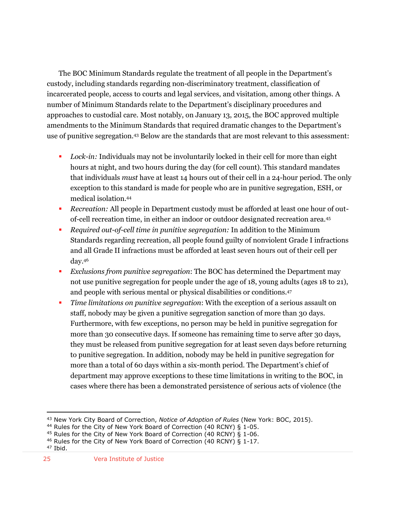The BOC Minimum Standards regulate the treatment of all people in the Department's custody, including standards regarding non-discriminatory treatment, classification of incarcerated people, access to courts and legal services, and visitation, among other things. A number of Minimum Standards relate to the Department's disciplinary procedures and approaches to custodial care. Most notably, on January 13, 2015, the BOC approved multiple amendments to the Minimum Standards that required dramatic changes to the Department's use of punitive segregation.<sup>43</sup> Below are the standards that are most relevant to this assessment:

- *Lock-in:* Individuals may not be involuntarily locked in their cell for more than eight hours at night, and two hours during the day (for cell count). This standard mandates that individuals *must* have at least 14 hours out of their cell in a 24-hour period. The only exception to this standard is made for people who are in punitive segregation, ESH, or medical isolation.<sup>44</sup>
- *Recreation:* All people in Department custody must be afforded at least one hour of outof-cell recreation time, in either an indoor or outdoor designated recreation area.<sup>45</sup>
- *Required out-of-cell time in punitive segregation:* In addition to the Minimum Standards regarding recreation, all people found guilty of nonviolent Grade I infractions and all Grade II infractions must be afforded at least seven hours out of their cell per day.<sup>46</sup>
- *Exclusions from punitive segregation*: The BOC has determined the Department may not use punitive segregation for people under the age of 18, young adults (ages 18 to 21), and people with serious mental or physical disabilities or conditions.<sup>47</sup>
- *Time limitations on punitive segregation*: With the exception of a serious assault on staff, nobody may be given a punitive segregation sanction of more than 30 days. Furthermore, with few exceptions, no person may be held in punitive segregation for more than 30 consecutive days. If someone has remaining time to serve after 30 days, they must be released from punitive segregation for at least seven days before returning to punitive segregation. In addition, nobody may be held in punitive segregation for more than a total of 60 days within a six-month period. The Department's chief of department may approve exceptions to these time limitations in writing to the BOC, in cases where there has been a demonstrated persistence of serious acts of violence (the

<sup>43</sup> New York City Board of Correction, *Notice of Adoption of Rules* (New York: BOC, 2015).

<sup>&</sup>lt;sup>44</sup> Rules for the City of New York Board of Correction (40 RCNY) § 1-05.

<sup>45</sup> Rules for the City of New York Board of Correction (40 RCNY) § 1-06.

<sup>&</sup>lt;sup>46</sup> Rules for the City of New York Board of Correction (40 RCNY)  $\bar{S}$  1-17.

<sup>47</sup> Ibid.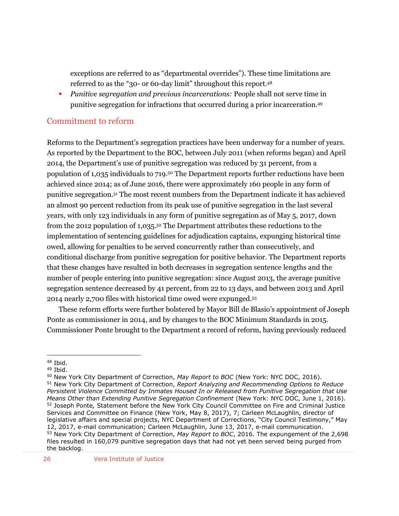exceptions are referred to as "departmental overrides"). These time limitations are referred to as the "30- or 60-day limit" throughout this report.<sup>48</sup>

 *Punitive segregation and previous incarcerations:* People shall not serve time in punitive segregation for infractions that occurred during a prior incarceration.<sup>49</sup>

## <span id="page-25-0"></span>Commitment to reform

Reforms to the Department's segregation practices have been underway for a number of years. As reported by the Department to the BOC, between July 2011 (when reforms began) and April 2014, the Department's use of punitive segregation was reduced by 31 percent, from a population of 1,035 individuals to 719.<sup>50</sup> The Department reports further reductions have been achieved since 2014; as of June 2016, there were approximately 160 people in any form of punitive segregation.<sup>51</sup> The most recent numbers from the Department indicate it has achieved an almost 90 percent reduction from its peak use of punitive segregation in the last several years, with only 123 individuals in any form of punitive segregation as of May 5, 2017, down from the 2012 population of 1,035. <sup>52</sup> The Department attributes these reductions to the implementation of sentencing guidelines for adjudication captains, expunging historical time owed, allowing for penalties to be served concurrently rather than consecutively, and conditional discharge from punitive segregation for positive behavior. The Department reports that these changes have resulted in both decreases in segregation sentence lengths and the number of people entering into punitive segregation: since August 2013, the average punitive segregation sentence decreased by 41 percent, from 22 to 13 days, and between 2013 and April 2014 nearly 2,700 files with historical time owed were expunged.<sup>53</sup>

These reform efforts were further bolstered by Mayor Bill de Blasio's appointment of Joseph Ponte as commissioner in 2014, and by changes to the BOC Minimum Standards in 2015. Commissioner Ponte brought to the Department a record of reform, having previously reduced

<sup>48</sup> Ibid.

<sup>49</sup> Ibid.

<sup>50</sup> New York City Department of Correction, *May Report to BOC* (New York: NYC DOC, 2016). <sup>51</sup> New York City Department of Correction, *Report Analyzing and Recommending Options to Reduce Persistent Violence Committed by Inmates Housed In or Released from Punitive Segregation that Use Means Other than Extending Punitive Segregation Confinement* (New York: NYC DOC, June 1, 2016). <sup>52</sup> Joseph Ponte*,* Statement before the New York City Council Committee on Fire and Criminal Justice Services and Committee on Finance (New York, May 8, 2017), 7; Carleen McLaughlin, director of legislative affairs and special projects, NYC Department of Corrections, "City Council Testimony," May 12, 2017, e-mail communication; Carleen McLaughlin, June 13, 2017, e-mail communication. <sup>53</sup> New York City Department of Correction, *May Report to BOC*, 2016. The expungement of the 2,698 files resulted in 160,079 punitive segregation days that had not yet been served being purged from the backlog.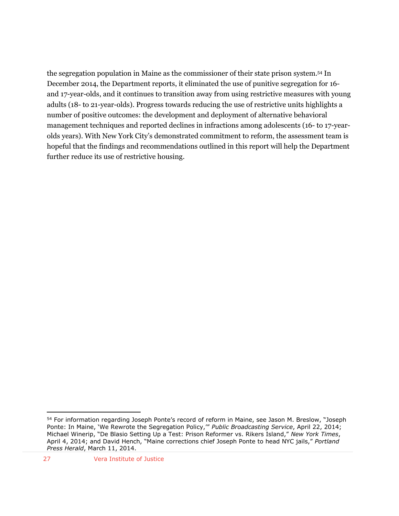the segregation population in Maine as the commissioner of their state prison system. <sup>54</sup> In December 2014, the Department reports, it eliminated the use of punitive segregation for 16 and 17-year-olds, and it continues to transition away from using restrictive measures with young adults (18- to 21-year-olds). Progress towards reducing the use of restrictive units highlights a number of positive outcomes: the development and deployment of alternative behavioral management techniques and reported declines in infractions among adolescents (16- to 17-yearolds years). With New York City's demonstrated commitment to reform, the assessment team is hopeful that the findings and recommendations outlined in this report will help the Department further reduce its use of restrictive housing.

<sup>&</sup>lt;sup>54</sup> For information regarding Joseph Ponte's record of reform in Maine, see Jason M. Breslow, "Joseph Ponte: In Maine, 'We Rewrote the Segregation Policy,'" *Public Broadcasting Service*, April 22, 2014; Michael Winerip, "De Blasio Setting Up a Test: Prison Reformer vs. Rikers Island," *New York Times*, April 4, 2014; and David Hench, "Maine corrections chief Joseph Ponte to head NYC jails," *Portland Press Herald*, March 11, 2014.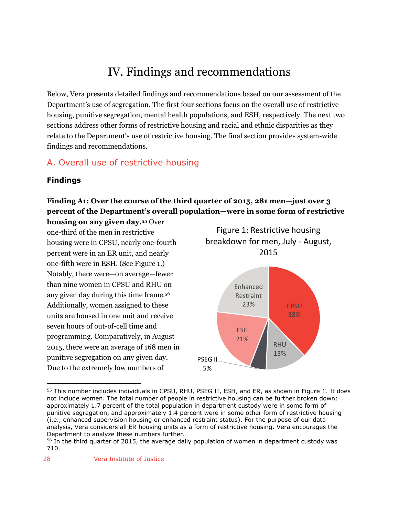# IV. Findings and recommendations

<span id="page-27-0"></span>Below, Vera presents detailed findings and recommendations based on our assessment of the Department's use of segregation. The first four sections focus on the overall use of restrictive housing, punitive segregation, mental health populations, and ESH, respectively. The next two sections address other forms of restrictive housing and racial and ethnic disparities as they relate to the Department's use of restrictive housing. The final section provides system-wide findings and recommendations.

# <span id="page-27-1"></span>A. Overall use of restrictive housing

#### <span id="page-27-2"></span>**Findings**

# **Finding A1: Over the course of the third quarter of 2015, 281 men—just over 3 percent of the Department's overall population—were in some form of restrictive**

**housing on any given day.<sup>55</sup>** Over one-third of the men in restrictive housing were in CPSU, nearly one-fourth percent were in an ER unit, and nearly one-fifth were in ESH. (See Figure 1.) Notably, there were—on average—fewer than nine women in CPSU and RHU on any given day during this time frame.<sup>56</sup> Additionally, women assigned to these units are housed in one unit and receive seven hours of out-of-cell time and programming. Comparatively, in August 2015, there were an average of 168 men in punitive segregation on any given day. Due to the extremely low numbers of



 $\overline{a}$ <sup>55</sup> This number includes individuals in CPSU, RHU, PSEG II, ESH, and ER, as shown in Figure 1. It does not include women. The total number of people in restrictive housing can be further broken down: approximately 1.7 percent of the total population in department custody were in some form of punitive segregation, and approximately 1.4 percent were in some other form of restrictive housing (i.e., enhanced supervision housing or enhanced restraint status). For the purpose of our data analysis, Vera considers all ER housing units as a form of restrictive housing. Vera encourages the Department to analyze these numbers further.

5%

<sup>&</sup>lt;sup>56</sup> In the third quarter of 2015, the average daily population of women in department custody was 710.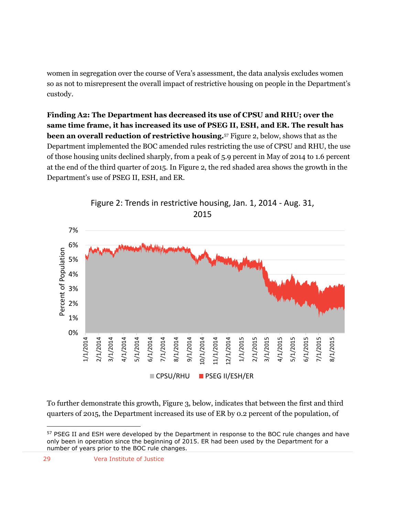women in segregation over the course of Vera's assessment, the data analysis excludes women so as not to misrepresent the overall impact of restrictive housing on people in the Department's custody.

**Finding A2: The Department has decreased its use of CPSU and RHU; over the same time frame, it has increased its use of PSEG II, ESH, and ER. The result has been an overall reduction of restrictive housing.**<sup>57</sup> Figure 2, below, shows that as the Department implemented the BOC amended rules restricting the use of CPSU and RHU, the use of those housing units declined sharply, from a peak of 5.9 percent in May of 2014 to 1.6 percent at the end of the third quarter of 2015. In Figure 2, the red shaded area shows the growth in the Department's use of PSEG II, ESH, and ER.



Figure 2: Trends in restrictive housing, Jan. 1, 2014 - Aug. 31, 2015

To further demonstrate this growth, Figure 3, below, indicates that between the first and third quarters of 2015, the Department increased its use of ER by 0.2 percent of the population, of

<sup>&</sup>lt;sup>57</sup> PSEG II and ESH were developed by the Department in response to the BOC rule changes and have only been in operation since the beginning of 2015. ER had been used by the Department for a number of years prior to the BOC rule changes.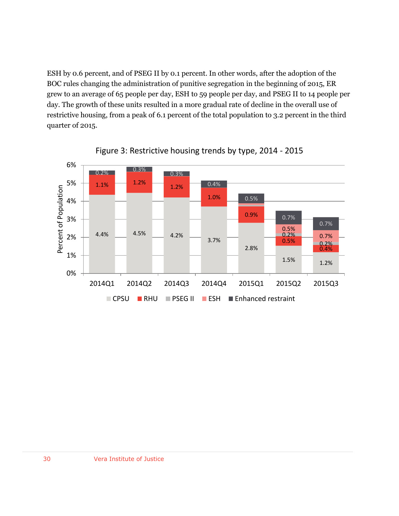ESH by 0.6 percent, and of PSEG II by 0.1 percent. In other words, after the adoption of the BOC rules changing the administration of punitive segregation in the beginning of 2015, ER grew to an average of 65 people per day, ESH to 59 people per day, and PSEG II to 14 people per day. The growth of these units resulted in a more gradual rate of decline in the overall use of restrictive housing, from a peak of 6.1 percent of the total population to 3.2 percent in the third quarter of 2015.



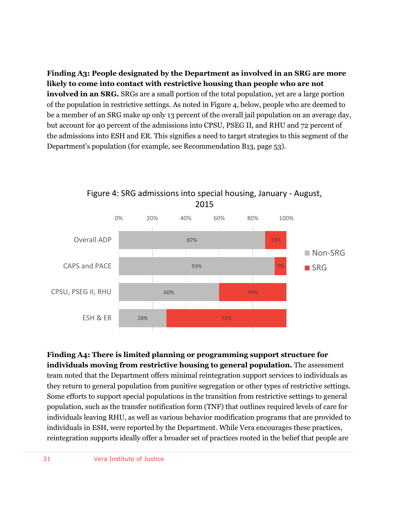**Finding A3: People designated by the Department as involved in an SRG are more likely to come into contact with restrictive housing than people who are not involved in an SRG.** SRGs are a small portion of the total population, yet are a large portion of the population in restrictive settings. As noted in Figure 4, below, people who are deemed to be a member of an SRG make up only 13 percent of the overall jail population on an average day, but account for 40 percent of the admissions into CPSU, PSEG II, and RHU and 72 percent of the admissions into ESH and ER. This signifies a need to target strategies to this segment of the Department's population (for example, see Recommendation B13, page 53).



Figure 4: SRG admissions into special housing, January - August, 2015

**Finding A4: There is limited planning or programming support structure for individuals moving from restrictive housing to general population.** The assessment team noted that the Department offers minimal reintegration support services to individuals as they return to general population from punitive segregation or other types of restrictive settings. Some efforts to support special populations in the transition from restrictive settings to general population, such as the transfer notification form (TNF) that outlines required levels of care for individuals leaving RHU, as well as various behavior modification programs that are provided to individuals in ESH, were reported by the Department. While Vera encourages these practices, reintegration supports ideally offer a broader set of practices rooted in the belief that people are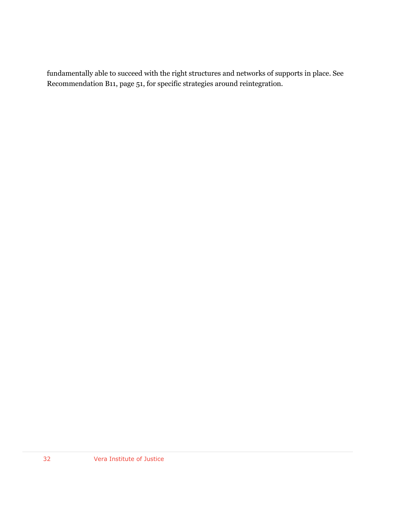fundamentally able to succeed with the right structures and networks of supports in place. See Recommendation B11, page 51, for specific strategies around reintegration.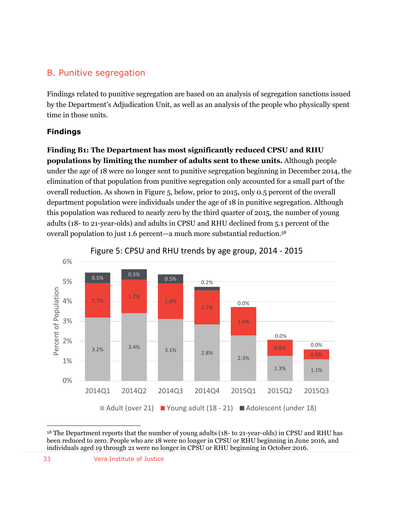# <span id="page-32-0"></span>B. Punitive segregation

Findings related to punitive segregation are based on an analysis of segregation sanctions issued by the Department's Adjudication Unit, as well as an analysis of the people who physically spent time in those units.

#### <span id="page-32-1"></span>**Findings**

**Finding B1: The Department has most significantly reduced CPSU and RHU populations by limiting the number of adults sent to these units.** Although people under the age of 18 were no longer sent to punitive segregation beginning in December 2014, the elimination of that population from punitive segregation only accounted for a small part of the overall reduction. As shown in Figure 5, below, prior to 2015, only 0.5 percent of the overall department population were individuals under the age of 18 in punitive segregation. Although this population was reduced to nearly zero by the third quarter of 2015, the number of young adults (18- to 21-year-olds) and adults in CPSU and RHU declined from 5.1 percent of the overall population to just 1.6 percent—a much more substantial reduction. 58



Figure 5: CPSU and RHU trends by age group, 2014 - 2015

 $\overline{a}$ <sup>58</sup> The Department reports that the number of young adults (18- to 21-year-olds) in CPSU and RHU has been reduced to zero. People who are 18 were no longer in CPSU or RHU beginning in June 2016, and individuals aged 19 through 21 were no longer in CPSU or RHU beginning in October 2016.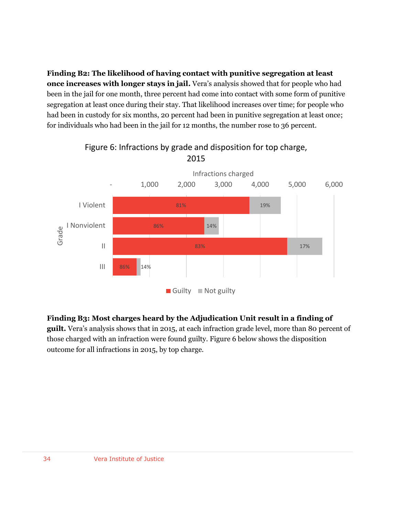**Finding B2: The likelihood of having contact with punitive segregation at least once increases with longer stays in jail.** Vera's analysis showed that for people who had been in the jail for one month, three percent had come into contact with some form of punitive segregation at least once during their stay. That likelihood increases over time; for people who had been in custody for six months, 20 percent had been in punitive segregation at least once; for individuals who had been in the jail for 12 months, the number rose to 36 percent.



#### Figure 6: Infractions by grade and disposition for top charge, 2015

#### **Finding B3: Most charges heard by the Adjudication Unit result in a finding of**

**guilt.** Vera's analysis shows that in 2015, at each infraction grade level, more than 80 percent of those charged with an infraction were found guilty. Figure 6 below shows the disposition outcome for all infractions in 2015, by top charge.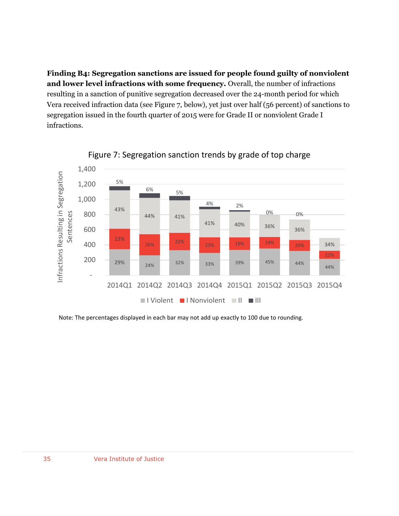**Finding B4: Segregation sanctions are issued for people found guilty of nonviolent and lower level infractions with some frequency.** Overall, the number of infractions resulting in a sanction of punitive segregation decreased over the 24-month period for which Vera received infraction data (see Figure 7, below), yet just over half (56 percent) of sanctions to segregation issued in the fourth quarter of 2015 were for Grade II or nonviolent Grade I infractions.



## Figure 7: Segregation sanction trends by grade of top charge

Note: The percentages displayed in each bar may not add up exactly to 100 due to rounding.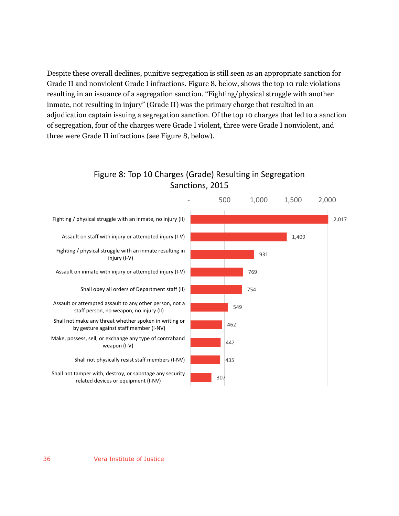Despite these overall declines, punitive segregation is still seen as an appropriate sanction for Grade II and nonviolent Grade I infractions. Figure 8, below, shows the top 10 rule violations resulting in an issuance of a segregation sanction. "Fighting/physical struggle with another inmate, not resulting in injury" (Grade II) was the primary charge that resulted in an adjudication captain issuing a segregation sanction. Of the top 10 charges that led to a sanction of segregation, four of the charges were Grade I violent, three were Grade I nonviolent, and three were Grade II infractions (see Figure 8, below).

# Figure 8: Top 10 Charges (Grade) Resulting in Segregation Sanctions, 2015

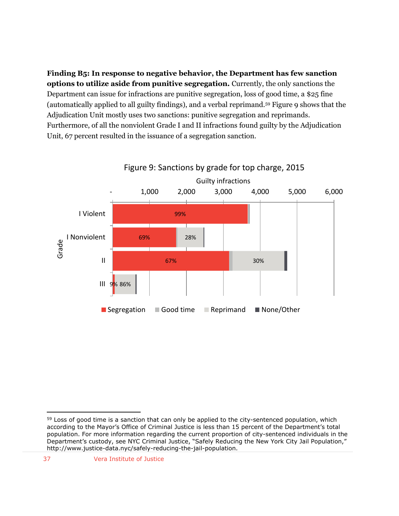**Finding B5: In response to negative behavior, the Department has few sanction options to utilize aside from punitive segregation.** Currently, the only sanctions the Department can issue for infractions are punitive segregation, loss of good time, a \$25 fine (automatically applied to all guilty findings), and a verbal reprimand.<sup>59</sup> Figure 9 shows that the Adjudication Unit mostly uses two sanctions: punitive segregation and reprimands. Furthermore, of all the nonviolent Grade I and II infractions found guilty by the Adjudication Unit, 67 percent resulted in the issuance of a segregation sanction.



Figure 9: Sanctions by grade for top charge, 2015

 $59$  Loss of good time is a sanction that can only be applied to the city-sentenced population, which according to the Mayor's Office of Criminal Justice is less than 15 percent of the Department's total population. For more information regarding the current proportion of city-sentenced individuals in the Department's custody, see NYC Criminal Justice, "Safely Reducing the New York City Jail Population," http://www.justice-data.nyc/safely-reducing-the-jail-population.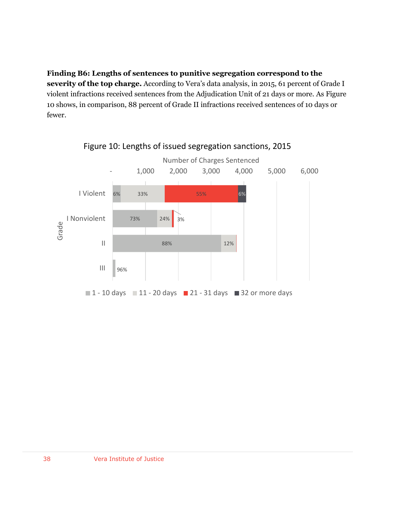**Finding B6: Lengths of sentences to punitive segregation correspond to the severity of the top charge.** According to Vera's data analysis, in 2015, 61 percent of Grade I violent infractions received sentences from the Adjudication Unit of 21 days or more. As Figure 10 shows, in comparison, 88 percent of Grade II infractions received sentences of 10 days or fewer.



Figure 10: Lengths of issued segregation sanctions, 2015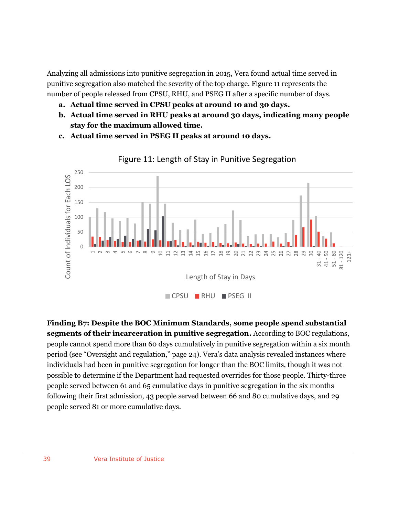Analyzing all admissions into punitive segregation in 2015, Vera found actual time served in punitive segregation also matched the severity of the top charge. Figure 11 represents the number of people released from CPSU, RHU, and PSEG II after a specific number of days.

- **a. Actual time served in CPSU peaks at around 10 and 30 days.**
- **b. Actual time served in RHU peaks at around 30 days, indicating many people stay for the maximum allowed time.**
- **c. Actual time served in PSEG II peaks at around 10 days.**



Figure 11: Length of Stay in Punitive Segregation

**Finding B7: Despite the BOC Minimum Standards, some people spend substantial segments of their incarceration in punitive segregation.** According to BOC regulations, people cannot spend more than 60 days cumulatively in punitive segregation within a six month period (see "Oversight and regulation," page 24). Vera's data analysis revealed instances where individuals had been in punitive segregation for longer than the BOC limits, though it was not possible to determine if the Department had requested overrides for those people. Thirty-three people served between 61 and 65 cumulative days in punitive segregation in the six months following their first admission, 43 people served between 66 and 80 cumulative days, and 29 people served 81 or more cumulative days.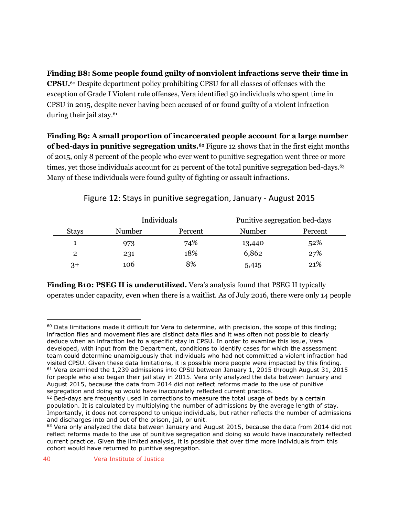**Finding B8: Some people found guilty of nonviolent infractions serve their time in CPSU.**<sup>60</sup> Despite department policy prohibiting CPSU for all classes of offenses with the exception of Grade I Violent rule offenses, Vera identified 50 individuals who spent time in CPSU in 2015, despite never having been accused of or found guilty of a violent infraction during their jail stay.<sup>61</sup>

**Finding B9: A small proportion of incarcerated people account for a large number of bed-days in punitive segregation units.<sup>62</sup>** Figure 12 shows that in the first eight months of 2015, only 8 percent of the people who ever went to punitive segregation went three or more times, yet those individuals account for 21 percent of the total punitive segregation bed-days.<sup>63</sup> Many of these individuals were found guilty of fighting or assault infractions.

|              |        | Individuals |        | Punitive segregation bed-days |  |
|--------------|--------|-------------|--------|-------------------------------|--|
| <b>Stays</b> | Number | Percent     | Number | Percent                       |  |
|              | 973    | 74%         | 13,440 | 52%                           |  |
| $\mathbf{2}$ | 231    | 18%         | 6,862  | 27%                           |  |
| $3+$         | 106    | 8%          | 5,415  | 21%                           |  |

## Figure 12: Stays in punitive segregation, January - August 2015

**Finding B10: PSEG II is underutilized.** Vera's analysis found that PSEG II typically operates under capacity, even when there is a waitlist. As of July 2016, there were only 14 people

 $60$  Data limitations made it difficult for Vera to determine, with precision, the scope of this finding; infraction files and movement files are distinct data files and it was often not possible to clearly deduce when an infraction led to a specific stay in CPSU. In order to examine this issue, Vera developed, with input from the Department, conditions to identify cases for which the assessment team could determine unambiguously that individuals who had not committed a violent infraction had visited CPSU. Given these data limitations, it is possible more people were impacted by this finding. <sup>61</sup> Vera examined the 1,239 admissions into CPSU between January 1, 2015 through August 31, 2015 for people who also began their jail stay in 2015. Vera only analyzed the data between January and August 2015, because the data from 2014 did not reflect reforms made to the use of punitive segregation and doing so would have inaccurately reflected current practice.

 $62$  Bed-days are frequently used in corrections to measure the total usage of beds by a certain population. It is calculated by multiplying the number of admissions by the average length of stay. Importantly, it does not correspond to unique individuals, but rather reflects the number of admissions and discharges into and out of the prison, jail, or unit.

 $63$  Vera only analyzed the data between January and August 2015, because the data from 2014 did not reflect reforms made to the use of punitive segregation and doing so would have inaccurately reflected current practice. Given the limited analysis, it is possible that over time more individuals from this cohort would have returned to punitive segregation.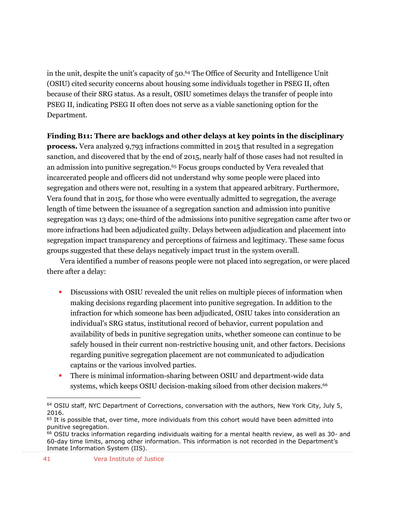in the unit, despite the unit's capacity of 50.<sup>64</sup> The Office of Security and Intelligence Unit (OSIU) cited security concerns about housing some individuals together in PSEG II, often because of their SRG status. As a result, OSIU sometimes delays the transfer of people into PSEG II, indicating PSEG II often does not serve as a viable sanctioning option for the Department.

## **Finding B11: There are backlogs and other delays at key points in the disciplinary**

**process.** Vera analyzed 9,793 infractions committed in 2015 that resulted in a segregation sanction, and discovered that by the end of 2015, nearly half of those cases had not resulted in an admission into punitive segregation.<sup>65</sup> Focus groups conducted by Vera revealed that incarcerated people and officers did not understand why some people were placed into segregation and others were not, resulting in a system that appeared arbitrary. Furthermore, Vera found that in 2015, for those who were eventually admitted to segregation, the average length of time between the issuance of a segregation sanction and admission into punitive segregation was 13 days; one-third of the admissions into punitive segregation came after two or more infractions had been adjudicated guilty. Delays between adjudication and placement into segregation impact transparency and perceptions of fairness and legitimacy. These same focus groups suggested that these delays negatively impact trust in the system overall.

Vera identified a number of reasons people were not placed into segregation, or were placed there after a delay:

- Discussions with OSIU revealed the unit relies on multiple pieces of information when making decisions regarding placement into punitive segregation. In addition to the infraction for which someone has been adjudicated, OSIU takes into consideration an individual's SRG status, institutional record of behavior, current population and availability of beds in punitive segregation units, whether someone can continue to be safely housed in their current non-restrictive housing unit, and other factors. Decisions regarding punitive segregation placement are not communicated to adjudication captains or the various involved parties.
- There is minimal information-sharing between OSIU and department-wide data systems, which keeps OSIU decision-making siloed from other decision makers.<sup>66</sup>

<sup>&</sup>lt;sup>64</sup> OSIU staff, NYC Department of Corrections, conversation with the authors, New York City, July 5, 2016.

<sup>&</sup>lt;sup>65</sup> It is possible that, over time, more individuals from this cohort would have been admitted into punitive segregation.

<sup>66</sup> OSIU tracks information regarding individuals waiting for a mental health review, as well as 30- and 60-day time limits, among other information. This information is not recorded in the Department's Inmate Information System (IIS).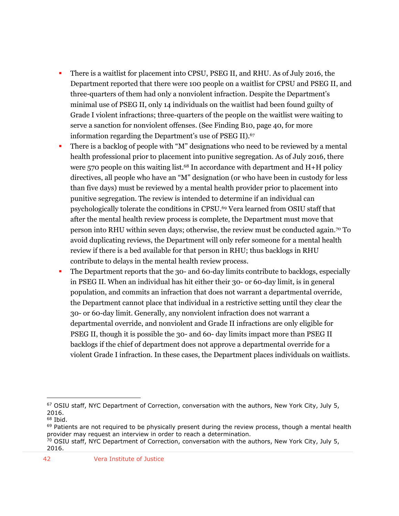- There is a waitlist for placement into CPSU, PSEG II, and RHU. As of July 2016, the Department reported that there were 100 people on a waitlist for CPSU and PSEG II, and three-quarters of them had only a nonviolent infraction. Despite the Department's minimal use of PSEG II, only 14 individuals on the waitlist had been found guilty of Grade I violent infractions; three-quarters of the people on the waitlist were waiting to serve a sanction for nonviolent offenses. (See Finding B10, page 40, for more information regarding the Department's use of PSEG II).<sup>67</sup>
- There is a backlog of people with "M" designations who need to be reviewed by a mental health professional prior to placement into punitive segregation. As of July 2016, there were 570 people on this waiting list.<sup>68</sup> In accordance with department and  $H+H$  policy directives, all people who have an "M" designation (or who have been in custody for less than five days) must be reviewed by a mental health provider prior to placement into punitive segregation. The review is intended to determine if an individual can psychologically tolerate the conditions in CPSU. <sup>69</sup> Vera learned from OSIU staff that after the mental health review process is complete, the Department must move that person into RHU within seven days; otherwise, the review must be conducted again.<sup>70</sup> To avoid duplicating reviews, the Department will only refer someone for a mental health review if there is a bed available for that person in RHU; thus backlogs in RHU contribute to delays in the mental health review process.
- The Department reports that the 30- and 60-day limits contribute to backlogs, especially in PSEG II. When an individual has hit either their 30- or 60-day limit, is in general population, and commits an infraction that does not warrant a departmental override, the Department cannot place that individual in a restrictive setting until they clear the 30- or 60-day limit. Generally, any nonviolent infraction does not warrant a departmental override, and nonviolent and Grade II infractions are only eligible for PSEG II, though it is possible the 30- and 60- day limits impact more than PSEG II backlogs if the chief of department does not approve a departmental override for a violent Grade I infraction. In these cases, the Department places individuals on waitlists.

<sup>&</sup>lt;sup>67</sup> OSIU staff, NYC Department of Correction, conversation with the authors, New York City, July 5, 2016.

 $68$  Ibid.

 $69$  Patients are not required to be physically present during the review process, though a mental health provider may request an interview in order to reach a determination.

<sup>&</sup>lt;sup>70</sup> OSIU staff, NYC Department of Correction, conversation with the authors, New York City, July 5, 2016.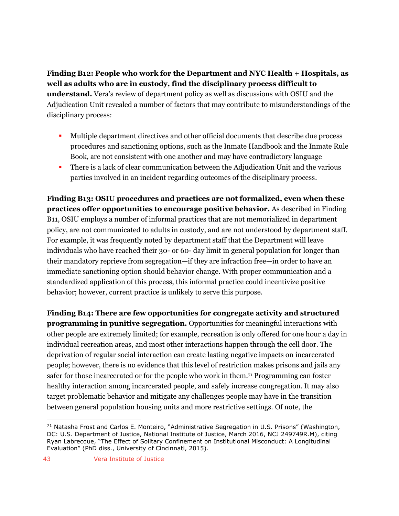**Finding B12: People who work for the Department and NYC Health + Hospitals, as well as adults who are in custody, find the disciplinary process difficult to understand.** Vera's review of department policy as well as discussions with OSIU and the Adjudication Unit revealed a number of factors that may contribute to misunderstandings of the disciplinary process:

- Multiple department directives and other official documents that describe due process procedures and sanctioning options, such as the Inmate Handbook and the Inmate Rule Book, are not consistent with one another and may have contradictory language
- There is a lack of clear communication between the Adjudication Unit and the various parties involved in an incident regarding outcomes of the disciplinary process.

**Finding B13: OSIU procedures and practices are not formalized, even when these practices offer opportunities to encourage positive behavior.** As described in Finding B11, OSIU employs a number of informal practices that are not memorialized in department policy, are not communicated to adults in custody, and are not understood by department staff. For example, it was frequently noted by department staff that the Department will leave individuals who have reached their 30- or 60- day limit in general population for longer than their mandatory reprieve from segregation—if they are infraction free—in order to have an immediate sanctioning option should behavior change. With proper communication and a standardized application of this process, this informal practice could incentivize positive behavior; however, current practice is unlikely to serve this purpose.

**Finding B14: There are few opportunities for congregate activity and structured programming in punitive segregation.** Opportunities for meaningful interactions with other people are extremely limited; for example, recreation is only offered for one hour a day in individual recreation areas, and most other interactions happen through the cell door. The deprivation of regular social interaction can create lasting negative impacts on incarcerated people; however, there is no evidence that this level of restriction makes prisons and jails any safer for those incarcerated or for the people who work in them.<sup>71</sup> Programming can foster healthy interaction among incarcerated people, and safely increase congregation. It may also target problematic behavior and mitigate any challenges people may have in the transition between general population housing units and more restrictive settings. Of note, the

<sup>&</sup>lt;sup>71</sup> Natasha Frost and Carlos E. Monteiro, "Administrative Segregation in U.S. Prisons" (Washington, DC: U.S. Department of Justice, National Institute of Justice, March 2016, NCJ 249749R.M), citing Ryan Labrecque, "The Effect of Solitary Confinement on Institutional Misconduct: A Longitudinal Evaluation" (PhD diss., University of Cincinnati, 2015).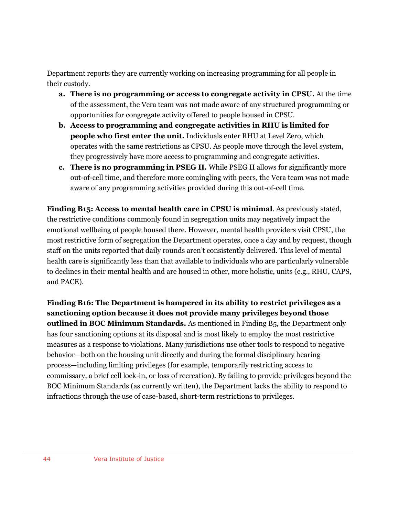Department reports they are currently working on increasing programming for all people in their custody.

- **a. There is no programming or access to congregate activity in CPSU.** At the time of the assessment, the Vera team was not made aware of any structured programming or opportunities for congregate activity offered to people housed in CPSU.
- **b. Access to programming and congregate activities in RHU is limited for people who first enter the unit.** Individuals enter RHU at Level Zero, which operates with the same restrictions as CPSU. As people move through the level system, they progressively have more access to programming and congregate activities.
- **c. There is no programming in PSEG II.** While PSEG II allows for significantly more out-of-cell time, and therefore more comingling with peers, the Vera team was not made aware of any programming activities provided during this out-of-cell time.

**Finding B15: Access to mental health care in CPSU is minimal**. As previously stated, the restrictive conditions commonly found in segregation units may negatively impact the emotional wellbeing of people housed there. However, mental health providers visit CPSU, the most restrictive form of segregation the Department operates, once a day and by request, though staff on the units reported that daily rounds aren't consistently delivered. This level of mental health care is significantly less than that available to individuals who are particularly vulnerable to declines in their mental health and are housed in other, more holistic, units (e.g., RHU, CAPS, and PACE).

**Finding B16: The Department is hampered in its ability to restrict privileges as a sanctioning option because it does not provide many privileges beyond those outlined in BOC Minimum Standards.** As mentioned in Finding B5, the Department only has four sanctioning options at its disposal and is most likely to employ the most restrictive measures as a response to violations. Many jurisdictions use other tools to respond to negative behavior—both on the housing unit directly and during the formal disciplinary hearing process—including limiting privileges (for example, temporarily restricting access to commissary, a brief cell lock-in, or loss of recreation). By failing to provide privileges beyond the BOC Minimum Standards (as currently written), the Department lacks the ability to respond to infractions through the use of case-based, short-term restrictions to privileges.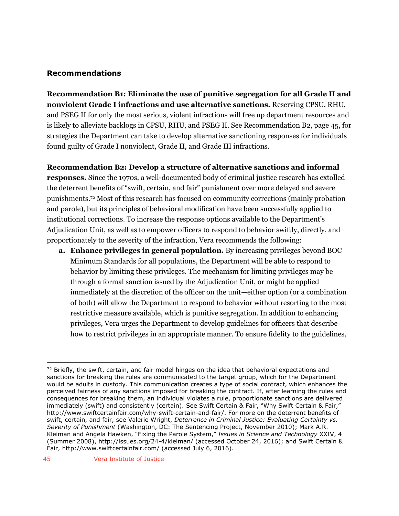#### **Recommendations**

**Recommendation B1: Eliminate the use of punitive segregation for all Grade II and nonviolent Grade I infractions and use alternative sanctions.** Reserving CPSU, RHU, and PSEG II for only the most serious, violent infractions will free up department resources and is likely to alleviate backlogs in CPSU, RHU, and PSEG II. See Recommendation B2, page 45, for strategies the Department can take to develop alternative sanctioning responses for individuals found guilty of Grade I nonviolent, Grade II, and Grade III infractions.

#### **Recommendation B2: Develop a structure of alternative sanctions and informal**

**responses.** Since the 1970s, a well-documented body of criminal justice research has extolled the deterrent benefits of "swift, certain, and fair" punishment over more delayed and severe punishments.<sup>72</sup> Most of this research has focused on community corrections (mainly probation and parole), but its principles of behavioral modification have been successfully applied to institutional corrections. To increase the response options available to the Department's Adjudication Unit, as well as to empower officers to respond to behavior swiftly, directly, and proportionately to the severity of the infraction, Vera recommends the following:

**a. Enhance privileges in general population.** By increasing privileges beyond BOC Minimum Standards for all populations, the Department will be able to respond to behavior by limiting these privileges. The mechanism for limiting privileges may be through a formal sanction issued by the Adjudication Unit, or might be applied immediately at the discretion of the officer on the unit—either option (or a combination of both) will allow the Department to respond to behavior without resorting to the most restrictive measure available, which is punitive segregation. In addition to enhancing privileges, Vera urges the Department to develop guidelines for officers that describe how to restrict privileges in an appropriate manner. To ensure fidelity to the guidelines,

 $72$  Briefly, the swift, certain, and fair model hinges on the idea that behavioral expectations and sanctions for breaking the rules are communicated to the target group, which for the Department would be adults in custody. This communication creates a type of social contract, which enhances the perceived fairness of any sanctions imposed for breaking the contract. If, after learning the rules and consequences for breaking them, an individual violates a rule, proportionate sanctions are delivered immediately (swift) and consistently (certain). See Swift Certain & Fair, "Why Swift Certain & Fair," http://www.swiftcertainfair.com/why-swift-certain-and-fair/. For more on the deterrent benefits of swift, certain, and fair, see Valerie Wright, *Deterrence in Criminal Justice: Evaluating Certainty vs. Severity of Punishment* (Washington, DC: The Sentencing Project, November 2010); Mark A.R. Kleiman and Angela Hawken, "Fixing the Parole System," *Issues in Science and Technology* XXIV, 4 (Summer 2008), http://issues.org/24-4/kleiman/ (accessed October 24, 2016); and Swift Certain & Fair, http://www.swiftcertainfair.com/ (accessed July 6, 2016).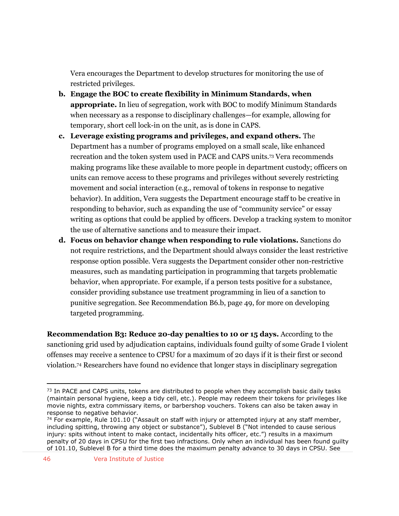Vera encourages the Department to develop structures for monitoring the use of restricted privileges.

- **b. Engage the BOC to create flexibility in Minimum Standards, when appropriate.** In lieu of segregation, work with BOC to modify Minimum Standards when necessary as a response to disciplinary challenges—for example, allowing for temporary, short cell lock-in on the unit, as is done in CAPS.
- **c. Leverage existing programs and privileges, and expand others.** The Department has a number of programs employed on a small scale, like enhanced recreation and the token system used in PACE and CAPS units.<sup>73</sup> Vera recommends making programs like these available to more people in department custody; officers on units can remove access to these programs and privileges without severely restricting movement and social interaction (e.g., removal of tokens in response to negative behavior). In addition, Vera suggests the Department encourage staff to be creative in responding to behavior, such as expanding the use of "community service" or essay writing as options that could be applied by officers. Develop a tracking system to monitor the use of alternative sanctions and to measure their impact.
- **d. Focus on behavior change when responding to rule violations.** Sanctions do not require restrictions, and the Department should always consider the least restrictive response option possible. Vera suggests the Department consider other non-restrictive measures, such as mandating participation in programming that targets problematic behavior, when appropriate. For example, if a person tests positive for a substance, consider providing substance use treatment programming in lieu of a sanction to punitive segregation. See Recommendation B6.b, page 49, for more on developing targeted programming.

**Recommendation B3: Reduce 20-day penalties to 10 or 15 days.** According to the sanctioning grid used by adjudication captains, individuals found guilty of some Grade I violent offenses may receive a sentence to CPSU for a maximum of 20 days if it is their first or second violation.<sup>74</sup> Researchers have found no evidence that longer stays in disciplinary segregation

 $73$  In PACE and CAPS units, tokens are distributed to people when they accomplish basic daily tasks (maintain personal hygiene, keep a tidy cell, etc.). People may redeem their tokens for privileges like movie nights, extra commissary items, or barbershop vouchers. Tokens can also be taken away in response to negative behavior.

<sup>&</sup>lt;sup>74</sup> For example, Rule 101.10 ("Assault on staff with injury or attempted injury at any staff member, including spitting, throwing any object or substance"), Sublevel B ("Not intended to cause serious injury: spits without intent to make contact, incidentally hits officer, etc.") results in a maximum penalty of 20 days in CPSU for the first two infractions. Only when an individual has been found guilty of 101.10, Sublevel B for a third time does the maximum penalty advance to 30 days in CPSU. See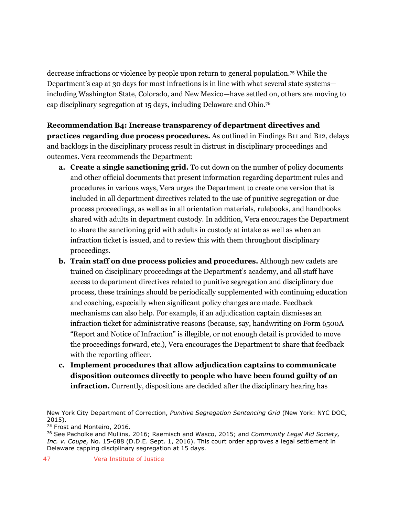decrease infractions or violence by people upon return to general population.<sup>75</sup> While the Department's cap at 30 days for most infractions is in line with what several state systems including Washington State, Colorado, and New Mexico—have settled on, others are moving to cap disciplinary segregation at 15 days, including Delaware and Ohio.<sup>76</sup>

**Recommendation B4: Increase transparency of department directives and practices regarding due process procedures.** As outlined in Findings B11 and B12, delays and backlogs in the disciplinary process result in distrust in disciplinary proceedings and outcomes. Vera recommends the Department:

- **a. Create a single sanctioning grid.** To cut down on the number of policy documents and other official documents that present information regarding department rules and procedures in various ways, Vera urges the Department to create one version that is included in all department directives related to the use of punitive segregation or due process proceedings, as well as in all orientation materials, rulebooks, and handbooks shared with adults in department custody. In addition, Vera encourages the Department to share the sanctioning grid with adults in custody at intake as well as when an infraction ticket is issued, and to review this with them throughout disciplinary proceedings.
- **b. Train staff on due process policies and procedures.** Although new cadets are trained on disciplinary proceedings at the Department's academy, and all staff have access to department directives related to punitive segregation and disciplinary due process, these trainings should be periodically supplemented with continuing education and coaching, especially when significant policy changes are made. Feedback mechanisms can also help. For example, if an adjudication captain dismisses an infraction ticket for administrative reasons (because, say, handwriting on Form 6500A "Report and Notice of Infraction" is illegible, or not enough detail is provided to move the proceedings forward, etc.), Vera encourages the Department to share that feedback with the reporting officer.
- **c. Implement procedures that allow adjudication captains to communicate disposition outcomes directly to people who have been found guilty of an infraction.** Currently, dispositions are decided after the disciplinary hearing has

New York City Department of Correction, *Punitive Segregation Sentencing Grid* (New York: NYC DOC, 2015).

<sup>&</sup>lt;sup>75</sup> Frost and Monteiro, 2016.

<sup>76</sup> See Pacholke and Mullins, 2016; Raemisch and Wasco, 2015; and *Community Legal Aid Society, Inc. v. Coupe, No.* 15-688 (D.D.E. Sept. 1, 2016). This court order approves a legal settlement in Delaware capping disciplinary segregation at 15 days.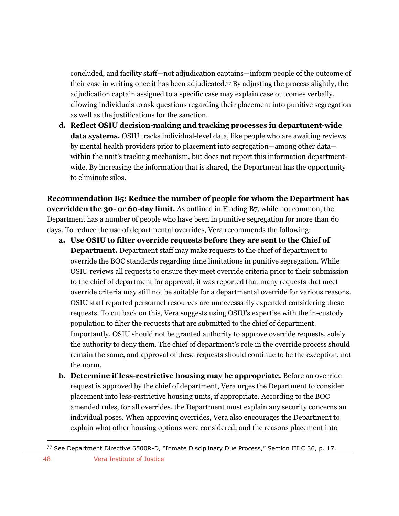concluded, and facility staff—not adjudication captains—inform people of the outcome of their case in writing once it has been adjudicated.<sup>77</sup> By adjusting the process slightly, the adjudication captain assigned to a specific case may explain case outcomes verbally, allowing individuals to ask questions regarding their placement into punitive segregation as well as the justifications for the sanction.

**d. Reflect OSIU decision-making and tracking processes in department-wide data systems.** OSIU tracks individual-level data, like people who are awaiting reviews by mental health providers prior to placement into segregation—among other data within the unit's tracking mechanism, but does not report this information departmentwide. By increasing the information that is shared, the Department has the opportunity to eliminate silos.

**Recommendation B5: Reduce the number of people for whom the Department has overridden the 30- or 60-day limit.** As outlined in Finding B7, while not common, the Department has a number of people who have been in punitive segregation for more than 60 days. To reduce the use of departmental overrides, Vera recommends the following:

- **a. Use OSIU to filter override requests before they are sent to the Chief of Department.** Department staff may make requests to the chief of department to override the BOC standards regarding time limitations in punitive segregation. While OSIU reviews all requests to ensure they meet override criteria prior to their submission to the chief of department for approval, it was reported that many requests that meet override criteria may still not be suitable for a departmental override for various reasons. OSIU staff reported personnel resources are unnecessarily expended considering these requests. To cut back on this, Vera suggests using OSIU's expertise with the in-custody population to filter the requests that are submitted to the chief of department. Importantly, OSIU should not be granted authority to approve override requests, solely the authority to deny them. The chief of department's role in the override process should remain the same, and approval of these requests should continue to be the exception, not the norm.
- **b. Determine if less-restrictive housing may be appropriate.** Before an override request is approved by the chief of department, Vera urges the Department to consider placement into less-restrictive housing units, if appropriate. According to the BOC amended rules, for all overrides, the Department must explain any security concerns an individual poses. When approving overrides, Vera also encourages the Department to explain what other housing options were considered, and the reasons placement into

<sup>77</sup> See Department Directive 6500R-D, "Inmate Disciplinary Due Process," Section III.C.36, p. 17.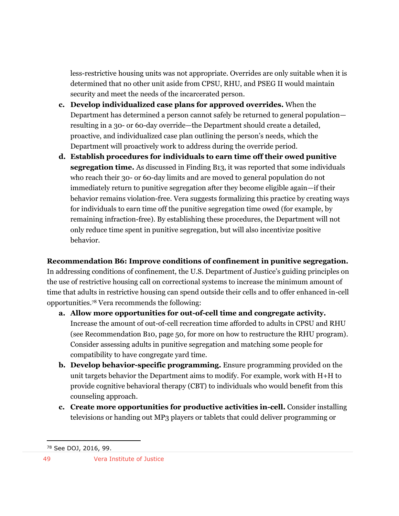less-restrictive housing units was not appropriate. Overrides are only suitable when it is determined that no other unit aside from CPSU, RHU, and PSEG II would maintain security and meet the needs of the incarcerated person.

- **c. Develop individualized case plans for approved overrides.** When the Department has determined a person cannot safely be returned to general population resulting in a 30- or 60-day override—the Department should create a detailed, proactive, and individualized case plan outlining the person's needs, which the Department will proactively work to address during the override period.
- **d. Establish procedures for individuals to earn time off their owed punitive segregation time.** As discussed in Finding B13, it was reported that some individuals who reach their 30- or 60-day limits and are moved to general population do not immediately return to punitive segregation after they become eligible again—if their behavior remains violation-free. Vera suggests formalizing this practice by creating ways for individuals to earn time off the punitive segregation time owed (for example, by remaining infraction-free). By establishing these procedures, the Department will not only reduce time spent in punitive segregation, but will also incentivize positive behavior.

**Recommendation B6: Improve conditions of confinement in punitive segregation.**

In addressing conditions of confinement, the U.S. Department of Justice's guiding principles on the use of restrictive housing call on correctional systems to increase the minimum amount of time that adults in restrictive housing can spend outside their cells and to offer enhanced in-cell opportunities.<sup>78</sup> Vera recommends the following:

- **a. Allow more opportunities for out-of-cell time and congregate activity.**  Increase the amount of out-of-cell recreation time afforded to adults in CPSU and RHU (see Recommendation B10, page 50, for more on how to restructure the RHU program). Consider assessing adults in punitive segregation and matching some people for compatibility to have congregate yard time.
- **b. Develop behavior-specific programming.** Ensure programming provided on the unit targets behavior the Department aims to modify. For example, work with H+H to provide cognitive behavioral therapy (CBT) to individuals who would benefit from this counseling approach.
- **c. Create more opportunities for productive activities in-cell.** Consider installing televisions or handing out MP3 players or tablets that could deliver programming or

<sup>78</sup> See DOJ, 2016, 99.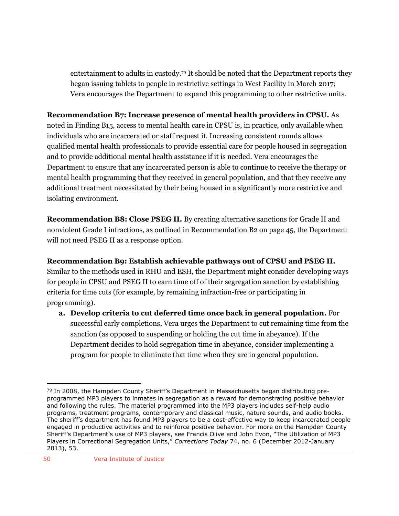entertainment to adults in custody.<sup>79</sup> It should be noted that the Department reports they began issuing tablets to people in restrictive settings in West Facility in March 2017; Vera encourages the Department to expand this programming to other restrictive units.

## **Recommendation B7: Increase presence of mental health providers in CPSU.** As

noted in Finding B15, access to mental health care in CPSU is, in practice, only available when individuals who are incarcerated or staff request it. Increasing consistent rounds allows qualified mental health professionals to provide essential care for people housed in segregation and to provide additional mental health assistance if it is needed. Vera encourages the Department to ensure that any incarcerated person is able to continue to receive the therapy or mental health programming that they received in general population, and that they receive any additional treatment necessitated by their being housed in a significantly more restrictive and isolating environment.

**Recommendation B8: Close PSEG II.** By creating alternative sanctions for Grade II and nonviolent Grade I infractions, as outlined in Recommendation B2 on page 45, the Department will not need PSEG II as a response option.

## **Recommendation B9: Establish achievable pathways out of CPSU and PSEG II.**

Similar to the methods used in RHU and ESH, the Department might consider developing ways for people in CPSU and PSEG II to earn time off of their segregation sanction by establishing criteria for time cuts (for example, by remaining infraction-free or participating in programming).

**a. Develop criteria to cut deferred time once back in general population.** For successful early completions, Vera urges the Department to cut remaining time from the sanction (as opposed to suspending or holding the cut time in abeyance). If the Department decides to hold segregation time in abeyance, consider implementing a program for people to eliminate that time when they are in general population.

 $\overline{a}$  $79$  In 2008, the Hampden County Sheriff's Department in Massachusetts began distributing preprogrammed MP3 players to inmates in segregation as a reward for demonstrating positive behavior and following the rules. The material programmed into the MP3 players includes self-help audio programs, treatment programs, contemporary and classical music, nature sounds, and audio books. The sheriff's department has found MP3 players to be a cost-effective way to keep incarcerated people engaged in productive activities and to reinforce positive behavior. For more on the Hampden County Sheriff's Department's use of MP3 players, see Francis Olive and John Evon, "The Utilization of MP3 Players in Correctional Segregation Units," *Corrections Today* 74, no. 6 (December 2012-January 2013), 53.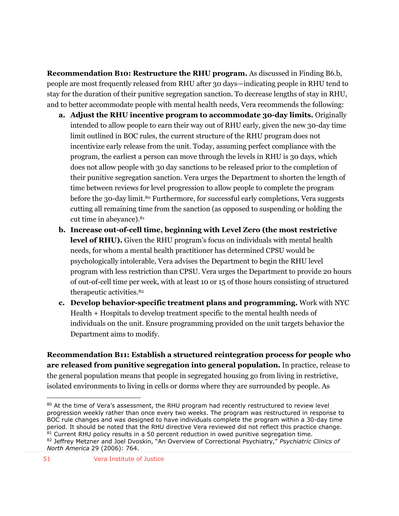**Recommendation B10: Restructure the RHU program.** As discussed in Finding B6.b, people are most frequently released from RHU after 30 days—indicating people in RHU tend to stay for the duration of their punitive segregation sanction. To decrease lengths of stay in RHU, and to better accommodate people with mental health needs, Vera recommends the following:

- **a. Adjust the RHU incentive program to accommodate 30-day limits.** Originally intended to allow people to earn their way out of RHU early, given the new 30-day time limit outlined in BOC rules, the current structure of the RHU program does not incentivize early release from the unit. Today, assuming perfect compliance with the program, the earliest a person can move through the levels in RHU is 30 days, which does not allow people with 30 day sanctions to be released prior to the completion of their punitive segregation sanction. Vera urges the Department to shorten the length of time between reviews for level progression to allow people to complete the program before the 30-day limit.<sup>80</sup> Furthermore, for successful early completions, Vera suggests cutting all remaining time from the sanction (as opposed to suspending or holding the cut time in abeyance).<sup>81</sup>
- **b. Increase out-of-cell time, beginning with Level Zero (the most restrictive level of RHU).** Given the RHU program's focus on individuals with mental health needs, for whom a mental health practitioner has determined CPSU would be psychologically intolerable, Vera advises the Department to begin the RHU level program with less restriction than CPSU. Vera urges the Department to provide 20 hours of out-of-cell time per week, with at least 10 or 15 of those hours consisting of structured therapeutic activities.<sup>82</sup>
- **c. Develop behavior-specific treatment plans and programming.** Work with NYC Health + Hospitals to develop treatment specific to the mental health needs of individuals on the unit. Ensure programming provided on the unit targets behavior the Department aims to modify.

**Recommendation B11: Establish a structured reintegration process for people who are released from punitive segregation into general population.** In practice, release to the general population means that people in segregated housing go from living in restrictive, isolated environments to living in cells or dorms where they are surrounded by people. As

<sup>80</sup> At the time of Vera's assessment, the RHU program had recently restructured to review level progression weekly rather than once every two weeks. The program was restructured in response to BOC rule changes and was designed to have individuals complete the program within a 30-day time period. It should be noted that the RHU directive Vera reviewed did not reflect this practice change. 81 Current RHU policy results in a 50 percent reduction in owed punitive segregation time. <sup>82</sup> Jeffrey Metzner and Joel Dvoskin, "An Overview of Correctional Psychiatry," *Psychiatric Clinics of North America* 29 (2006): 764.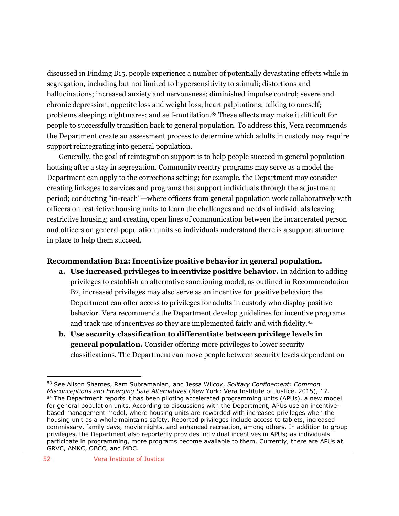discussed in Finding B15, people experience a number of potentially devastating effects while in segregation, including but not limited to hypersensitivity to stimuli; distortions and hallucinations; increased anxiety and nervousness; diminished impulse control; severe and chronic depression; appetite loss and weight loss; heart palpitations; talking to oneself; problems sleeping; nightmares; and self-mutilation.<sup>83</sup> These effects may make it difficult for people to successfully transition back to general population. To address this, Vera recommends the Department create an assessment process to determine which adults in custody may require support reintegrating into general population.

Generally, the goal of reintegration support is to help people succeed in general population housing after a stay in segregation. Community reentry programs may serve as a model the Department can apply to the corrections setting; for example, the Department may consider creating linkages to services and programs that support individuals through the adjustment period; conducting "in-reach"—where officers from general population work collaboratively with officers on restrictive housing units to learn the challenges and needs of individuals leaving restrictive housing; and creating open lines of communication between the incarcerated person and officers on general population units so individuals understand there is a support structure in place to help them succeed.

#### **Recommendation B12: Incentivize positive behavior in general population.**

- **a. Use increased privileges to incentivize positive behavior.** In addition to adding privileges to establish an alternative sanctioning model, as outlined in Recommendation B2, increased privileges may also serve as an incentive for positive behavior; the Department can offer access to privileges for adults in custody who display positive behavior. Vera recommends the Department develop guidelines for incentive programs and track use of incentives so they are implemented fairly and with fidelity.<sup>84</sup>
- **b. Use security classification to differentiate between privilege levels in general population.** Consider offering more privileges to lower security classifications. The Department can move people between security levels dependent on

<sup>83</sup> See Alison Shames, Ram Subramanian, and Jessa Wilcox, *Solitary Confinement: Common Misconceptions and Emerging Safe Alternatives* (New York: Vera Institute of Justice, 2015), 17. 84 The Department reports it has been piloting accelerated programming units (APUs), a new model for general population units. According to discussions with the Department, APUs use an incentivebased management model, where housing units are rewarded with increased privileges when the housing unit as a whole maintains safety. Reported privileges include access to tablets, increased commissary, family days, movie nights, and enhanced recreation, among others. In addition to group privileges, the Department also reportedly provides individual incentives in APUs; as individuals participate in programming, more programs become available to them. Currently, there are APUs at GRVC, AMKC, OBCC, and MDC.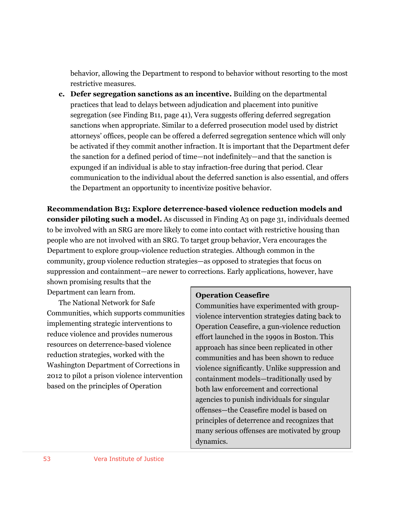behavior, allowing the Department to respond to behavior without resorting to the most restrictive measures.

**c. Defer segregation sanctions as an incentive.** Building on the departmental practices that lead to delays between adjudication and placement into punitive segregation (see Finding B11, page 41), Vera suggests offering deferred segregation sanctions when appropriate. Similar to a deferred prosecution model used by district attorneys' offices, people can be offered a deferred segregation sentence which will only be activated if they commit another infraction. It is important that the Department defer the sanction for a defined period of time—not indefinitely—and that the sanction is expunged if an individual is able to stay infraction-free during that period. Clear communication to the individual about the deferred sanction is also essential, and offers the Department an opportunity to incentivize positive behavior.

**Recommendation B13: Explore deterrence-based violence reduction models and consider piloting such a model.** As discussed in Finding A3 on page 31, individuals deemed to be involved with an SRG are more likely to come into contact with restrictive housing than people who are not involved with an SRG. To target group behavior, Vera encourages the Department to explore group-violence reduction strategies. Although common in the community, group violence reduction strategies—as opposed to strategies that focus on suppression and containment—are newer to corrections. Early applications, however, have

shown promising results that the Department can learn from.

The National Network for Safe Communities, which supports communities implementing strategic interventions to reduce violence and provides numerous resources on deterrence-based violence reduction strategies, worked with the Washington Department of Corrections in 2012 to pilot a prison violence intervention based on the principles of Operation

#### **Operation Ceasefire**

Communities have experimented with groupviolence intervention strategies dating back to Operation Ceasefire, a gun-violence reduction effort launched in the 1990s in Boston. This approach has since been replicated in other communities and has been shown to reduce violence significantly. Unlike suppression and containment models—traditionally used by both law enforcement and correctional agencies to punish individuals for singular offenses—the Ceasefire model is based on principles of deterrence and recognizes that many serious offenses are motivated by group dynamics.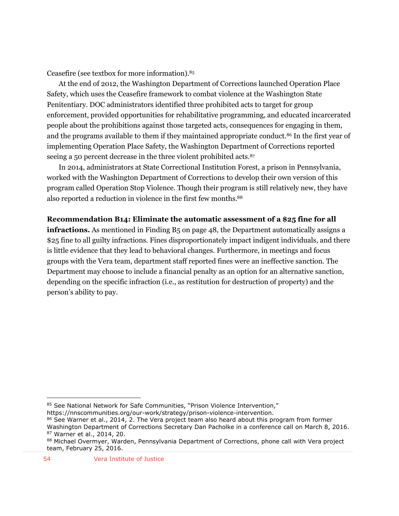Ceasefire (see textbox for more information).<sup>85</sup>

At the end of 2012, the Washington Department of Corrections launched Operation Place Safety, which uses the Ceasefire framework to combat violence at the Washington State Penitentiary. DOC administrators identified three prohibited acts to target for group enforcement, provided opportunities for rehabilitative programming, and educated incarcerated people about the prohibitions against those targeted acts, consequences for engaging in them, and the programs available to them if they maintained appropriate conduct.<sup>86</sup> In the first year of implementing Operation Place Safety, the Washington Department of Corrections reported seeing a 50 percent decrease in the three violent prohibited acts.<sup>87</sup>

In 2014, administrators at State Correctional Institution Forest, a prison in Pennsylvania, worked with the Washington Department of Corrections to develop their own version of this program called Operation Stop Violence. Though their program is still relatively new, they have also reported a reduction in violence in the first few months.<sup>88</sup>

**Recommendation B14: Eliminate the automatic assessment of a \$25 fine for all infractions.** As mentioned in Finding B<sub>5</sub> on page 48, the Department automatically assigns a \$25 fine to all guilty infractions. Fines disproportionately impact indigent individuals, and there is little evidence that they lead to behavioral changes. Furthermore, in meetings and focus groups with the Vera team, department staff reported fines were an ineffective sanction. The Department may choose to include a financial penalty as an option for an alternative sanction, depending on the specific infraction (i.e., as restitution for destruction of property) and the person's ability to pay.

<sup>85</sup> See National Network for Safe Communities, "Prison Violence Intervention,"

https://nnscommunities.org/our-work/strategy/prison-violence-intervention.

<sup>86</sup> See Warner et al., 2014, 2. The Vera project team also heard about this program from former Washington Department of Corrections Secretary Dan Pacholke in a conference call on March 8, 2016. <sup>87</sup> Warner et al., 2014, 20.

<sup>88</sup> Michael Overmyer, Warden, Pennsylvania Department of Corrections, phone call with Vera project team, February 25, 2016.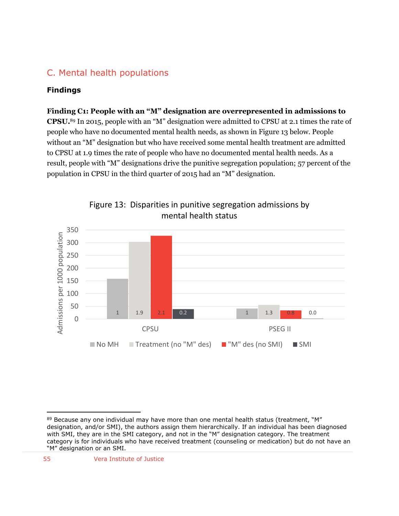# C. Mental health populations

## **Findings**

#### **Finding C1: People with an "M" designation are overrepresented in admissions to**

**CPSU.** <sup>89</sup> In 2015, people with an "M" designation were admitted to CPSU at 2.1 times the rate of people who have no documented mental health needs, as shown in Figure 13 below. People without an "M" designation but who have received some mental health treatment are admitted to CPSU at 1.9 times the rate of people who have no documented mental health needs. As a result, people with "M" designations drive the punitive segregation population; 57 percent of the population in CPSU in the third quarter of 2015 had an "M" designation.





 $\overline{a}$  $89$  Because any one individual may have more than one mental health status (treatment, "M" designation, and/or SMI), the authors assign them hierarchically. If an individual has been diagnosed with SMI, they are in the SMI category, and not in the "M" designation category. The treatment category is for individuals who have received treatment (counseling or medication) but do not have an "M" designation or an SMI.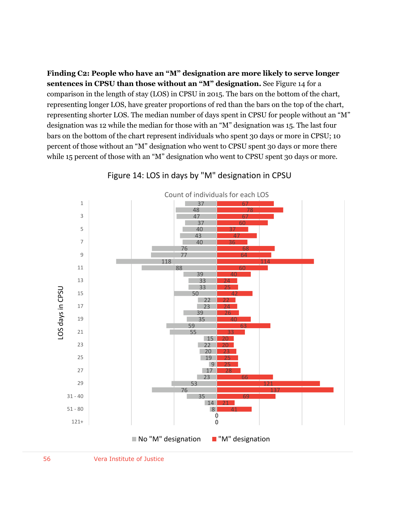**Finding C2: People who have an "M" designation are more likely to serve longer sentences in CPSU than those without an "M" designation.** See Figure 14 for a comparison in the length of stay (LOS) in CPSU in 2015. The bars on the bottom of the chart, representing longer LOS, have greater proportions of red than the bars on the top of the chart, representing shorter LOS. The median number of days spent in CPSU for people without an "M" designation was 12 while the median for those with an "M" designation was 15. The last four bars on the bottom of the chart represent individuals who spent 30 days or more in CPSU; 10 percent of those without an "M" designation who went to CPSU spent 30 days or more there while 15 percent of those with an "M" designation who went to CPSU spent 30 days or more.



Figure 14: LOS in days by "M" designation in CPSU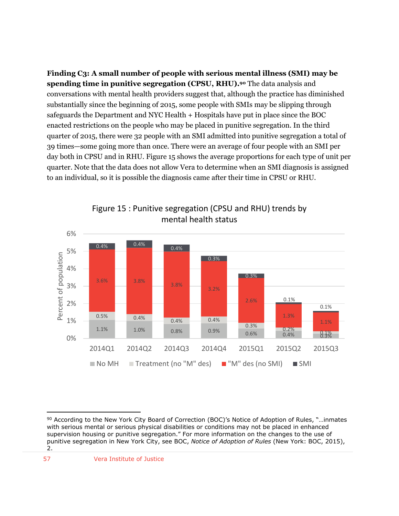**Finding C3: A small number of people with serious mental illness (SMI) may be spending time in punitive segregation (CPSU, RHU).<sup>90</sup>** The data analysis and conversations with mental health providers suggest that, although the practice has diminished substantially since the beginning of 2015, some people with SMIs may be slipping through safeguards the Department and NYC Health + Hospitals have put in place since the BOC enacted restrictions on the people who may be placed in punitive segregation. In the third quarter of 2015, there were 32 people with an SMI admitted into punitive segregation a total of 39 times—some going more than once. There were an average of four people with an SMI per day both in CPSU and in RHU. Figure 15 shows the average proportions for each type of unit per quarter. Note that the data does not allow Vera to determine when an SMI diagnosis is assigned to an individual, so it is possible the diagnosis came after their time in CPSU or RHU.



Figure 15 : Punitive segregation (CPSU and RHU) trends by mental health status

<sup>90</sup> According to the New York City Board of Correction (BOC)'s Notice of Adoption of Rules, "...inmates with serious mental or serious physical disabilities or conditions may not be placed in enhanced supervision housing or punitive segregation." For more information on the changes to the use of punitive segregation in New York City, see BOC, *Notice of Adoption of Rules* (New York: BOC, 2015), 2.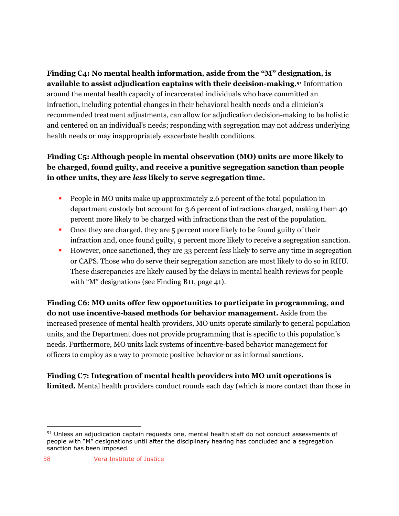**Finding C4: No mental health information, aside from the "M" designation, is available to assist adjudication captains with their decision-making.<sup>91</sup>** Information around the mental health capacity of incarcerated individuals who have committed an infraction, including potential changes in their behavioral health needs and a clinician's recommended treatment adjustments, can allow for adjudication decision-making to be holistic and centered on an individual's needs; responding with segregation may not address underlying health needs or may inappropriately exacerbate health conditions.

# **Finding C5: Although people in mental observation (MO) units are more likely to be charged, found guilty, and receive a punitive segregation sanction than people in other units, they are** *less* **likely to serve segregation time.**

- People in MO units make up approximately 2.6 percent of the total population in department custody but account for 3.6 percent of infractions charged, making them 40 percent more likely to be charged with infractions than the rest of the population.
- Once they are charged, they are 5 percent more likely to be found guilty of their infraction and, once found guilty, 9 percent more likely to receive a segregation sanction.
- However, once sanctioned, they are 33 percent *less* likely to serve any time in segregation or CAPS. Those who do serve their segregation sanction are most likely to do so in RHU. These discrepancies are likely caused by the delays in mental health reviews for people with "M" designations (see Finding B11, page 41).

**Finding C6: MO units offer few opportunities to participate in programming, and do not use incentive-based methods for behavior management.** Aside from the increased presence of mental health providers, MO units operate similarly to general population units, and the Department does not provide programming that is specific to this population's needs. Furthermore, MO units lack systems of incentive-based behavior management for officers to employ as a way to promote positive behavior or as informal sanctions.

**Finding C7: Integration of mental health providers into MO unit operations is limited.** Mental health providers conduct rounds each day (which is more contact than those in

<sup>91</sup> Unless an adjudication captain requests one, mental health staff do not conduct assessments of people with "M" designations until after the disciplinary hearing has concluded and a segregation sanction has been imposed.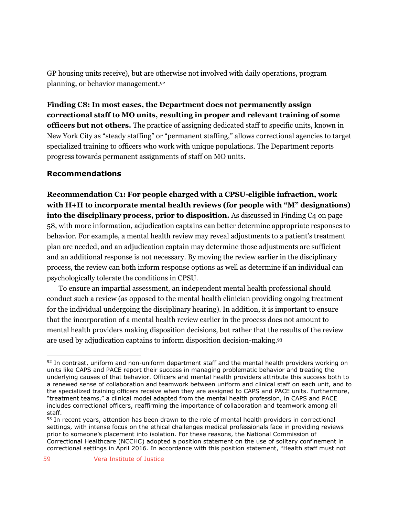GP housing units receive), but are otherwise not involved with daily operations, program planning, or behavior management.<sup>92</sup>

**Finding C8: In most cases, the Department does not permanently assign correctional staff to MO units, resulting in proper and relevant training of some officers but not others.** The practice of assigning dedicated staff to specific units, known in New York City as "steady staffing" or "permanent staffing," allows correctional agencies to target specialized training to officers who work with unique populations. The Department reports progress towards permanent assignments of staff on MO units.

## **Recommendations**

**Recommendation C1: For people charged with a CPSU-eligible infraction, work with H+H to incorporate mental health reviews (for people with "M" designations) into the disciplinary process, prior to disposition.** As discussed in Finding C4 on page 58, with more information, adjudication captains can better determine appropriate responses to behavior. For example, a mental health review may reveal adjustments to a patient's treatment plan are needed, and an adjudication captain may determine those adjustments are sufficient and an additional response is not necessary. By moving the review earlier in the disciplinary process, the review can both inform response options as well as determine if an individual can psychologically tolerate the conditions in CPSU.

To ensure an impartial assessment, an independent mental health professional should conduct such a review (as opposed to the mental health clinician providing ongoing treatment for the individual undergoing the disciplinary hearing). In addition, it is important to ensure that the incorporation of a mental health review earlier in the process does not amount to mental health providers making disposition decisions, but rather that the results of the review are used by adjudication captains to inform disposition decision-making. 93

 $\overline{a}$  $92$  In contrast, uniform and non-uniform department staff and the mental health providers working on units like CAPS and PACE report their success in managing problematic behavior and treating the underlying causes of that behavior. Officers and mental health providers attribute this success both to a renewed sense of collaboration and teamwork between uniform and clinical staff on each unit, and to the specialized training officers receive when they are assigned to CAPS and PACE units. Furthermore, "treatment teams," a clinical model adapted from the mental health profession, in CAPS and PACE includes correctional officers, reaffirming the importance of collaboration and teamwork among all staff.

<sup>93</sup> In recent years, attention has been drawn to the role of mental health providers in correctional settings, with intense focus on the ethical challenges medical professionals face in providing reviews prior to someone's placement into isolation. For these reasons, the National Commission of Correctional Healthcare (NCCHC) adopted a position statement on the use of solitary confinement in correctional settings in April 2016. In accordance with this position statement, "Health staff must not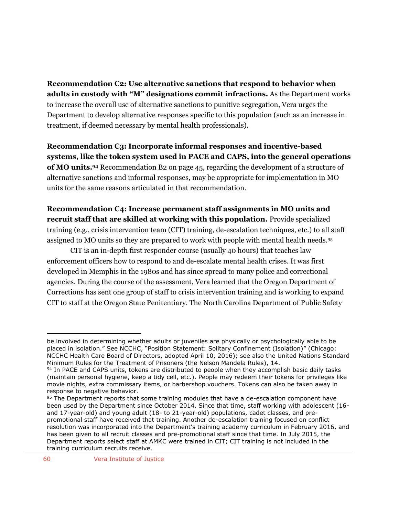**Recommendation C2: Use alternative sanctions that respond to behavior when adults in custody with "M" designations commit infractions.** As the Department works to increase the overall use of alternative sanctions to punitive segregation, Vera urges the Department to develop alternative responses specific to this population (such as an increase in treatment, if deemed necessary by mental health professionals).

**Recommendation C3: Incorporate informal responses and incentive-based systems, like the token system used in PACE and CAPS, into the general operations of MO units. <sup>94</sup>** Recommendation B2 on page 45, regarding the development of a structure of alternative sanctions and informal responses, may be appropriate for implementation in MO units for the same reasons articulated in that recommendation.

**Recommendation C4: Increase permanent staff assignments in MO units and recruit staff that are skilled at working with this population.** Provide specialized training (e.g., crisis intervention team (CIT) training, de-escalation techniques, etc.) to all staff assigned to MO units so they are prepared to work with people with mental health needs.<sup>95</sup>

CIT is an in-depth first responder course (usually 40 hours) that teaches law enforcement officers how to respond to and de-escalate mental health crises. It was first developed in Memphis in the 1980s and has since spread to many police and correctional agencies. During the course of the assessment, Vera learned that the Oregon Department of Corrections has sent one group of staff to crisis intervention training and is working to expand CIT to staff at the Oregon State Penitentiary. The North Carolina Department of Public Safety

be involved in determining whether adults or juveniles are physically or psychologically able to be placed in isolation." See NCCHC, "Position Statement: Solitary Confinement (Isolation)" (Chicago: NCCHC Health Care Board of Directors, adopted April 10, 2016); see also the United Nations Standard Minimum Rules for the Treatment of Prisoners (the Nelson Mandela Rules), 14.

 $94$  In PACE and CAPS units, tokens are distributed to people when they accomplish basic daily tasks (maintain personal hygiene, keep a tidy cell, etc.). People may redeem their tokens for privileges like movie nights, extra commissary items, or barbershop vouchers. Tokens can also be taken away in response to negative behavior.

<sup>95</sup> The Department reports that some training modules that have a de-escalation component have been used by the Department since October 2014. Since that time, staff working with adolescent (16 and 17-year-old) and young adult (18- to 21-year-old) populations, cadet classes, and prepromotional staff have received that training. Another de-escalation training focused on conflict resolution was incorporated into the Department's training academy curriculum in February 2016, and has been given to all recruit classes and pre-promotional staff since that time. In July 2015, the Department reports select staff at AMKC were trained in CIT; CIT training is not included in the training curriculum recruits receive.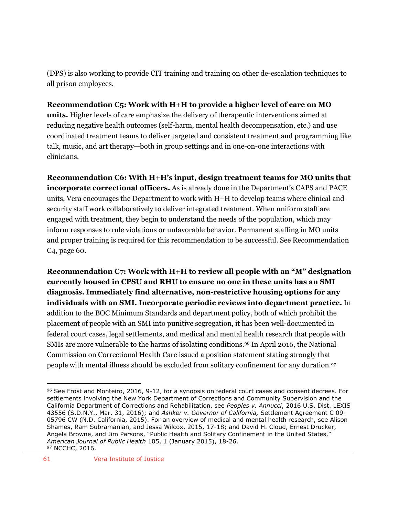(DPS) is also working to provide CIT training and training on other de-escalation techniques to all prison employees.

## **Recommendation C5: Work with H+H to provide a higher level of care on MO**

**units.** Higher levels of care emphasize the delivery of therapeutic interventions aimed at reducing negative health outcomes (self-harm, mental health decompensation, etc.) and use coordinated treatment teams to deliver targeted and consistent treatment and programming like talk, music, and art therapy—both in group settings and in one-on-one interactions with clinicians.

**Recommendation C6: With H+H's input, design treatment teams for MO units that incorporate correctional officers.** As is already done in the Department's CAPS and PACE units, Vera encourages the Department to work with H+H to develop teams where clinical and security staff work collaboratively to deliver integrated treatment. When uniform staff are engaged with treatment, they begin to understand the needs of the population, which may inform responses to rule violations or unfavorable behavior. Permanent staffing in MO units and proper training is required for this recommendation to be successful. See Recommendation C4, page 60.

**Recommendation C7: Work with H+H to review all people with an "M" designation currently housed in CPSU and RHU to ensure no one in these units has an SMI diagnosis. Immediately find alternative, non-restrictive housing options for any individuals with an SMI. Incorporate periodic reviews into department practice.** In addition to the BOC Minimum Standards and department policy, both of which prohibit the placement of people with an SMI into punitive segregation, it has been well-documented in federal court cases, legal settlements, and medical and mental health research that people with SMIs are more vulnerable to the harms of isolating conditions.<sup>96</sup> In April 2016, the National Commission on Correctional Health Care issued a position statement stating strongly that people with mental illness should be excluded from solitary confinement for any duration.<sup>97</sup>

 $\overline{a}$ 96 See Frost and Monteiro, 2016, 9-12, for a synopsis on federal court cases and consent decrees. For settlements involving the New York Department of Corrections and Community Supervision and the California Department of Corrections and Rehabilitation, see *Peoples v. Annucci*, 2016 U.S. Dist. LEXIS 43556 (S.D.N.Y., Mar. 31, 2016); and *Ashker v. Governor of California,* Settlement Agreement C 09- 05796 CW (N.D. California, 2015). For an overview of medical and mental health research, see Alison Shames, Ram Subramanian, and Jessa Wilcox, 2015, 17-18; and David H. Cloud, Ernest Drucker, Angela Browne, and Jim Parsons, "Public Health and Solitary Confinement in the United States," *American Journal of Public Health* 105, 1 (January 2015), 18-26. 97 NCCHC, 2016.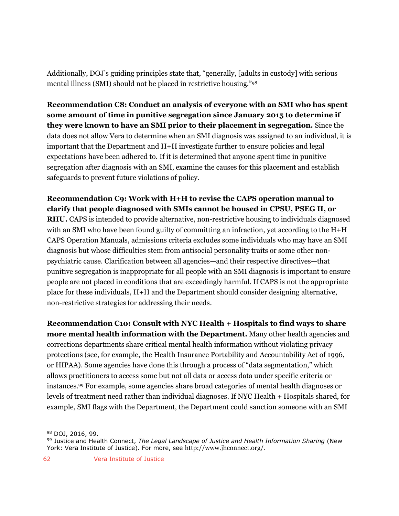Additionally, DOJ's guiding principles state that, "generally, [adults in custody] with serious mental illness (SMI) should not be placed in restrictive housing."<sup>98</sup>

**Recommendation C8: Conduct an analysis of everyone with an SMI who has spent some amount of time in punitive segregation since January 2015 to determine if they were known to have an SMI prior to their placement in segregation.** Since the data does not allow Vera to determine when an SMI diagnosis was assigned to an individual, it is important that the Department and H+H investigate further to ensure policies and legal expectations have been adhered to. If it is determined that anyone spent time in punitive segregation after diagnosis with an SMI, examine the causes for this placement and establish safeguards to prevent future violations of policy.

**Recommendation C9: Work with H+H to revise the CAPS operation manual to clarify that people diagnosed with SMIs cannot be housed in CPSU, PSEG II, or RHU.** CAPS is intended to provide alternative, non-restrictive housing to individuals diagnosed with an SMI who have been found guilty of committing an infraction, yet according to the H+H CAPS Operation Manuals, admissions criteria excludes some individuals who may have an SMI diagnosis but whose difficulties stem from antisocial personality traits or some other nonpsychiatric cause. Clarification between all agencies—and their respective directives—that punitive segregation is inappropriate for all people with an SMI diagnosis is important to ensure people are not placed in conditions that are exceedingly harmful. If CAPS is not the appropriate place for these individuals, H+H and the Department should consider designing alternative, non-restrictive strategies for addressing their needs.

**Recommendation C10: Consult with NYC Health + Hospitals to find ways to share more mental health information with the Department.** Many other health agencies and corrections departments share critical mental health information without violating privacy protections (see, for example, the Health Insurance Portability and Accountability Act of 1996, or HIPAA). Some agencies have done this through a process of "data segmentation," which allows practitioners to access some but not all data or access data under specific criteria or instances.<sup>99</sup> For example, some agencies share broad categories of mental health diagnoses or levels of treatment need rather than individual diagnoses. If NYC Health + Hospitals shared, for example, SMI flags with the Department, the Department could sanction someone with an SMI

 $\overline{a}$ <sup>98</sup> DOJ, 2016, 99.

<sup>99</sup> Justice and Health Connect, *The Legal Landscape of Justice and Health Information Sharing* (New York: Vera Institute of Justice). For more, see <http://www.jhconnect.org/>.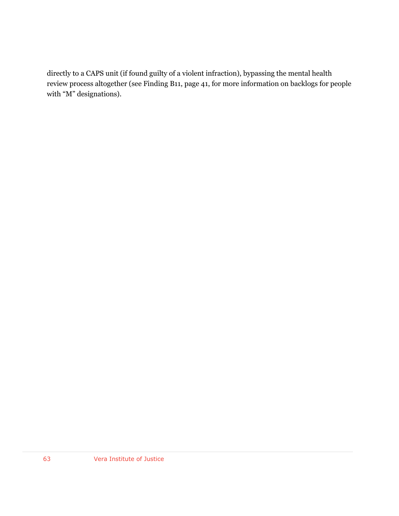directly to a CAPS unit (if found guilty of a violent infraction), bypassing the mental health review process altogether (see Finding B11, page 41, for more information on backlogs for people with "M" designations).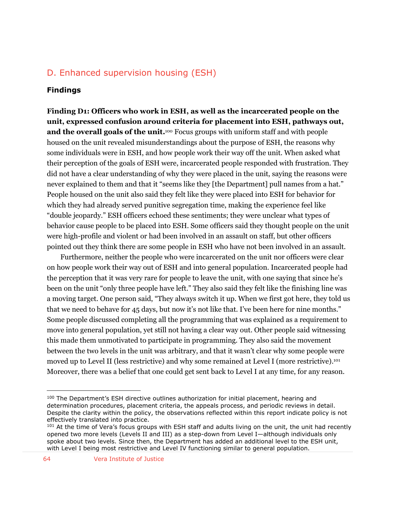# D. Enhanced supervision housing (ESH)

#### **Findings**

**Finding D1: Officers who work in ESH, as well as the incarcerated people on the unit, expressed confusion around criteria for placement into ESH, pathways out, and the overall goals of the unit.**<sup>100</sup> Focus groups with uniform staff and with people housed on the unit revealed misunderstandings about the purpose of ESH, the reasons why some individuals were in ESH, and how people work their way off the unit. When asked what their perception of the goals of ESH were, incarcerated people responded with frustration. They did not have a clear understanding of why they were placed in the unit, saying the reasons were never explained to them and that it "seems like they [the Department] pull names from a hat." People housed on the unit also said they felt like they were placed into ESH for behavior for which they had already served punitive segregation time, making the experience feel like "double jeopardy." ESH officers echoed these sentiments; they were unclear what types of behavior cause people to be placed into ESH. Some officers said they thought people on the unit were high-profile and violent or had been involved in an assault on staff, but other officers pointed out they think there are some people in ESH who have not been involved in an assault.

Furthermore, neither the people who were incarcerated on the unit nor officers were clear on how people work their way out of ESH and into general population. Incarcerated people had the perception that it was very rare for people to leave the unit, with one saying that since he's been on the unit "only three people have left." They also said they felt like the finishing line was a moving target. One person said, "They always switch it up. When we first got here, they told us that we need to behave for 45 days, but now it's not like that. I've been here for nine months." Some people discussed completing all the programming that was explained as a requirement to move into general population, yet still not having a clear way out. Other people said witnessing this made them unmotivated to participate in programming. They also said the movement between the two levels in the unit was arbitrary, and that it wasn't clear why some people were moved up to Level II (less restrictive) and why some remained at Level I (more restrictive). 101 Moreover, there was a belief that one could get sent back to Level I at any time, for any reason.

<sup>&</sup>lt;sup>100</sup> The Department's ESH directive outlines authorization for initial placement, hearing and determination procedures, placement criteria, the appeals process, and periodic reviews in detail. Despite the clarity within the policy, the observations reflected within this report indicate policy is not effectively translated into practice.

<sup>&</sup>lt;sup>101</sup> At the time of Vera's focus groups with ESH staff and adults living on the unit, the unit had recently opened two more levels (Levels II and III) as a step-down from Level I—although individuals only spoke about two levels. Since then, the Department has added an additional level to the ESH unit, with Level I being most restrictive and Level IV functioning similar to general population.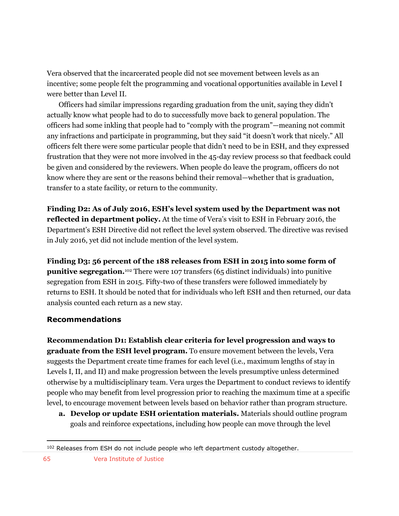Vera observed that the incarcerated people did not see movement between levels as an incentive; some people felt the programming and vocational opportunities available in Level I were better than Level II.

Officers had similar impressions regarding graduation from the unit, saying they didn't actually know what people had to do to successfully move back to general population. The officers had some inkling that people had to "comply with the program"—meaning not commit any infractions and participate in programming, but they said "it doesn't work that nicely." All officers felt there were some particular people that didn't need to be in ESH, and they expressed frustration that they were not more involved in the 45-day review process so that feedback could be given and considered by the reviewers. When people do leave the program, officers do not know where they are sent or the reasons behind their removal—whether that is graduation, transfer to a state facility, or return to the community.

**Finding D2: As of July 2016, ESH's level system used by the Department was not reflected in department policy.** At the time of Vera's visit to ESH in February 2016, the Department's ESH Directive did not reflect the level system observed. The directive was revised in July 2016, yet did not include mention of the level system.

**Finding D3: 56 percent of the 188 releases from ESH in 2015 into some form of punitive segregation.**<sup>102</sup> There were 107 transfers (65 distinct individuals) into punitive segregation from ESH in 2015. Fifty-two of these transfers were followed immediately by returns to ESH. It should be noted that for individuals who left ESH and then returned, our data analysis counted each return as a new stay.

## **Recommendations**

**Recommendation D1: Establish clear criteria for level progression and ways to graduate from the ESH level program.** To ensure movement between the levels, Vera suggests the Department create time frames for each level (i.e., maximum lengths of stay in Levels I, II, and II) and make progression between the levels presumptive unless determined otherwise by a multidisciplinary team. Vera urges the Department to conduct reviews to identify people who may benefit from level progression prior to reaching the maximum time at a specific level, to encourage movement between levels based on behavior rather than program structure.

**a. Develop or update ESH orientation materials.** Materials should outline program goals and reinforce expectations, including how people can move through the level

<sup>102</sup> Releases from ESH do not include people who left department custody altogether.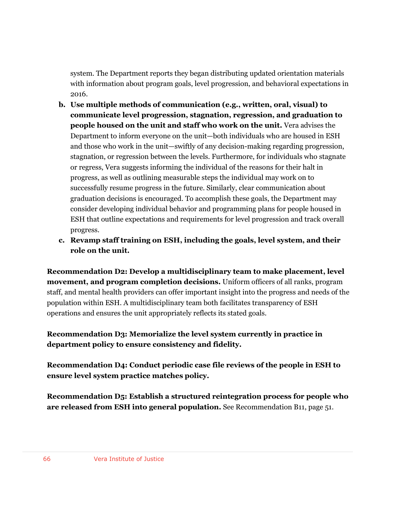system. The Department reports they began distributing updated orientation materials with information about program goals, level progression, and behavioral expectations in 2016.

- **b. Use multiple methods of communication (e.g., written, oral, visual) to communicate level progression, stagnation, regression, and graduation to people housed on the unit and staff who work on the unit.** Vera advises the Department to inform everyone on the unit—both individuals who are housed in ESH and those who work in the unit—swiftly of any decision-making regarding progression, stagnation, or regression between the levels. Furthermore, for individuals who stagnate or regress, Vera suggests informing the individual of the reasons for their halt in progress, as well as outlining measurable steps the individual may work on to successfully resume progress in the future. Similarly, clear communication about graduation decisions is encouraged. To accomplish these goals, the Department may consider developing individual behavior and programming plans for people housed in ESH that outline expectations and requirements for level progression and track overall progress.
- **c. Revamp staff training on ESH, including the goals, level system, and their role on the unit.**

**Recommendation D2: Develop a multidisciplinary team to make placement, level movement, and program completion decisions.** Uniform officers of all ranks, program staff, and mental health providers can offer important insight into the progress and needs of the population within ESH. A multidisciplinary team both facilitates transparency of ESH operations and ensures the unit appropriately reflects its stated goals.

**Recommendation D3: Memorialize the level system currently in practice in department policy to ensure consistency and fidelity.**

**Recommendation D4: Conduct periodic case file reviews of the people in ESH to ensure level system practice matches policy.** 

**Recommendation D5: Establish a structured reintegration process for people who are released from ESH into general population.** See Recommendation B11, page 51.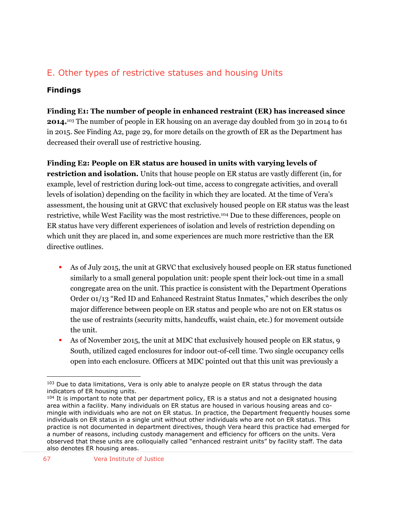# E. Other types of restrictive statuses and housing Units

## **Findings**

**Finding E1: The number of people in enhanced restraint (ER) has increased since 2014.**<sup>103</sup> The number of people in ER housing on an average day doubled from 30 in 2014 to 61 in 2015. See Finding A2, page 29, for more details on the growth of ER as the Department has decreased their overall use of restrictive housing.

**Finding E2: People on ER status are housed in units with varying levels of restriction and isolation.** Units that house people on ER status are vastly different (in, for example, level of restriction during lock-out time, access to congregate activities, and overall levels of isolation) depending on the facility in which they are located. At the time of Vera's assessment, the housing unit at GRVC that exclusively housed people on ER status was the least restrictive, while West Facility was the most restrictive.<sup>104</sup> Due to these differences, people on ER status have very different experiences of isolation and levels of restriction depending on which unit they are placed in, and some experiences are much more restrictive than the ER directive outlines.

- As of July 2015, the unit at GRVC that exclusively housed people on ER status functioned similarly to a small general population unit: people spent their lock-out time in a small congregate area on the unit. This practice is consistent with the Department Operations Order 01/13 "Red ID and Enhanced Restraint Status Inmates," which describes the only major difference between people on ER status and people who are not on ER status os the use of restraints (security mitts, handcuffs, waist chain, etc.) for movement outside the unit.
- As of November 2015, the unit at MDC that exclusively housed people on ER status, 9 South, utilized caged enclosures for indoor out-of-cell time. Two single occupancy cells open into each enclosure. Officers at MDC pointed out that this unit was previously a

<sup>&</sup>lt;sup>103</sup> Due to data limitations, Vera is only able to analyze people on ER status through the data indicators of ER housing units.

 $104$  It is important to note that per department policy, ER is a status and not a designated housing area within a facility. Many individuals on ER status are housed in various housing areas and comingle with individuals who are not on ER status. In practice, the Department frequently houses some individuals on ER status in a single unit without other individuals who are not on ER status. This practice is not documented in department directives, though Vera heard this practice had emerged for a number of reasons, including custody management and efficiency for officers on the units. Vera observed that these units are colloquially called "enhanced restraint units" by facility staff. The data also denotes ER housing areas.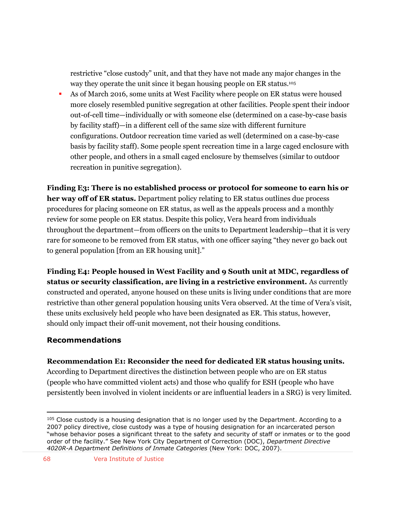restrictive "close custody" unit, and that they have not made any major changes in the way they operate the unit since it began housing people on ER status. 105

 As of March 2016, some units at West Facility where people on ER status were housed more closely resembled punitive segregation at other facilities. People spent their indoor out-of-cell time—individually or with someone else (determined on a case-by-case basis by facility staff)—in a different cell of the same size with different furniture configurations. Outdoor recreation time varied as well (determined on a case-by-case basis by facility staff). Some people spent recreation time in a large caged enclosure with other people, and others in a small caged enclosure by themselves (similar to outdoor recreation in punitive segregation).

**Finding E3: There is no established process or protocol for someone to earn his or her way off of ER status.** Department policy relating to ER status outlines due process procedures for placing someone on ER status, as well as the appeals process and a monthly review for some people on ER status. Despite this policy, Vera heard from individuals throughout the department—from officers on the units to Department leadership—that it is very rare for someone to be removed from ER status, with one officer saying "they never go back out to general population [from an ER housing unit]."

**Finding E4: People housed in West Facility and 9 South unit at MDC, regardless of status or security classification, are living in a restrictive environment.** As currently constructed and operated, anyone housed on these units is living under conditions that are more restrictive than other general population housing units Vera observed. At the time of Vera's visit, these units exclusively held people who have been designated as ER. This status, however, should only impact their off-unit movement, not their housing conditions.

## **Recommendations**

**Recommendation E1: Reconsider the need for dedicated ER status housing units.** 

According to Department directives the distinction between people who are on ER status (people who have committed violent acts) and those who qualify for ESH (people who have persistently been involved in violent incidents or are influential leaders in a SRG) is very limited.

 $105$  Close custody is a housing designation that is no longer used by the Department. According to a 2007 policy directive, close custody was a type of housing designation for an incarcerated person "whose behavior poses a significant threat to the safety and security of staff or inmates or to the good order of the facility." See New York City Department of Correction (DOC), *Department Directive 4020R-A Department Definitions of Inmate Categories* (New York: DOC, 2007).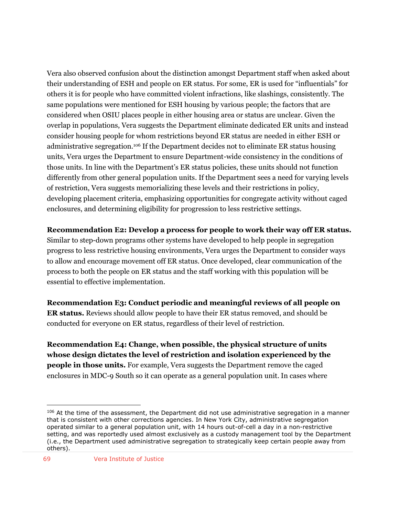Vera also observed confusion about the distinction amongst Department staff when asked about their understanding of ESH and people on ER status. For some, ER is used for "influentials" for others it is for people who have committed violent infractions, like slashings, consistently. The same populations were mentioned for ESH housing by various people; the factors that are considered when OSIU places people in either housing area or status are unclear. Given the overlap in populations, Vera suggests the Department eliminate dedicated ER units and instead consider housing people for whom restrictions beyond ER status are needed in either ESH or administrative segregation.<sup>106</sup> If the Department decides not to eliminate ER status housing units, Vera urges the Department to ensure Department-wide consistency in the conditions of those units. In line with the Department's ER status policies, these units should not function differently from other general population units. If the Department sees a need for varying levels of restriction, Vera suggests memorializing these levels and their restrictions in policy, developing placement criteria, emphasizing opportunities for congregate activity without caged enclosures, and determining eligibility for progression to less restrictive settings.

#### **Recommendation E2: Develop a process for people to work their way off ER status.**

Similar to step-down programs other systems have developed to help people in segregation progress to less restrictive housing environments, Vera urges the Department to consider ways to allow and encourage movement off ER status. Once developed, clear communication of the process to both the people on ER status and the staff working with this population will be essential to effective implementation.

**Recommendation E3: Conduct periodic and meaningful reviews of all people on ER status.** Reviews should allow people to have their ER status removed, and should be conducted for everyone on ER status, regardless of their level of restriction.

**Recommendation E4: Change, when possible, the physical structure of units whose design dictates the level of restriction and isolation experienced by the people in those units.** For example, Vera suggests the Department remove the caged enclosures in MDC-9 South so it can operate as a general population unit. In cases where

<sup>&</sup>lt;sup>106</sup> At the time of the assessment, the Department did not use administrative segregation in a manner that is consistent with other corrections agencies. In New York City, administrative segregation operated similar to a general population unit, with 14 hours out-of-cell a day in a non-restrictive setting, and was reportedly used almost exclusively as a custody management tool by the Department (i.e., the Department used administrative segregation to strategically keep certain people away from others).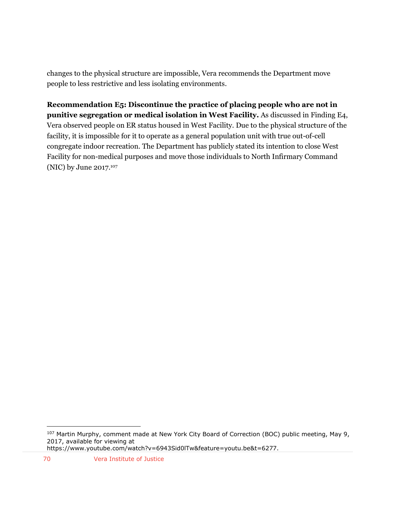changes to the physical structure are impossible, Vera recommends the Department move people to less restrictive and less isolating environments.

**Recommendation E5: Discontinue the practice of placing people who are not in punitive segregation or medical isolation in West Facility.** As discussed in Finding E4, Vera observed people on ER status housed in West Facility. Due to the physical structure of the facility, it is impossible for it to operate as a general population unit with true out-of-cell congregate indoor recreation. The Department has publicly stated its intention to close West Facility for non-medical purposes and move those individuals to North Infirmary Command (NIC) by June 2017.<sup>107</sup>

 $\overline{a}$ <sup>107</sup> Martin Murphy, comment made at New York City Board of Correction (BOC) public meeting, May 9, 2017, available for viewing at

https://www.youtube.com/watch?v=6943Sid0lTw&feature=youtu.be&t=6277.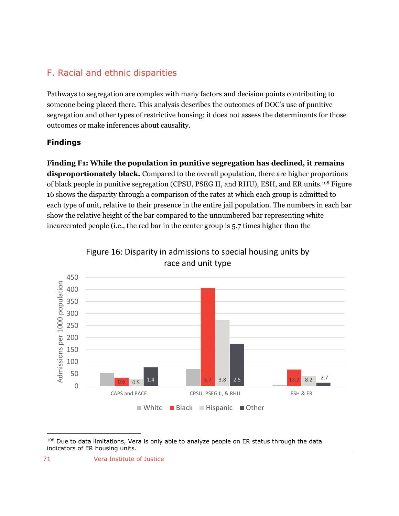# F. Racial and ethnic disparities

Pathways to segregation are complex with many factors and decision points contributing to someone being placed there. This analysis describes the outcomes of DOC's use of punitive segregation and other types of restrictive housing; it does not assess the determinants for those outcomes or make inferences about causality.

# **Findings**

**Finding F1: While the population in punitive segregation has declined, it remains disproportionately black.** Compared to the overall population, there are higher proportions of black people in punitive segregation (CPSU, PSEG II, and RHU), ESH, and ER units.<sup>108</sup> Figure 16 shows the disparity through a comparison of the rates at which each group is admitted to each type of unit, relative to their presence in the entire jail population. The numbers in each bar show the relative height of the bar compared to the unnumbered bar representing white incarcerated people (i.e., the red bar in the center group is 5.7 times higher than the



Figure 16: Disparity in admissions to special housing units by race and unit type

<sup>&</sup>lt;sup>108</sup> Due to data limitations, Vera is only able to analyze people on ER status through the data indicators of ER housing units.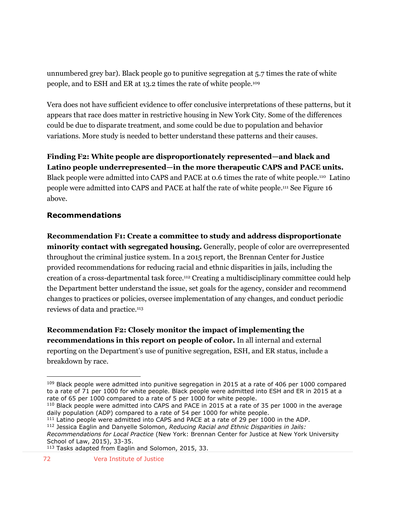unnumbered grey bar). Black people go to punitive segregation at 5.7 times the rate of white people, and to ESH and ER at 13.2 times the rate of white people.<sup>109</sup>

Vera does not have sufficient evidence to offer conclusive interpretations of these patterns, but it appears that race does matter in restrictive housing in New York City. Some of the differences could be due to disparate treatment, and some could be due to population and behavior variations. More study is needed to better understand these patterns and their causes.

**Finding F2: White people are disproportionately represented—and black and Latino people underrepresented—in the more therapeutic CAPS and PACE units.** Black people were admitted into CAPS and PACE at 0.6 times the rate of white people.<sup>110</sup> Latino people were admitted into CAPS and PACE at half the rate of white people. <sup>111</sup> See Figure 16 above.

## **Recommendations**

 $\overline{a}$ 

**Recommendation F1: Create a committee to study and address disproportionate minority contact with segregated housing.** Generally, people of color are overrepresented throughout the criminal justice system. In a 2015 report, the Brennan Center for Justice provided recommendations for reducing racial and ethnic disparities in jails, including the creation of a cross-departmental task force.<sup>112</sup> Creating a multidisciplinary committee could help the Department better understand the issue, set goals for the agency, consider and recommend changes to practices or policies, oversee implementation of any changes, and conduct periodic reviews of data and practice.<sup>113</sup>

**Recommendation F2: Closely monitor the impact of implementing the recommendations in this report on people of color.** In all internal and external reporting on the Department's use of punitive segregation, ESH, and ER status, include a breakdown by race.

<sup>&</sup>lt;sup>109</sup> Black people were admitted into punitive segregation in 2015 at a rate of 406 per 1000 compared to a rate of 71 per 1000 for white people. Black people were admitted into ESH and ER in 2015 at a rate of 65 per 1000 compared to a rate of 5 per 1000 for white people.

<sup>110</sup> Black people were admitted into CAPS and PACE in 2015 at a rate of 35 per 1000 in the average daily population (ADP) compared to a rate of 54 per 1000 for white people.

<sup>111</sup> Latino people were admitted into CAPS and PACE at a rate of 29 per 1000 in the ADP.

<sup>112</sup> Jessica Eaglin and Danyelle Solomon, *Reducing Racial and Ethnic Disparities in Jails:* 

*Recommendations for Local Practice* (New York: Brennan Center for Justice at New York University School of Law, 2015), 33-35.

<sup>113</sup> Tasks adapted from Eaglin and Solomon, 2015, 33.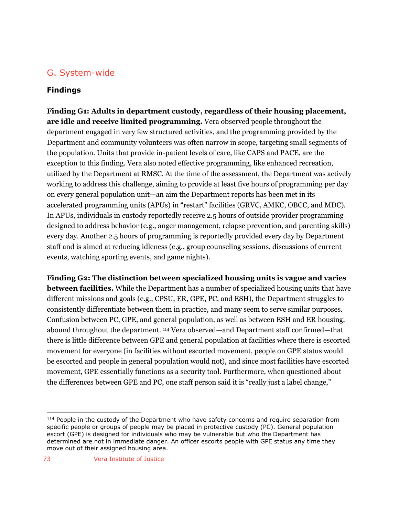## G. System-wide

#### **Findings**

**Finding G1: Adults in department custody, regardless of their housing placement, are idle and receive limited programming.** Vera observed people throughout the department engaged in very few structured activities, and the programming provided by the Department and community volunteers was often narrow in scope, targeting small segments of the population. Units that provide in-patient levels of care, like CAPS and PACE, are the exception to this finding. Vera also noted effective programming, like enhanced recreation, utilized by the Department at RMSC. At the time of the assessment, the Department was actively working to address this challenge, aiming to provide at least five hours of programming per day on every general population unit—an aim the Department reports has been met in its accelerated programming units (APUs) in "restart" facilities (GRVC, AMKC, OBCC, and MDC). In APUs, individuals in custody reportedly receive 2.5 hours of outside provider programming designed to address behavior (e.g., anger management, relapse prevention, and parenting skills) every day. Another 2.5 hours of programming is reportedly provided every day by Department staff and is aimed at reducing idleness (e.g., group counseling sessions, discussions of current events, watching sporting events, and game nights).

**Finding G2: The distinction between specialized housing units is vague and varies between facilities.** While the Department has a number of specialized housing units that have different missions and goals (e.g., CPSU, ER, GPE, PC, and ESH), the Department struggles to consistently differentiate between them in practice, and many seem to serve similar purposes. Confusion between PC, GPE, and general population, as well as between ESH and ER housing, abound throughout the department. <sup>114</sup> Vera observed—and Department staff confirmed—that there is little difference between GPE and general population at facilities where there is escorted movement for everyone (in facilities without escorted movement, people on GPE status would be escorted and people in general population would not), and since most facilities have escorted movement, GPE essentially functions as a security tool. Furthermore, when questioned about the differences between GPE and PC, one staff person said it is "really just a label change,"

<sup>&</sup>lt;sup>114</sup> People in the custody of the Department who have safety concerns and require separation from specific people or groups of people may be placed in protective custody (PC). General population escort (GPE) is designed for individuals who may be vulnerable but who the Department has determined are not in immediate danger. An officer escorts people with GPE status any time they move out of their assigned housing area.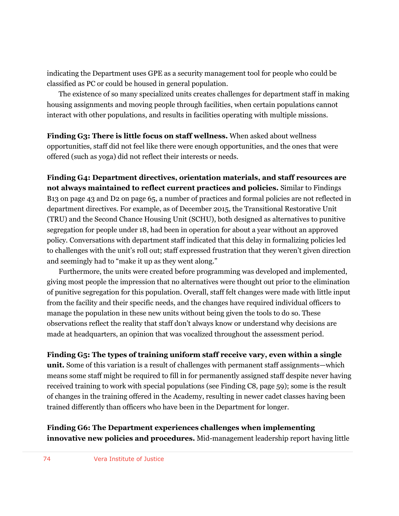indicating the Department uses GPE as a security management tool for people who could be classified as PC or could be housed in general population.

The existence of so many specialized units creates challenges for department staff in making housing assignments and moving people through facilities, when certain populations cannot interact with other populations, and results in facilities operating with multiple missions.

**Finding G3: There is little focus on staff wellness.** When asked about wellness opportunities, staff did not feel like there were enough opportunities, and the ones that were offered (such as yoga) did not reflect their interests or needs.

**Finding G4: Department directives, orientation materials, and staff resources are not always maintained to reflect current practices and policies.** Similar to Findings B13 on page 43 and D2 on page 65, a number of practices and formal policies are not reflected in department directives. For example, as of December 2015, the Transitional Restorative Unit (TRU) and the Second Chance Housing Unit (SCHU), both designed as alternatives to punitive segregation for people under 18, had been in operation for about a year without an approved policy. Conversations with department staff indicated that this delay in formalizing policies led to challenges with the unit's roll out; staff expressed frustration that they weren't given direction and seemingly had to "make it up as they went along."

Furthermore, the units were created before programming was developed and implemented, giving most people the impression that no alternatives were thought out prior to the elimination of punitive segregation for this population. Overall, staff felt changes were made with little input from the facility and their specific needs, and the changes have required individual officers to manage the population in these new units without being given the tools to do so. These observations reflect the reality that staff don't always know or understand why decisions are made at headquarters, an opinion that was vocalized throughout the assessment period.

#### **Finding G5: The types of training uniform staff receive vary, even within a single**

**unit.** Some of this variation is a result of challenges with permanent staff assignments—which means some staff might be required to fill in for permanently assigned staff despite never having received training to work with special populations (see Finding C8, page 59); some is the result of changes in the training offered in the Academy, resulting in newer cadet classes having been trained differently than officers who have been in the Department for longer.

#### **Finding G6: The Department experiences challenges when implementing innovative new policies and procedures.** Mid-management leadership report having little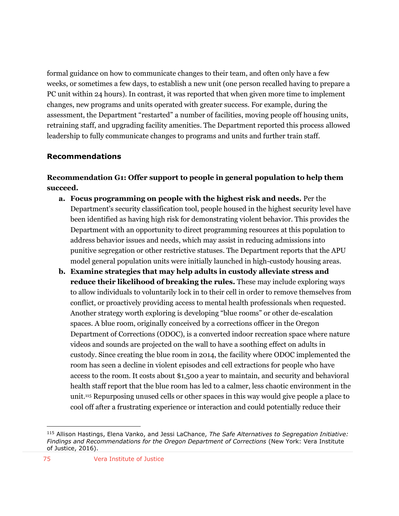formal guidance on how to communicate changes to their team, and often only have a few weeks, or sometimes a few days, to establish a new unit (one person recalled having to prepare a PC unit within 24 hours). In contrast, it was reported that when given more time to implement changes, new programs and units operated with greater success. For example, during the assessment, the Department "restarted" a number of facilities, moving people off housing units, retraining staff, and upgrading facility amenities. The Department reported this process allowed leadership to fully communicate changes to programs and units and further train staff.

#### **Recommendations**

#### **Recommendation G1: Offer support to people in general population to help them succeed.**

- **a. Focus programming on people with the highest risk and needs.** Per the Department's security classification tool, people housed in the highest security level have been identified as having high risk for demonstrating violent behavior. This provides the Department with an opportunity to direct programming resources at this population to address behavior issues and needs, which may assist in reducing admissions into punitive segregation or other restrictive statuses. The Department reports that the APU model general population units were initially launched in high-custody housing areas.
- **b. Examine strategies that may help adults in custody alleviate stress and reduce their likelihood of breaking the rules.** These may include exploring ways to allow individuals to voluntarily lock in to their cell in order to remove themselves from conflict, or proactively providing access to mental health professionals when requested. Another strategy worth exploring is developing "blue rooms" or other de-escalation spaces. A blue room, originally conceived by a corrections officer in the Oregon Department of Corrections (ODOC), is a converted indoor recreation space where nature videos and sounds are projected on the wall to have a soothing effect on adults in custody. Since creating the blue room in 2014, the facility where ODOC implemented the room has seen a decline in violent episodes and cell extractions for people who have access to the room. It costs about \$1,500 a year to maintain, and security and behavioral health staff report that the blue room has led to a calmer, less chaotic environment in the unit.<sup>115</sup> Repurposing unused cells or other spaces in this way would give people a place to cool off after a frustrating experience or interaction and could potentially reduce their

<sup>115</sup> Allison Hastings, Elena Vanko, and Jessi LaChance, *The Safe Alternatives to Segregation Initiative: Findings and Recommendations for the Oregon Department of Corrections* (New York: Vera Institute of Justice, 2016).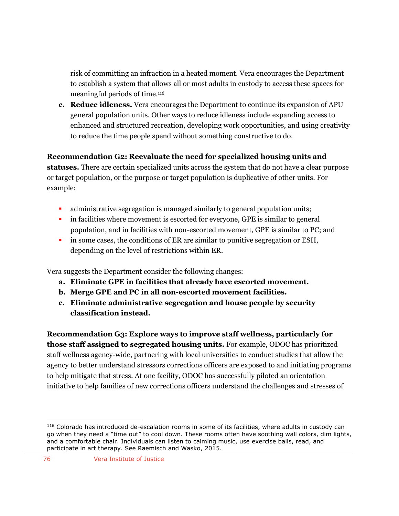risk of committing an infraction in a heated moment. Vera encourages the Department to establish a system that allows all or most adults in custody to access these spaces for meaningful periods of time.<sup>116</sup>

**c. Reduce idleness.** Vera encourages the Department to continue its expansion of APU general population units. Other ways to reduce idleness include expanding access to enhanced and structured recreation, developing work opportunities, and using creativity to reduce the time people spend without something constructive to do.

**Recommendation G2: Reevaluate the need for specialized housing units and statuses.** There are certain specialized units across the system that do not have a clear purpose or target population, or the purpose or target population is duplicative of other units. For example:

- administrative segregation is managed similarly to general population units;
- in facilities where movement is escorted for everyone, GPE is similar to general population, and in facilities with non-escorted movement, GPE is similar to PC; and
- in some cases, the conditions of ER are similar to punitive segregation or ESH, depending on the level of restrictions within ER.

Vera suggests the Department consider the following changes:

- **a. Eliminate GPE in facilities that already have escorted movement.**
- **b. Merge GPE and PC in all non-escorted movement facilities.**
- **c. Eliminate administrative segregation and house people by security classification instead.**

**Recommendation G3: Explore ways to improve staff wellness, particularly for those staff assigned to segregated housing units.** For example, ODOC has prioritized staff wellness agency-wide, partnering with local universities to conduct studies that allow the agency to better understand stressors corrections officers are exposed to and initiating programs to help mitigate that stress. At one facility, ODOC has successfully piloted an orientation initiative to help families of new corrections officers understand the challenges and stresses of

<sup>116</sup> Colorado has introduced de-escalation rooms in some of its facilities, where adults in custody can go when they need a "time out" to cool down. These rooms often have soothing wall colors, dim lights, and a comfortable chair. Individuals can listen to calming music, use exercise balls, read, and participate in art therapy. See Raemisch and Wasko, 2015.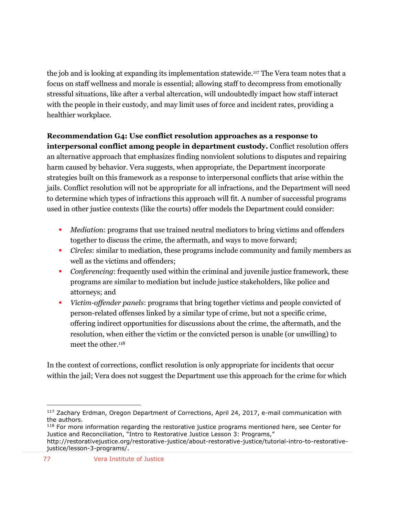the job and is looking at expanding its implementation statewide. <sup>117</sup> The Vera team notes that a focus on staff wellness and morale is essential; allowing staff to decompress from emotionally stressful situations, like after a verbal altercation, will undoubtedly impact how staff interact with the people in their custody, and may limit uses of force and incident rates, providing a healthier workplace.

## **Recommendation G4: Use conflict resolution approaches as a response to**

**interpersonal conflict among people in department custody.** Conflict resolution offers an alternative approach that emphasizes finding nonviolent solutions to disputes and repairing harm caused by behavior. Vera suggests, when appropriate, the Department incorporate strategies built on this framework as a response to interpersonal conflicts that arise within the jails. Conflict resolution will not be appropriate for all infractions, and the Department will need to determine which types of infractions this approach will fit. A number of successful programs used in other justice contexts (like the courts) offer models the Department could consider:

- *Mediatio*n: programs that use trained neutral mediators to bring victims and offenders together to discuss the crime, the aftermath, and ways to move forward;
- *Circles*: similar to mediation, these programs include community and family members as well as the victims and offenders;
- *Conferencing*: frequently used within the criminal and juvenile justice framework, these programs are similar to mediation but include justice stakeholders, like police and attorneys; and
- *Victim-offender panels*: programs that bring together victims and people convicted of person-related offenses linked by a similar type of crime, but not a specific crime, offering indirect opportunities for discussions about the crime, the aftermath, and the resolution, when either the victim or the convicted person is unable (or unwilling) to meet the other.<sup>118</sup>

In the context of corrections, conflict resolution is only appropriate for incidents that occur within the jail; Vera does not suggest the Department use this approach for the crime for which

<sup>&</sup>lt;sup>117</sup> Zachary Erdman, Oregon Department of Corrections, April 24, 2017, e-mail communication with the authors.

<sup>&</sup>lt;sup>118</sup> For more information regarding the restorative justice programs mentioned here, see Center for Justice and Reconciliation, "Intro to Restorative Justice Lesson 3: Programs," http://restorativejustice.org/restorative-justice/about-restorative-justice/tutorial-intro-to-restorativejustice/lesson-3-programs/.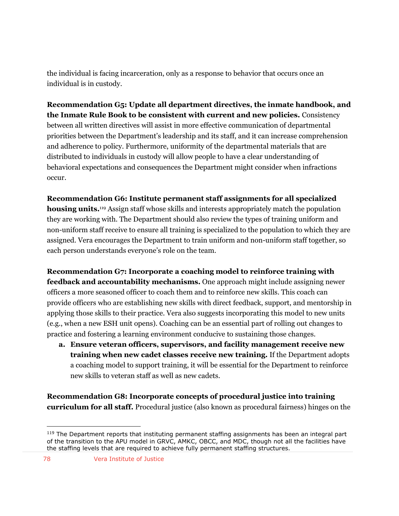the individual is facing incarceration, only as a response to behavior that occurs once an individual is in custody.

**Recommendation G5: Update all department directives, the inmate handbook, and the Inmate Rule Book to be consistent with current and new policies.** Consistency between all written directives will assist in more effective communication of departmental priorities between the Department's leadership and its staff, and it can increase comprehension and adherence to policy. Furthermore, uniformity of the departmental materials that are distributed to individuals in custody will allow people to have a clear understanding of behavioral expectations and consequences the Department might consider when infractions occur.

#### **Recommendation G6: Institute permanent staff assignments for all specialized**

**housing units.**<sup>119</sup> Assign staff whose skills and interests appropriately match the population they are working with. The Department should also review the types of training uniform and non-uniform staff receive to ensure all training is specialized to the population to which they are assigned. Vera encourages the Department to train uniform and non-uniform staff together, so each person understands everyone's role on the team.

**Recommendation G7: Incorporate a coaching model to reinforce training with feedback and accountability mechanisms.** One approach might include assigning newer officers a more seasoned officer to coach them and to reinforce new skills. This coach can provide officers who are establishing new skills with direct feedback, support, and mentorship in applying those skills to their practice. Vera also suggests incorporating this model to new units (e.g., when a new ESH unit opens). Coaching can be an essential part of rolling out changes to practice and fostering a learning environment conducive to sustaining those changes.

**a. Ensure veteran officers, supervisors, and facility management receive new training when new cadet classes receive new training.** If the Department adopts a coaching model to support training, it will be essential for the Department to reinforce new skills to veteran staff as well as new cadets.

**Recommendation G8: Incorporate concepts of procedural justice into training curriculum for all staff.** Procedural justice (also known as procedural fairness) hinges on the

 $119$  The Department reports that instituting permanent staffing assignments has been an integral part of the transition to the APU model in GRVC, AMKC, OBCC, and MDC, though not all the facilities have the staffing levels that are required to achieve fully permanent staffing structures.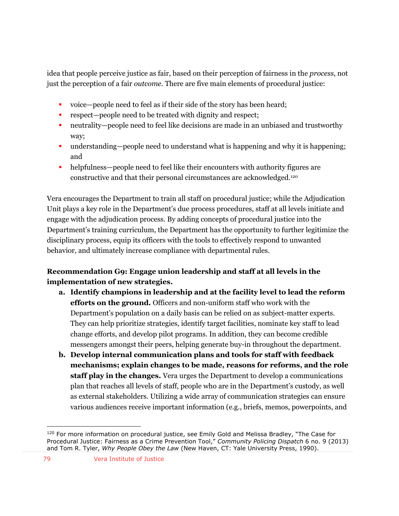idea that people perceive justice as fair, based on their perception of fairness in the *process*, not just the perception of a fair *outcome*. There are five main elements of procedural justice:

- voice—people need to feel as if their side of the story has been heard;
- respect—people need to be treated with dignity and respect;
- neutrality—people need to feel like decisions are made in an unbiased and trustworthy way;
- understanding—people need to understand what is happening and why it is happening; and
- helpfulness—people need to feel like their encounters with authority figures are constructive and that their personal circumstances are acknowledged. 120

Vera encourages the Department to train all staff on procedural justice; while the Adjudication Unit plays a key role in the Department's due process procedures, staff at all levels initiate and engage with the adjudication process. By adding concepts of procedural justice into the Department's training curriculum, the Department has the opportunity to further legitimize the disciplinary process, equip its officers with the tools to effectively respond to unwanted behavior, and ultimately increase compliance with departmental rules.

### **Recommendation G9: Engage union leadership and staff at all levels in the implementation of new strategies.**

- **a. Identify champions in leadership and at the facility level to lead the reform efforts on the ground.** Officers and non-uniform staff who work with the Department's population on a daily basis can be relied on as subject-matter experts. They can help prioritize strategies, identify target facilities, nominate key staff to lead change efforts, and develop pilot programs. In addition, they can become credible messengers amongst their peers, helping generate buy-in throughout the department.
- **b. Develop internal communication plans and tools for staff with feedback mechanisms; explain changes to be made, reasons for reforms, and the role staff play in the changes.** Vera urges the Department to develop a communications plan that reaches all levels of staff, people who are in the Department's custody, as well as external stakeholders. Utilizing a wide array of communication strategies can ensure various audiences receive important information (e.g., briefs, memos, powerpoints, and

<sup>&</sup>lt;sup>120</sup> For more information on procedural justice, see Emily Gold and Melissa Bradley, "The Case for Procedural Justice: Fairness as a Crime Prevention Tool," *Community Policing Dispatch* 6 no. 9 (2013) and Tom R. Tyler, *Why People Obey the Law* (New Haven, CT: Yale University Press, 1990).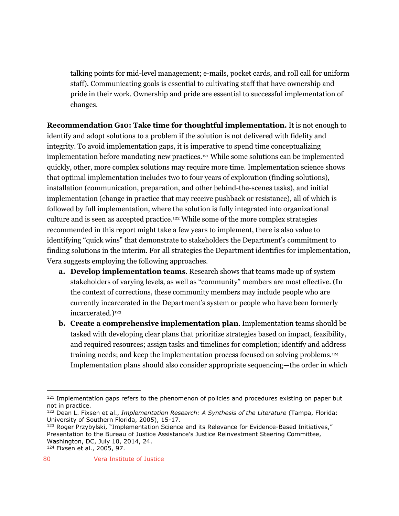talking points for mid-level management; e-mails, pocket cards, and roll call for uniform staff). Communicating goals is essential to cultivating staff that have ownership and pride in their work. Ownership and pride are essential to successful implementation of changes.

**Recommendation G10: Take time for thoughtful implementation.** It is not enough to identify and adopt solutions to a problem if the solution is not delivered with fidelity and integrity. To avoid implementation gaps, it is imperative to spend time conceptualizing implementation before mandating new practices.<sup>121</sup> While some solutions can be implemented quickly, other, more complex solutions may require more time. Implementation science shows that optimal implementation includes two to four years of exploration (finding solutions), installation (communication, preparation, and other behind-the-scenes tasks), and initial implementation (change in practice that may receive pushback or resistance), all of which is followed by full implementation, where the solution is fully integrated into organizational culture and is seen as accepted practice.<sup>122</sup> While some of the more complex strategies recommended in this report might take a few years to implement, there is also value to identifying "quick wins" that demonstrate to stakeholders the Department's commitment to finding solutions in the interim. For all strategies the Department identifies for implementation, Vera suggests employing the following approaches.

- **a. Develop implementation teams**. Research shows that teams made up of system stakeholders of varying levels, as well as "community" members are most effective. (In the context of corrections, these community members may include people who are currently incarcerated in the Department's system or people who have been formerly incarcerated.)<sup>123</sup>
- **b. Create a comprehensive implementation plan**. Implementation teams should be tasked with developing clear plans that prioritize strategies based on impact, feasibility, and required resources; assign tasks and timelines for completion; identify and address training needs; and keep the implementation process focused on solving problems.<sup>124</sup> Implementation plans should also consider appropriate sequencing—the order in which

<sup>&</sup>lt;sup>121</sup> Implementation gaps refers to the phenomenon of policies and procedures existing on paper but not in practice.

<sup>122</sup> Dean L. Fixsen et al., *Implementation Research: A Synthesis of the Literature* (Tampa, Florida: University of Southern Florida, 2005), 15-17.

<sup>123</sup> Roger Przybylski, "Implementation Science and its Relevance for Evidence-Based Initiatives," Presentation to the Bureau of Justice Assistance's Justice Reinvestment Steering Committee, Washington, DC, July 10, 2014, 24.

<sup>124</sup> Fixsen et al., 2005, 97.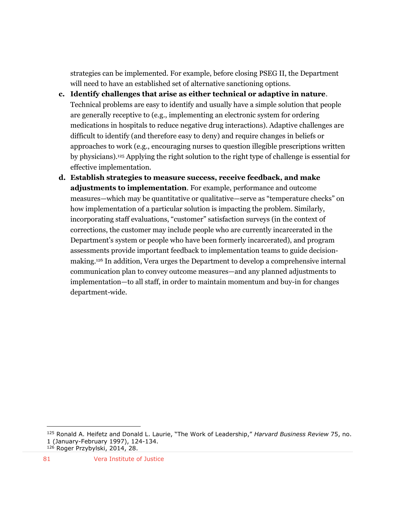strategies can be implemented. For example, before closing PSEG II, the Department will need to have an established set of alternative sanctioning options.

- **c. Identify challenges that arise as either technical or adaptive in nature**. Technical problems are easy to identify and usually have a simple solution that people are generally receptive to (e.g., implementing an electronic system for ordering medications in hospitals to reduce negative drug interactions). Adaptive challenges are difficult to identify (and therefore easy to deny) and require changes in beliefs or approaches to work (e.g., encouraging nurses to question illegible prescriptions written by physicians).<sup>125</sup> Applying the right solution to the right type of challenge is essential for effective implementation.
- **d. Establish strategies to measure success, receive feedback, and make adjustments to implementation**. For example, performance and outcome measures—which may be quantitative or qualitative—serve as "temperature checks" on how implementation of a particular solution is impacting the problem. Similarly, incorporating staff evaluations, "customer" satisfaction surveys (in the context of corrections, the customer may include people who are currently incarcerated in the Department's system or people who have been formerly incarcerated), and program assessments provide important feedback to implementation teams to guide decisionmaking.<sup>126</sup> In addition, Vera urges the Department to develop a comprehensive internal communication plan to convey outcome measures—and any planned adjustments to implementation—to all staff, in order to maintain momentum and buy-in for changes department-wide.

<sup>125</sup> Ronald A. Heifetz and Donald L. Laurie, "The Work of Leadership," *Harvard Business Review* 75, no. 1 (January-February 1997), 124-134. <sup>126</sup> Roger Przybylski, 2014, 28.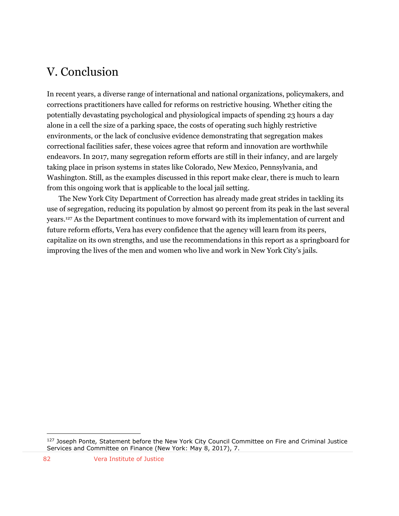# V. Conclusion

In recent years, a diverse range of international and national organizations, policymakers, and corrections practitioners have called for reforms on restrictive housing. Whether citing the potentially devastating psychological and physiological impacts of spending 23 hours a day alone in a cell the size of a parking space, the costs of operating such highly restrictive environments, or the lack of conclusive evidence demonstrating that segregation makes correctional facilities safer, these voices agree that reform and innovation are worthwhile endeavors. In 2017, many segregation reform efforts are still in their infancy, and are largely taking place in prison systems in states like Colorado, New Mexico, Pennsylvania, and Washington. Still, as the examples discussed in this report make clear, there is much to learn from this ongoing work that is applicable to the local jail setting.

The New York City Department of Correction has already made great strides in tackling its use of segregation, reducing its population by almost 90 percent from its peak in the last several years. <sup>127</sup> As the Department continues to move forward with its implementation of current and future reform efforts, Vera has every confidence that the agency will learn from its peers, capitalize on its own strengths, and use the recommendations in this report as a springboard for improving the lives of the men and women who live and work in New York City's jails.

<sup>127</sup> Joseph Ponte*,* Statement before the New York City Council Committee on Fire and Criminal Justice Services and Committee on Finance (New York: May 8, 2017), 7.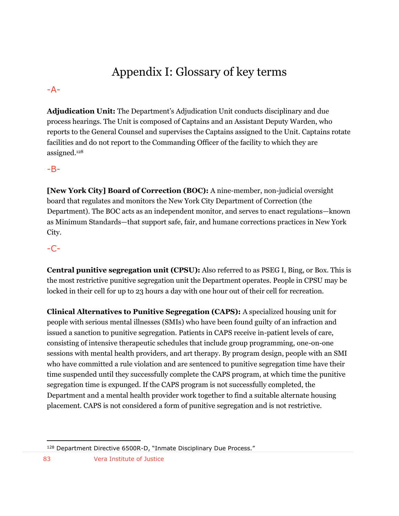# Appendix I: Glossary of key terms

#### -A-

**Adjudication Unit:** The Department's Adjudication Unit conducts disciplinary and due process hearings. The Unit is composed of Captains and an Assistant Deputy Warden, who reports to the General Counsel and supervises the Captains assigned to the Unit. Captains rotate facilities and do not report to the Commanding Officer of the facility to which they are assigned.<sup>128</sup>

#### -B-

**[New York City] Board of Correction (BOC):** A nine-member, non-judicial oversight board that regulates and monitors the New York City Department of Correction (the Department). The BOC acts as an independent monitor, and serves to enact regulations—known as Minimum Standards—that support safe, fair, and humane corrections practices in New York City.

## -C-

**Central punitive segregation unit (CPSU):** Also referred to as PSEG I, Bing, or Box. This is the most restrictive punitive segregation unit the Department operates. People in CPSU may be locked in their cell for up to 23 hours a day with one hour out of their cell for recreation.

**Clinical Alternatives to Punitive Segregation (CAPS):** A specialized housing unit for people with serious mental illnesses (SMIs) who have been found guilty of an infraction and issued a sanction to punitive segregation. Patients in CAPS receive in-patient levels of care, consisting of intensive therapeutic schedules that include group programming, one-on-one sessions with mental health providers, and art therapy. By program design, people with an SMI who have committed a rule violation and are sentenced to punitive segregation time have their time suspended until they successfully complete the CAPS program, at which time the punitive segregation time is expunged. If the CAPS program is not successfully completed, the Department and a mental health provider work together to find a suitable alternate housing placement. CAPS is not considered a form of punitive segregation and is not restrictive.

<sup>128</sup> Department Directive 6500R-D, "Inmate Disciplinary Due Process."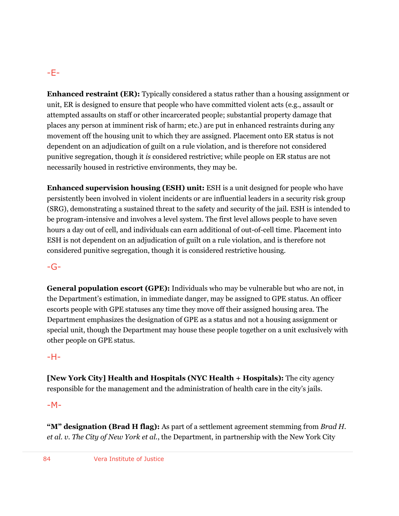## -E-

**Enhanced restraint (ER):** Typically considered a status rather than a housing assignment or unit, ER is designed to ensure that people who have committed violent acts (e.g., assault or attempted assaults on staff or other incarcerated people; substantial property damage that places any person at imminent risk of harm; etc.) are put in enhanced restraints during any movement off the housing unit to which they are assigned. Placement onto ER status is not dependent on an adjudication of guilt on a rule violation, and is therefore not considered punitive segregation, though it *is* considered restrictive; while people on ER status are not necessarily housed in restrictive environments, they may be.

**Enhanced supervision housing (ESH) unit:** ESH is a unit designed for people who have persistently been involved in violent incidents or are influential leaders in a security risk group (SRG), demonstrating a sustained threat to the safety and security of the jail. ESH is intended to be program-intensive and involves a level system. The first level allows people to have seven hours a day out of cell, and individuals can earn additional of out-of-cell time. Placement into ESH is not dependent on an adjudication of guilt on a rule violation, and is therefore not considered punitive segregation, though it is considered restrictive housing.

#### -G-

**General population escort (GPE):** Individuals who may be vulnerable but who are not, in the Department's estimation, in immediate danger, may be assigned to GPE status. An officer escorts people with GPE statuses any time they move off their assigned housing area. The Department emphasizes the designation of GPE as a status and not a housing assignment or special unit, though the Department may house these people together on a unit exclusively with other people on GPE status.

#### -H-

**[New York City] Health and Hospitals (NYC Health + Hospitals):** The city agency responsible for the management and the administration of health care in the city's jails.

#### $-M-$

**"M" designation (Brad H flag):** As part of a settlement agreement stemming from *Brad H. et al. v. The City of New York et al.*, the Department, in partnership with the New York City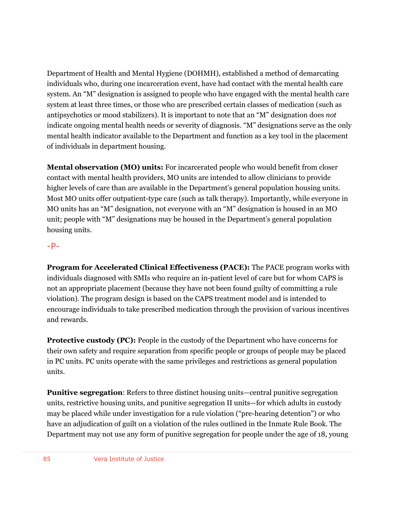Department of Health and Mental Hygiene (DOHMH), established a method of demarcating individuals who, during one incarceration event, have had contact with the mental health care system. An "M" designation is assigned to people who have engaged with the mental health care system at least three times, or those who are prescribed certain classes of medication (such as antipsychotics or mood stabilizers). It is important to note that an "M" designation does *not* indicate ongoing mental health needs or severity of diagnosis. "M" designations serve as the only mental health indicator available to the Department and function as a key tool in the placement of individuals in department housing.

**Mental observation (MO) units:** For incarcerated people who would benefit from closer contact with mental health providers, MO units are intended to allow clinicians to provide higher levels of care than are available in the Department's general population housing units. Most MO units offer outpatient-type care (such as talk therapy). Importantly, while everyone in MO units has an "M" designation, not everyone with an "M" designation is housed in an MO unit; people with "M" designations may be housed in the Department's general population housing units.

#### $-P-$

**Program for Accelerated Clinical Effectiveness (PACE):** The PACE program works with individuals diagnosed with SMIs who require an in-patient level of care but for whom CAPS is not an appropriate placement (because they have not been found guilty of committing a rule violation). The program design is based on the CAPS treatment model and is intended to encourage individuals to take prescribed medication through the provision of various incentives and rewards.

**Protective custody (PC):** People in the custody of the Department who have concerns for their own safety and require separation from specific people or groups of people may be placed in PC units. PC units operate with the same privileges and restrictions as general population units.

**Punitive segregation**: Refers to three distinct housing units—central punitive segregation units, restrictive housing units, and punitive segregation II units—for which adults in custody may be placed while under investigation for a rule violation ("pre-hearing detention") or who have an adjudication of guilt on a violation of the rules outlined in the Inmate Rule Book. The Department may not use any form of punitive segregation for people under the age of 18, young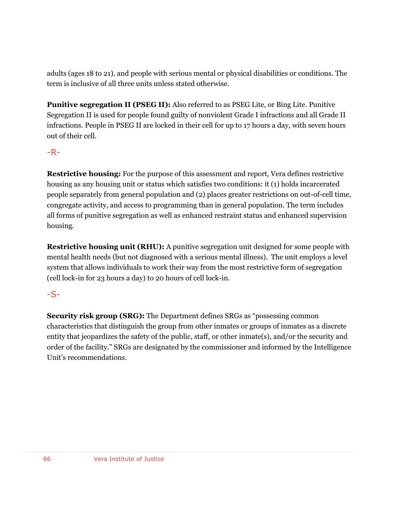adults (ages 18 to 21), and people with serious mental or physical disabilities or conditions. The term is inclusive of all three units unless stated otherwise.

**Punitive segregation II (PSEG II):** Also referred to as PSEG Lite, or Bing Lite. Punitive Segregation II is used for people found guilty of nonviolent Grade I infractions and all Grade II infractions. People in PSEG II are locked in their cell for up to 17 hours a day, with seven hours out of their cell.

### $-R -$

**Restrictive housing:** For the purpose of this assessment and report, Vera defines restrictive housing as any housing unit or status which satisfies two conditions: it (1) holds incarcerated people separately from general population and (2) places greater restrictions on out-of-cell time, congregate activity, and access to programming than in general population. The term includes all forms of punitive segregation as well as enhanced restraint status and enhanced supervision housing.

**Restrictive housing unit (RHU):** A punitive segregation unit designed for some people with mental health needs (but not diagnosed with a serious mental illness). The unit employs a level system that allows individuals to work their way from the most restrictive form of segregation (cell lock-in for 23 hours a day) to 20 hours of cell lock-in.

## -S-

**Security risk group (SRG):** The Department defines SRGs as "possessing common characteristics that distinguish the group from other inmates or groups of inmates as a discrete entity that jeopardizes the safety of the public, staff, or other inmate(s), and/or the security and order of the facility." SRGs are designated by the commissioner and informed by the Intelligence Unit's recommendations.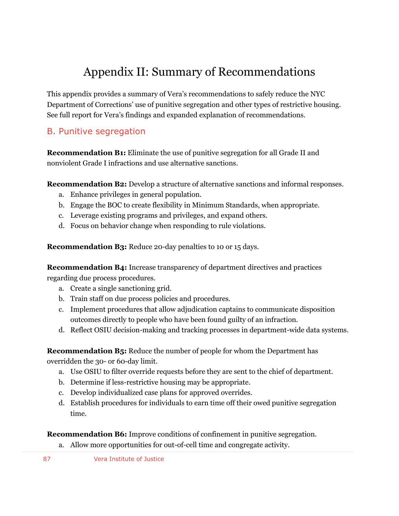# Appendix II: Summary of Recommendations

This appendix provides a summary of Vera's recommendations to safely reduce the NYC Department of Corrections' use of punitive segregation and other types of restrictive housing. See full report for Vera's findings and expanded explanation of recommendations.

## B. Punitive segregation

**Recommendation B1:** Eliminate the use of punitive segregation for all Grade II and nonviolent Grade I infractions and use alternative sanctions.

**Recommendation B2:** Develop a structure of alternative sanctions and informal responses.

- a. Enhance privileges in general population.
- b. Engage the BOC to create flexibility in Minimum Standards, when appropriate.
- c. Leverage existing programs and privileges, and expand others.
- d. Focus on behavior change when responding to rule violations.

**Recommendation B3:** Reduce 20-day penalties to 10 or 15 days.

**Recommendation B4:** Increase transparency of department directives and practices regarding due process procedures.

- a. Create a single sanctioning grid.
- b. Train staff on due process policies and procedures.
- c. Implement procedures that allow adjudication captains to communicate disposition outcomes directly to people who have been found guilty of an infraction.
- d. Reflect OSIU decision-making and tracking processes in department-wide data systems.

**Recommendation B5:** Reduce the number of people for whom the Department has overridden the 30- or 60-day limit.

- a. Use OSIU to filter override requests before they are sent to the chief of department.
- b. Determine if less-restrictive housing may be appropriate.
- c. Develop individualized case plans for approved overrides.
- d. Establish procedures for individuals to earn time off their owed punitive segregation time.

#### **Recommendation B6:** Improve conditions of confinement in punitive segregation.

- a. Allow more opportunities for out-of-cell time and congregate activity.
- 87 Vera Institute of Justice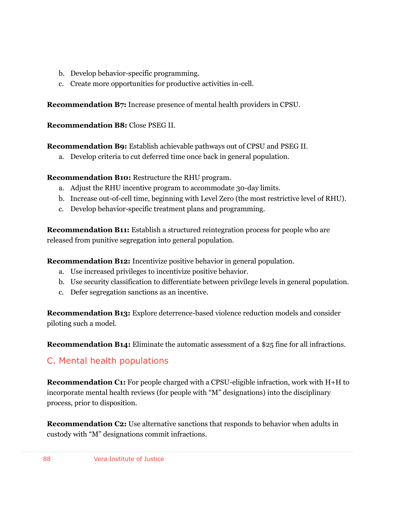- b. Develop behavior-specific programming.
- c. Create more opportunities for productive activities in-cell.

**Recommendation B7:** Increase presence of mental health providers in CPSU.

**Recommendation B8:** Close PSEG II.

**Recommendation B9:** Establish achievable pathways out of CPSU and PSEG II.

a. Develop criteria to cut deferred time once back in general population.

**Recommendation B10:** Restructure the RHU program.

- a. Adjust the RHU incentive program to accommodate 30-day limits.
- b. Increase out-of-cell time, beginning with Level Zero (the most restrictive level of RHU).
- c. Develop behavior-specific treatment plans and programming.

**Recommendation B11:** Establish a structured reintegration process for people who are released from punitive segregation into general population.

**Recommendation B12:** Incentivize positive behavior in general population.

- a. Use increased privileges to incentivize positive behavior.
- b. Use security classification to differentiate between privilege levels in general population.
- c. Defer segregation sanctions as an incentive.

**Recommendation B13:** Explore deterrence-based violence reduction models and consider piloting such a model.

**Recommendation B14:** Eliminate the automatic assessment of a \$25 fine for all infractions.

## C. Mental health populations

**Recommendation C1:** For people charged with a CPSU-eligible infraction, work with H+H to incorporate mental health reviews (for people with "M" designations) into the disciplinary process, prior to disposition.

**Recommendation C2:** Use alternative sanctions that responds to behavior when adults in custody with "M" designations commit infractions.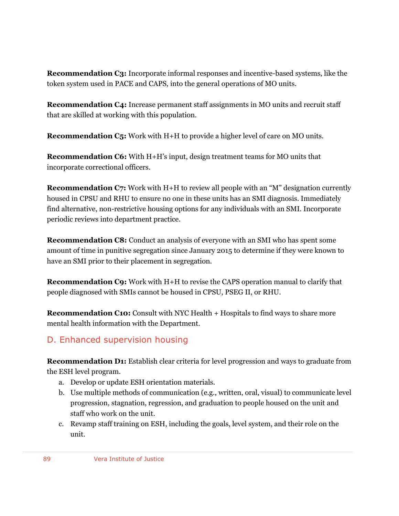**Recommendation C3:** Incorporate informal responses and incentive-based systems, like the token system used in PACE and CAPS, into the general operations of MO units.

**Recommendation C4:** Increase permanent staff assignments in MO units and recruit staff that are skilled at working with this population.

**Recommendation C5:** Work with H+H to provide a higher level of care on MO units.

**Recommendation C6:** With H+H's input, design treatment teams for MO units that incorporate correctional officers.

**Recommendation C7:** Work with H+H to review all people with an "M" designation currently housed in CPSU and RHU to ensure no one in these units has an SMI diagnosis. Immediately find alternative, non-restrictive housing options for any individuals with an SMI. Incorporate periodic reviews into department practice.

**Recommendation C8:** Conduct an analysis of everyone with an SMI who has spent some amount of time in punitive segregation since January 2015 to determine if they were known to have an SMI prior to their placement in segregation.

**Recommendation C9:** Work with H+H to revise the CAPS operation manual to clarify that people diagnosed with SMIs cannot be housed in CPSU, PSEG II, or RHU.

**Recommendation C10:** Consult with NYC Health + Hospitals to find ways to share more mental health information with the Department.

## D. Enhanced supervision housing

**Recommendation D1:** Establish clear criteria for level progression and ways to graduate from the ESH level program.

- a. Develop or update ESH orientation materials.
- b. Use multiple methods of communication (e.g., written, oral, visual) to communicate level progression, stagnation, regression, and graduation to people housed on the unit and staff who work on the unit.
- c. Revamp staff training on ESH, including the goals, level system, and their role on the unit.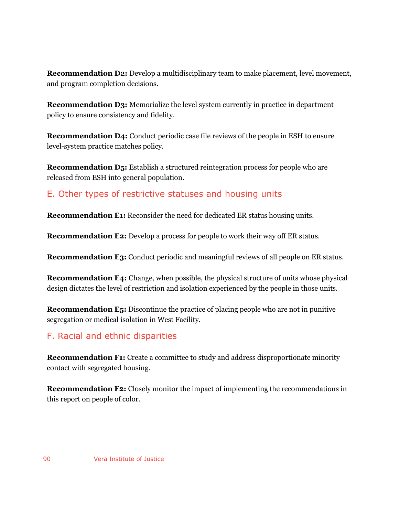**Recommendation D2:** Develop a multidisciplinary team to make placement, level movement, and program completion decisions.

**Recommendation D3:** Memorialize the level system currently in practice in department policy to ensure consistency and fidelity.

**Recommendation D4:** Conduct periodic case file reviews of the people in ESH to ensure level-system practice matches policy.

**Recommendation D5:** Establish a structured reintegration process for people who are released from ESH into general population.

## E. Other types of restrictive statuses and housing units

**Recommendation E1:** Reconsider the need for dedicated ER status housing units.

**Recommendation E2:** Develop a process for people to work their way off ER status.

**Recommendation E3:** Conduct periodic and meaningful reviews of all people on ER status.

**Recommendation E4:** Change, when possible, the physical structure of units whose physical design dictates the level of restriction and isolation experienced by the people in those units.

**Recommendation E5:** Discontinue the practice of placing people who are not in punitive segregation or medical isolation in West Facility.

## F. Racial and ethnic disparities

**Recommendation F1:** Create a committee to study and address disproportionate minority contact with segregated housing.

**Recommendation F2:** Closely monitor the impact of implementing the recommendations in this report on people of color.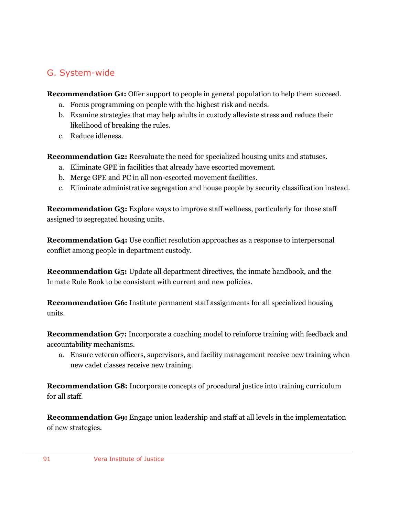## G. System-wide

**Recommendation G1:** Offer support to people in general population to help them succeed.

- a. Focus programming on people with the highest risk and needs.
- b. Examine strategies that may help adults in custody alleviate stress and reduce their likelihood of breaking the rules.
- c. Reduce idleness.

**Recommendation G2:** Reevaluate the need for specialized housing units and statuses.

- a. Eliminate GPE in facilities that already have escorted movement.
- b. Merge GPE and PC in all non-escorted movement facilities.
- c. Eliminate administrative segregation and house people by security classification instead.

**Recommendation G3:** Explore ways to improve staff wellness, particularly for those staff assigned to segregated housing units.

**Recommendation G4:** Use conflict resolution approaches as a response to interpersonal conflict among people in department custody.

**Recommendation G5:** Update all department directives, the inmate handbook, and the Inmate Rule Book to be consistent with current and new policies.

**Recommendation G6:** Institute permanent staff assignments for all specialized housing units.

**Recommendation G7:** Incorporate a coaching model to reinforce training with feedback and accountability mechanisms.

a. Ensure veteran officers, supervisors, and facility management receive new training when new cadet classes receive new training.

**Recommendation G8:** Incorporate concepts of procedural justice into training curriculum for all staff.

**Recommendation G9:** Engage union leadership and staff at all levels in the implementation of new strategies.